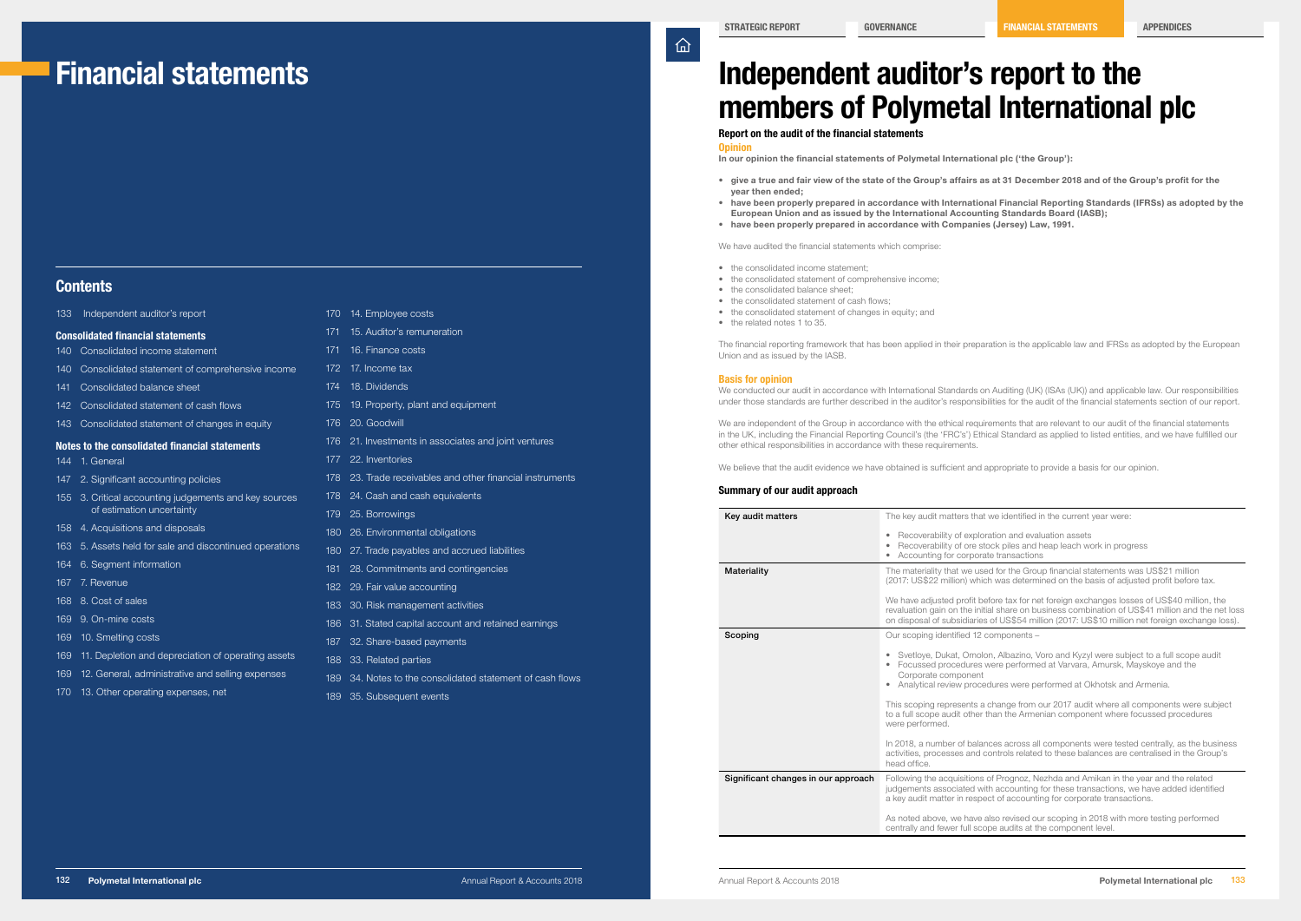# **Financial statements**

133 Independent auditor's report

#### **[Consolidated financial statements](#page-4-0)**

- [140 Consolidated income statement](#page-4-0)
- 140 [Consolidated statement of comprehensive income](#page-4-0)
- 141 [Consolidated balance sheet](#page-4-0)
- [142 Consolidated statement of cash flows](#page-5-0)
- 143 [Consolidated statement of changes in equity](#page-5-0)

#### **[Notes to the consolidated financial statements](#page-6-0)**

- 144 [1. General](#page-6-0)
- 147 [2. Significant accounting policies](#page-7-0)
- 155 [3. Critical accounting judgements and key sources](#page-11-0)  of [estimation uncertainty](#page-11-0)
- 158 [4. Acquisitions and disposals](#page-13-0)
- 163 [5. Assets held for sale and discontinued operations](#page-15-0)
- 164 [6. Segment information](#page-16-0)
- 167 [7. Revenue](#page-17-0)
- 168 [8. Cost of sales](#page-18-0)
- 169 [9. On-mine costs](#page-18-0)
- 169 [10. Smelting costs](#page-18-0)
- 169 [11. Depletion and depreciation of operating assets](#page-18-0)
- 169 [12. General, administrative and selling expenses](#page-18-0)
- 170 [13. Other operating expenses, net](#page-19-0)

### **Contents**

- 170 [14. Employee costs](#page-19-0)
- 171 [15. Auditor's remuneration](#page-19-0)
- 171 [16. Finance costs](#page-19-0)
- 172 [17. Income tax](#page-20-0)
- 174 [18. Dividends](#page-21-0)
- 175 [19. Property, plant and equipment](#page-21-0)
- 176 [20. Goodwill](#page-22-0)
- 176 [21. Investments in associates and joint ventures](#page-22-0)
- 177 [22. Inventories](#page-22-0)
- 178 [23. Trade receivables and other financial instruments](#page-23-0)
- 178 [24. Cash and cash equivalents](#page-23-0)
- 179 [25. Borrowings](#page-23-0)
- 180 [26. Environmental obligations](#page-24-0)
- 180 [27. Trade payables and accrued liabilities](#page-24-0)
- 181 [28. Commitments and contingencies](#page-24-0)
- 182 [29. Fair value accounting](#page-25-0)
- 183 [30. Risk management activities](#page-25-0)
- 186 [31. Stated capital account and retained earnings](#page-27-0)
- 187 [32. Share-based payments](#page-27-0)
- 188 [33. Related parties](#page-28-0)
- 189 [34. Notes to the consolidated statement of cash flows](#page-28-0)
- 189 [35. Subsequent events](#page-28-0)

仚

- the consolidated income statement:
- the consolidated statement of comprehensive income;
- the consolidated balance sheet;
- the consolidated statement of cash flows;
- the consolidated statement of changes in equity; and
- the related notes 1 to 35.

# **Independent auditor's report to the members of Polymetal International plc**

### **Report on the audit of the financial statements**

**Opinion**

**In our opinion the financial statements of Polymetal International plc ('the Group'):**

eration and evaluation assets tock piles and heap leach work in progress • Accounting for corporate transactions

ed for the Group financial statements was US\$21 million ich was determined on the basis of adjusted profit before tax.

efore tax for net foreign exchanges losses of US\$40 million, the tial share on business combination of US\$41 million and the net loss s of US\$54 million (2017: US\$10 million net foreign exchange loss).

components –

on, Albazino, Voro and Kyzyl were subject to a full scope audit were performed at Varvara, Amursk, Mayskoye and the

edures were performed at Okhotsk and Armenia.

change from our 2017 audit where all components were subject than the Armenian component where focussed procedures

nces across all components were tested centrally, as the business controls related to these balances are centralised in the Group's

of Prognoz, Nezhda and Amikan in the year and the related ith accounting for these transactions, we have added identified ect of accounting for corporate transactions.

also revised our scoping in 2018 with more testing performed ope audits at the component level.

• **have been properly prepared in accordance with International Financial Reporting Standards (IFRSs) as adopted by the** 

t we identified in the current vear were:

- **give a true and fair view of the state of the Group's affairs as at 31 December 2018 and of the Group's profit for the year then ended;**
- **European Union and as issued by the International Accounting Standards Board (IASB);**
- **have been properly prepared in accordance with Companies (Jersey) Law, 1991.**

We have audited the financial statements which comprise:

The financial reporting framework that has been applied in their preparation is the applicable law and IFRSs as adopted by the European Union and as issued by the IASB.

#### **Basis for opinion**

We conducted our audit in accordance with International Standards on Auditing (UK) (ISAs (UK)) and applicable law. Our responsibilities under those standards are further described in the auditor's responsibilities for the audit of the financial statements section of our report.

We are independent of the Group in accordance with the ethical requirements that are relevant to our audit of the financial statements in the UK, including the Financial Reporting Council's (the 'FRC's') Ethical Standard as applied to listed entities, and we have fulfilled our other ethical responsibilities in accordance with these requirements.

We believe that the audit evidence we have obtained is sufficient and appropriate to provide a basis for our opinion.

#### **Summary of our audit approach**

| Key audit matters                   | The key audit matters that                                                                                   |
|-------------------------------------|--------------------------------------------------------------------------------------------------------------|
|                                     | Recoverability of explor<br>Recoverability of ore st<br>Accounting for corpora<br>۰                          |
| Materiality                         | The materiality that we use<br>(2017: US\$22 million) whic                                                   |
|                                     | We have adjusted profit be<br>revaluation gain on the init<br>on disposal of subsidiaries                    |
| Scoping                             | Our scoping identified 12                                                                                    |
|                                     | Svetloye, Dukat, Omolo<br>Focussed procedures<br>$\bullet$<br>Corporate component<br>Analytical review proce |
|                                     | This scoping represents a<br>to a full scope audit other<br>were performed.                                  |
|                                     | In 2018, a number of balar<br>activities, processes and o<br>head office.                                    |
| Significant changes in our approach | Following the acquisitions<br>judgements associated wi<br>a key audit matter in respe                        |
|                                     | As noted above, we have a<br>centrally and fewer full sco                                                    |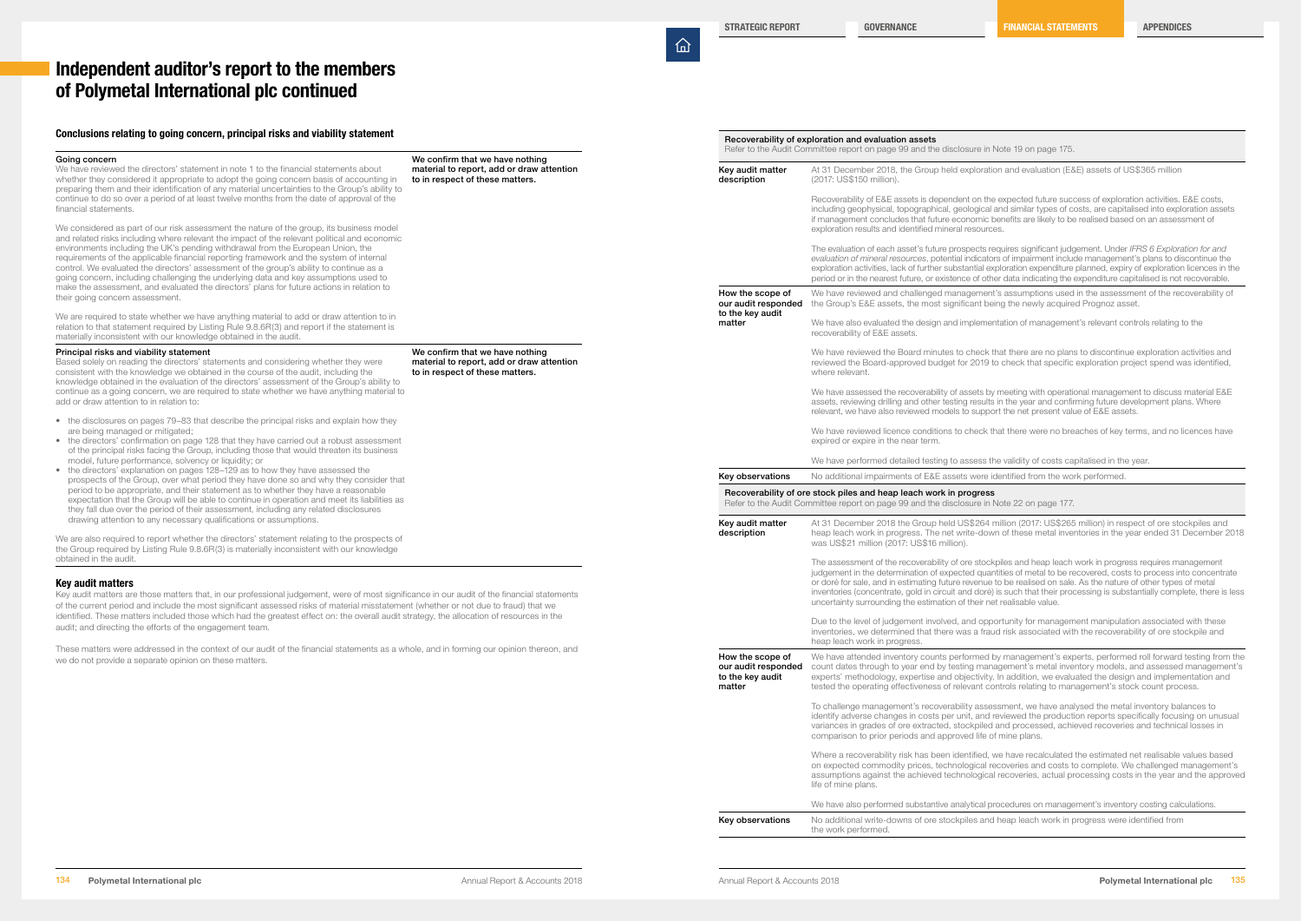石

#### **Conclusions relating to going concern, principal risks and viability statement**

#### Going concern

We have reviewed the directors' statement in note 1 to the financial statements about whether they considered it appropriate to adopt the going concern basis of accounting in preparing them and their identification of any material uncertainties to the Group's ability to continue to do so over a period of at least twelve months from the date of approval of the financial statements.

We considered as part of our risk assessment the nature of the group, its business model and related risks including where relevant the impact of the relevant political and economic environments including the UK's pending withdrawal from the European Union, the requirements of the applicable financial reporting framework and the system of internal control. We evaluated the directors' assessment of the group's ability to continue as a going concern, including challenging the underlying data and key assumptions used to make the assessment, and evaluated the directors' plans for future actions in relation to their going concern assessment.

We are required to state whether we have anything material to add or draw attention to in relation to that statement required by Listing Rule 9.8.6R(3) and report if the statement is materially inconsistent with our knowledge obtained in the audit.

- the disclosures on pages 79–83 that describe the principal risks and explain how they are being managed or mitigated;
- the directors' confirmation on page 128 that they have carried out a robust assessment of the principal risks facing the Group, including those that would threaten its business model, future performance, solvency or liquidity; or
- the directors' explanation on pages 128–129 as to how they have assessed the prospects of the Group, over what period they have done so and why they consider that period to be appropriate, and their statement as to whether they have a reasonable expectation that the Group will be able to continue in operation and meet its liabilities as they fall due over the period of their assessment, including any related disclosures drawing attention to any necessary qualifications or assumptions.

We confirm that we have nothing

material to report, add or draw attention to in respect of these matters.

#### Principal risks and viability statement

Based solely on reading the directors' statements and considering whether they were consistent with the knowledge we obtained in the course of the audit, including the knowledge obtained in the evaluation of the directors' assessment of the Group's ability to continue as a going concern, we are required to state whether we have anything material to add or draw attention to in relation to:

We are also required to report whether the directors' statement relating to the prospects of the Group required by Listing Rule 9.8.6R(3) is materially inconsistent with our knowledge obtained in the audit.

We confirm that we have nothing material to report, add or draw attention to in respect of these matters.

#### **Key audit matters**

Key audit matters are those matters that, in our professional judgement, were of most significance in our audit of the financial statements of the current period and include the most significant assessed risks of material misstatement (whether or not due to fraud) that we identified. These matters included those which had the greatest effect on: the overall audit strategy, the allocation of resources in the audit; and directing the efforts of the engagement team.

These matters were addressed in the context of our audit of the financial statements as a whole, and in forming our opinion thereon, and we do not provide a separate opinion on these matters.

## **Independent auditor's report to the members of Polymetal International plc continued**

Key observations No additional write-downs of ore stockpiles and heap leach work in progress were identified from the work performed.

|                                                                       | Recoverability of exploration and evaluation assets<br>Refer to the Audit Committee report on page 99 and the disclosure in Note 19 on page 175.                                                                                                                                                                                                                                                                                            |
|-----------------------------------------------------------------------|---------------------------------------------------------------------------------------------------------------------------------------------------------------------------------------------------------------------------------------------------------------------------------------------------------------------------------------------------------------------------------------------------------------------------------------------|
| Key audit matter<br>description                                       | At 31 December 2018, the Group held exploration and evaluation (E&E) assets of I<br>(2017: US\$150 million).                                                                                                                                                                                                                                                                                                                                |
|                                                                       | Recoverability of E&E assets is dependent on the expected future success of explor<br>including geophysical, topographical, geological and similar types of costs, are capi<br>if management concludes that future economic benefits are likely to be realised based<br>exploration results and identified mineral resources.                                                                                                               |
|                                                                       | The evaluation of each asset's future prospects requires significant judgement. Unde<br>evaluation of mineral resources, potential indicators of impairment include management<br>exploration activities, lack of further substantial exploration expenditure planned, expl<br>period or in the nearest future, or existence of other data indicating the expenditure c                                                                     |
| How the scope of<br>our audit responded<br>to the key audit           | We have reviewed and challenged management's assumptions used in the assess<br>the Group's E&E assets, the most significant being the newly acquired Prognoz as                                                                                                                                                                                                                                                                             |
| matter                                                                | We have also evaluated the design and implementation of management's relevant c<br>recoverability of E&E assets.                                                                                                                                                                                                                                                                                                                            |
|                                                                       | We have reviewed the Board minutes to check that there are no plans to discontin<br>reviewed the Board-approved budget for 2019 to check that specific exploration p<br>where relevant.                                                                                                                                                                                                                                                     |
|                                                                       | We have assessed the recoverability of assets by meeting with operational manager<br>assets, reviewing drilling and other testing results in the year and confirming future d<br>relevant, we have also reviewed models to support the net present value of E&E ass                                                                                                                                                                         |
|                                                                       | We have reviewed licence conditions to check that there were no breaches of key<br>expired or expire in the near term.                                                                                                                                                                                                                                                                                                                      |
|                                                                       | We have performed detailed testing to assess the validity of costs capitalised in th                                                                                                                                                                                                                                                                                                                                                        |
| Key observations                                                      | No additional impairments of E&E assets were identified from the work performed                                                                                                                                                                                                                                                                                                                                                             |
|                                                                       | Recoverability of ore stock piles and heap leach work in progress<br>Refer to the Audit Committee report on page 99 and the disclosure in Note 22 on page 177.                                                                                                                                                                                                                                                                              |
| Key audit matter<br>description                                       | At 31 December 2018 the Group held US\$264 million (2017: US\$265 million) in rea<br>heap leach work in progress. The net write-down of these metal inventories in the<br>was US\$21 million (2017: US\$16 million).                                                                                                                                                                                                                        |
|                                                                       | The assessment of the recoverability of ore stockpiles and heap leach work in progr<br>judgement in the determination of expected quantities of metal to be recovered, cos<br>or doré for sale, and in estimating future revenue to be realised on sale. As the nature<br>inventories (concentrate, gold in circuit and doré) is such that their processing is sub<br>uncertainty surrounding the estimation of their net realisable value. |
|                                                                       | Due to the level of judgement involved, and opportunity for management manipula<br>inventories, we determined that there was a fraud risk associated with the recover<br>heap leach work in progress.                                                                                                                                                                                                                                       |
| How the scope of<br>our audit responded<br>to the key audit<br>matter | We have attended inventory counts performed by management's experts, perform<br>count dates through to year end by testing management's metal inventory models<br>experts' methodology, expertise and objectivity. In addition, we evaluated the desi<br>tested the operating effectiveness of relevant controls relating to management's st                                                                                                |
|                                                                       | To challenge management's recoverability assessment, we have analysed the met<br>identify adverse changes in costs per unit, and reviewed the production reports sp<br>variances in grades of ore extracted, stockpiled and processed, achieved recoveri<br>comparison to prior periods and approved life of mine plans.                                                                                                                    |

Where a recoverability risk has been identified, we have recalculated the estimated net realisable values based on expected commodity prices, technological recoveries and costs to complete. We challenged management's assumptions against the achieved technological recoveries, actual processing costs in the year and the approved life of mine plans.

We have also performed substantive analytical procedures on management's inventory costing calculations.

ion and evaluation (E&E) assets of US\$365 million

Re expected future success of exploration activities. E&E costs, and similar types of costs, are capitalised into exploration assets benefits are likely to be realised based on an assessment of

The equires significant judgement. Under *IFRS 6 Exploration for and evaluation of mineral resources*, potential indicators of impairment include management's plans to discontinue the xploration expenditure planned, expiry of exploration licences in the ner data indicating the expenditure capitalised is not recoverable.

nt's assumptions used in the assessment of the recoverability of eing the newly acquired Prognoz asset.

Intation of management's relevant controls relating to the

that there are no plans to discontinue exploration activities and to check that specific exploration project spend was identified,

y meeting with operational management to discuss material E&E  $\overline{\text{F}}$  in the year and confirming future development plans. Where ort the net present value of E&E assets.

that there were no breaches of key terms, and no licences have

he validity of costs capitalised in the year.

million (2017: US\$265 million) in respect of ore stockpiles and wn of these metal inventories in the year ended 31 December 2018

kpiles and heap leach work in progress requires management ntities of metal to be recovered, costs to process into concentrate to be realised on sale. As the nature of other types of metal ) is such that their processing is substantially complete, there is less et realisable value.

portunity for management manipulation associated with these ud risk associated with the recoverability of ore stockpile and

by management's experts, performed roll forward testing from the nagement's metal inventory models, and assessed management's . In addition, we evaluated the design and implementation and ontrols relating to management's stock count process.

essment, we have analysed the metal inventory balances to reviewed the production reports specifically focusing on unusual I and processed, achieved recoveries and technical losses in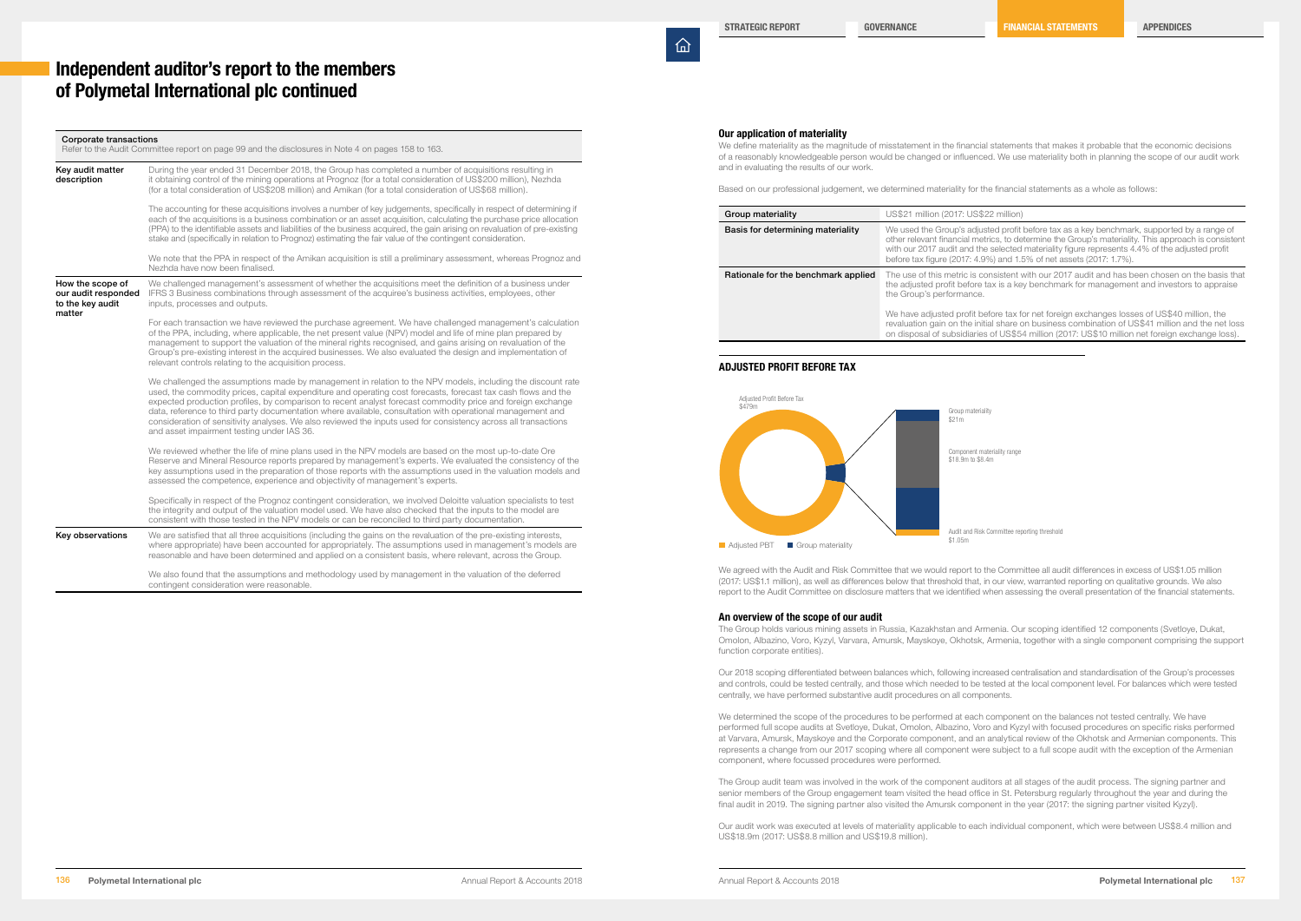| Corporate transactions                                                | Refer to the Audit Committee report on page 99 and the disclosures in Note 4 on pages 158 to 163.                                                                                                                                                                                                                                                                                                                                                                                                                                                                                                                          |
|-----------------------------------------------------------------------|----------------------------------------------------------------------------------------------------------------------------------------------------------------------------------------------------------------------------------------------------------------------------------------------------------------------------------------------------------------------------------------------------------------------------------------------------------------------------------------------------------------------------------------------------------------------------------------------------------------------------|
| Key audit matter<br>description                                       | During the year ended 31 December 2018, the Group has completed a number of acquisitions resulting in<br>it obtaining control of the mining operations at Prognoz (for a total consideration of US\$200 million), Nezhda<br>(for a total consideration of US\$208 million) and Amikan (for a total consideration of US\$68 million).                                                                                                                                                                                                                                                                                       |
|                                                                       | The accounting for these acquisitions involves a number of key judgements, specifically in respect of determining if<br>each of the acquisitions is a business combination or an asset acquisition, calculating the purchase price allocation<br>(PPA) to the identifiable assets and liabilities of the business acquired, the gain arising on revaluation of pre-existing<br>stake and (specifically in relation to Prognoz) estimating the fair value of the contingent consideration.                                                                                                                                  |
|                                                                       | We note that the PPA in respect of the Amikan acquisition is still a preliminary assessment, whereas Prognoz and<br>Nezhda have now been finalised.                                                                                                                                                                                                                                                                                                                                                                                                                                                                        |
| How the scope of<br>our audit responded<br>to the key audit<br>matter | We challenged management's assessment of whether the acquisitions meet the definition of a business under<br>IFRS 3 Business combinations through assessment of the acquiree's business activities, employees, other<br>inputs, processes and outputs.                                                                                                                                                                                                                                                                                                                                                                     |
|                                                                       | For each transaction we have reviewed the purchase agreement. We have challenged management's calculation<br>of the PPA, including, where applicable, the net present value (NPV) model and life of mine plan prepared by<br>management to support the valuation of the mineral rights recognised, and gains arising on revaluation of the<br>Group's pre-existing interest in the acquired businesses. We also evaluated the design and implementation of<br>relevant controls relating to the acquisition process.                                                                                                       |
|                                                                       | We challenged the assumptions made by management in relation to the NPV models, including the discount rate<br>used, the commodity prices, capital expenditure and operating cost forecasts, forecast tax cash flows and the<br>expected production profiles, by comparison to recent analyst forecast commodity price and foreign exchange<br>data, reference to third party documentation where available, consultation with operational management and<br>consideration of sensitivity analyses. We also reviewed the inputs used for consistency across all transactions<br>and asset impairment testing under IAS 36. |
|                                                                       | We reviewed whether the life of mine plans used in the NPV models are based on the most up-to-date Ore<br>Reserve and Mineral Resource reports prepared by management's experts. We evaluated the consistency of the<br>key assumptions used in the preparation of those reports with the assumptions used in the valuation models and<br>assessed the competence, experience and objectivity of management's experts.                                                                                                                                                                                                     |
|                                                                       | Specifically in respect of the Prognoz contingent consideration, we involved Deloitte valuation specialists to test<br>the integrity and output of the valuation model used. We have also checked that the inputs to the model are<br>consistent with those tested in the NPV models or can be reconciled to third party documentation.                                                                                                                                                                                                                                                                                    |

Key observations We are satisfied that all three acquisitions (including the gains on the revaluation of the pre-existing interests, where appropriate) have been accounted for appropriately. The assumptions used in management's models are reasonable and have been determined and applied on a consistent basis, where relevant, across the Group.

> We also found that the assumptions and methodology used by management in the valuation of the deferred contingent consideration were reasonable.



## **Independent auditor's report to the members of Polymetal International plc continued**

#### **Our application of materiality**

句

We define materiality as the magnitude of misstatement in the financial statements that makes it probable that the economic decisions of a reasonably knowledgeable person would be changed or influenced. We use materiality both in planning the scope of our audit work and in evaluating the results of our work.

Based on our professional judgement, we determined materiality for the financial statements as a whole as follows:

| Group materiality                   | US\$21 million (2017: US\$2                                                                                                                                                            |  |  |
|-------------------------------------|----------------------------------------------------------------------------------------------------------------------------------------------------------------------------------------|--|--|
| Basis for determining materiality   | We used the Group's adjus<br>other relevant financial met<br>with our 2017 audit and the<br>before tax figure (2017: 4.9)                                                              |  |  |
| Rationale for the benchmark applied | The use of this metric is co<br>the adjusted profit before t<br>the Group's performance.<br>We have adjusted profit be<br>revaluation gain on the initi<br>on dienosal of subsidiaries |  |  |

Component materiality range

Audit and Risk Committee reporting threshold



#### **ADJUSTED PROFIT BEFORE TAX**

We agreed with the Audit and Risk Committee that we would report to the Committee all audit differences in excess of US\$1.05 million (2017: US\$1.1 million), as well as differences below that threshold that, in our view, warranted reporting on qualitative grounds. We also report to the Audit Committee on disclosure matters that we identified when assessing the overall presentation of the financial statements.

#### **An overview of the scope of our audit**

The Group holds various mining assets in Russia, Kazakhstan and Armenia. Our scoping identified 12 components (Svetloye, Dukat, Omolon, Albazino, Voro, Kyzyl, Varvara, Amursk, Mayskoye, Okhotsk, Armenia, together with a single component comprising the support function corporate entities).

Our 2018 scoping differentiated between balances which, following increased centralisation and standardisation of the Group's processes and controls, could be tested centrally, and those which needed to be tested at the local component level. For balances which were tested centrally, we have performed substantive audit procedures on all components.

We determined the scope of the procedures to be performed at each component on the balances not tested centrally. We have performed full scope audits at Svetloye, Dukat, Omolon, Albazino, Voro and Kyzyl with focused procedures on specific risks performed at Varvara, Amursk, Mayskoye and the Corporate component, and an analytical review of the Okhotsk and Armenian components. This represents a change from our 2017 scoping where all component were subject to a full scope audit with the exception of the Armenian component, where focussed procedures were performed.

The Group audit team was involved in the work of the component auditors at all stages of the audit process. The signing partner and senior members of the Group engagement team visited the head office in St. Petersburg regularly throughout the year and during the final audit in 2019. The signing partner also visited the Amursk component in the year (2017: the signing partner visited Kyzyl).

Our audit work was executed at levels of materiality applicable to each individual component, which were between US\$8.4 million and US\$18.9m (2017: US\$8.8 million and US\$19.8 million).

\$22 million)

asted profit before tax as a key benchmark, supported by a range of etrics, to determine the Group's materiality. This approach is consistent he selected materiality figure represents 4.4% of the adjusted profit .9%) and 1.5% of net assets (2017: 1.7%).

consistent with our 2017 audit and has been chosen on the basis that tax is a key benchmark for management and investors to appraise

before tax for net foreign exchanges losses of US\$40 million, the nitial share on business combination of US\$41 million and the net loss es of US\$54 million (2017: US\$10 million net foreign exchange loss).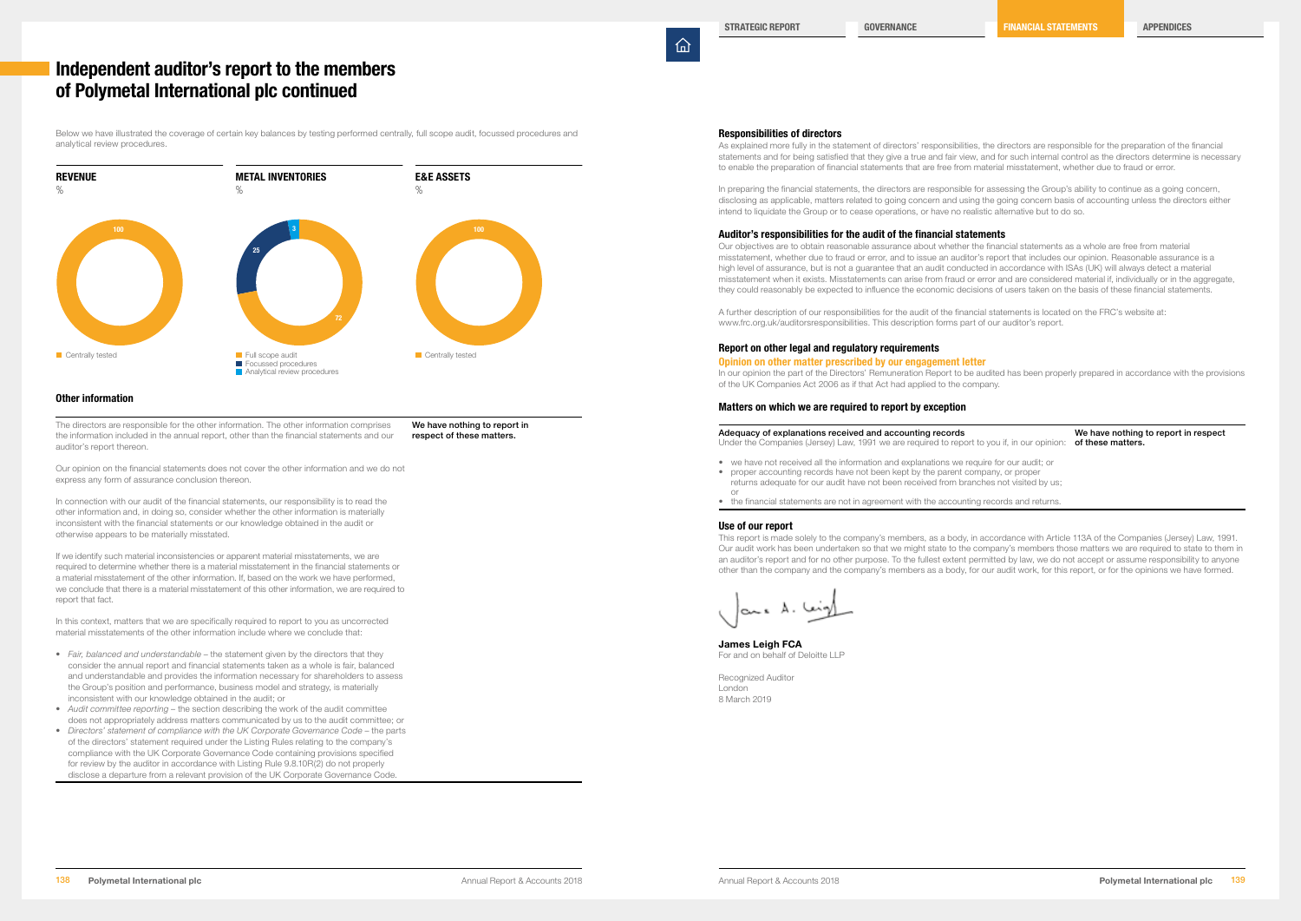ſпì

Below we have illustrated the coverage of certain key balances by testing performed centrally, full scope audit, focussed procedures and analytical review procedures.



#### **Other information**

The directors are responsible for the other information. The other information comprises the information included in the annual report, other than the financial statements and our auditor's report thereon.

Our opinion on the financial statements does not cover the other information and we do not express any form of assurance conclusion thereon.

If we identify such material inconsistencies or apparent material misstatements, we are required to determine whether there is a material misstatement in the financial statements or a material misstatement of the other information. If, based on the work we have performed, we conclude that there is a material misstatement of this other information, we are required to report that fact.

In connection with our audit of the financial statements, our responsibility is to read the other information and, in doing so, consider whether the other information is materially inconsistent with the financial statements or our knowledge obtained in the audit or otherwise appears to be materially misstated.

In this context, matters that we are specifically required to report to you as uncorrected material misstatements of the other information include where we conclude that:

- *Fair, balanced and understandable* the statement given by the directors that they consider the annual report and financial statements taken as a whole is fair, balanced and understandable and provides the information necessary for shareholders to assess the Group's position and performance, business model and strategy, is materially inconsistent with our knowledge obtained in the audit; or
- *Audit committee reporting* the section describing the work of the audit committee does not appropriately address matters communicated by us to the audit committee; or
- Directors' statement of compliance with the UK Corporate Governance Code the parts of the directors' statement required under the Listing Rules relating to the company's compliance with the UK Corporate Governance Code containing provisions specified for review by the auditor in accordance with Listing Rule 9.8.10R(2) do not properly disclose a departure from a relevant provision of the UK Corporate Governance Code.

We have nothing to report in respect of these matters.

## **Independent auditor's report to the members of Polymetal International plc continued**

#### **Responsibilities of directors**

As explained more fully in the statement of directors' responsibilities, the directors are responsible for the preparation of the financial statements and for being satisfied that they give a true and fair view, and for such internal control as the directors determine is necessary to enable the preparation of financial statements that are free from material misstatement, whether due to fraud or error.

In preparing the financial statements, the directors are responsible for assessing the Group's ability to continue as a going concern, disclosing as applicable, matters related to going concern and using the going concern basis of accounting unless the directors either intend to liquidate the Group or to cease operations, or have no realistic alternative but to do so.

#### **Auditor's responsibilities for the audit of the financial statements**

Our objectives are to obtain reasonable assurance about whether the financial statements as a whole are free from material misstatement, whether due to fraud or error, and to issue an auditor's report that includes our opinion. Reasonable assurance is a high level of assurance, but is not a guarantee that an audit conducted in accordance with ISAs (UK) will always detect a material misstatement when it exists. Misstatements can arise from fraud or error and are considered material if, individually or in the aggregate, they could reasonably be expected to influence the economic decisions of users taken on the basis of these financial statements.

A further description of our responsibilities for the audit of the financial statements is located on the FRC's website at: www.frc.org.uk/auditorsresponsibilities. This description forms part of our auditor's report.

#### **Report on other legal and regulatory requirements**

**Opinion on other matter prescribed by our engagement letter** In our opinion the part of the Directors' Remuneration Report to be audited has been properly prepared in accordance with the provisions of the UK Companies Act 2006 as if that Act had applied to the company.

#### **Matters on which we are required to report by exception**

#### Adequacy of explanations received and accounting records

Under the Companies (Jersey) Law, 1991 we are required to report to you if, in our opinion: of these matters.

- we have not received all the information and explanations we require for our audit; or
- proper accounting records have not been kept by the parent company, or proper returns adequate for our audit have not been received from branches not visited by us;
- or • the financial statements are not in agreement with the accounting records and returns.

We have nothing to report in respect

#### **Use of our report**

This report is made solely to the company's members, as a body, in accordance with Article 113A of the Companies (Jersey) Law, 1991. Our audit work has been undertaken so that we might state to the company's members those matters we are required to state to them in an auditor's report and for no other purpose. To the fullest extent permitted by law, we do not accept or assume responsibility to anyone other than the company and the company's members as a body, for our audit work, for this report, or for the opinions we have formed.

ars A. Vir

**James Leigh FCA** For and on behalf of Deloitte LLP

Recognized Auditor London 8 March 2019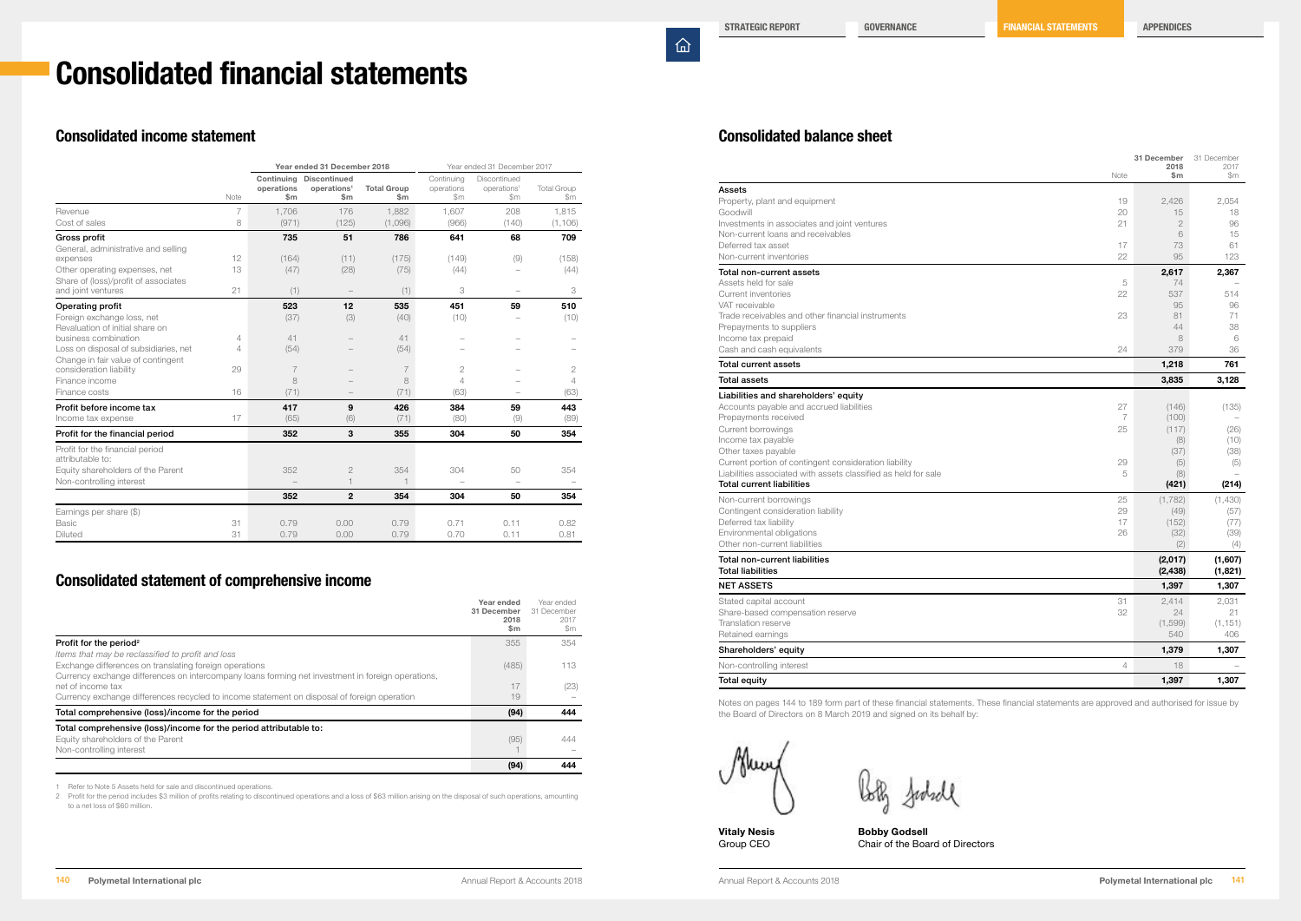仚

# <span id="page-4-0"></span>**Consolidated financial statements**

### **Consolidated income statement**

|                                                                       |      | Year ended 31 December 2018 |                                                                    |                                     | Year ended 31 December 2017                |                                                           |                                      |
|-----------------------------------------------------------------------|------|-----------------------------|--------------------------------------------------------------------|-------------------------------------|--------------------------------------------|-----------------------------------------------------------|--------------------------------------|
|                                                                       | Note | operations<br>\$m\$         | <b>Continuing Discontinued</b><br>operations <sup>1</sup><br>\$m\$ | <b>Total Group</b><br>$\mathsf{Sm}$ | Continuing<br>operations<br>$\mathbb{S}$ m | Discontinued<br>operations <sup>1</sup><br>$\mathbb{S}$ m | <b>Total Group</b><br>$\mathbb{S}$ m |
| Revenue                                                               | 7    | 1.706                       | 176                                                                | 1.882                               | 1.607                                      | 208                                                       | 1.815                                |
| Cost of sales                                                         | 8    | (971)                       | (125)                                                              | (1,096)                             | (966)                                      | (140)                                                     | (1, 106)                             |
| Gross profit                                                          |      | 735                         | 51                                                                 | 786                                 | 641                                        | 68                                                        | 709                                  |
| General, administrative and selling                                   |      |                             |                                                                    |                                     |                                            |                                                           |                                      |
| expenses                                                              | 12   | (164)                       | (11)                                                               | (175)                               | (149)                                      | (9)                                                       | (158)                                |
| Other operating expenses, net<br>Share of (loss)/profit of associates | 13   | (47)                        | (28)                                                               | (75)                                | (44)                                       |                                                           | (44)                                 |
| and joint ventures                                                    | 21   | (1)                         |                                                                    | (1)                                 | 3                                          |                                                           | 3                                    |
| Operating profit                                                      |      | 523                         | 12                                                                 | 535                                 | 451                                        | 59                                                        | 510                                  |
| Foreign exchange loss, net                                            |      | (37)                        | (3)                                                                | (40)                                | (10)                                       |                                                           | (10)                                 |
| Revaluation of initial share on                                       |      |                             |                                                                    |                                     |                                            |                                                           |                                      |
| business combination                                                  | 4    | 41                          |                                                                    | 41                                  |                                            |                                                           |                                      |
| Loss on disposal of subsidiaries, net                                 | 4    | (54)                        |                                                                    | (54)                                |                                            |                                                           |                                      |
| Change in fair value of contingent                                    |      |                             |                                                                    |                                     |                                            |                                                           |                                      |
| consideration liability                                               | 29   | 7                           |                                                                    | $\overline{7}$                      | 2                                          |                                                           | 2                                    |
| Finance income                                                        |      | 8                           |                                                                    | 8                                   | $\overline{4}$                             |                                                           | $\overline{4}$                       |
| Finance costs                                                         | 16   | (71)                        |                                                                    | (71)                                | (63)                                       |                                                           | (63)                                 |
| Profit before income tax                                              |      | 417                         | 9                                                                  | 426                                 | 384                                        | 59                                                        | 443                                  |
| Income tax expense                                                    | 17   | (65)                        | (6)                                                                | (71)                                | (80)                                       | (9)                                                       | (89)                                 |
| Profit for the financial period                                       |      | 352                         | 3                                                                  | 355                                 | 304                                        | 50                                                        | 354                                  |
| Profit for the financial period<br>attributable to:                   |      |                             |                                                                    |                                     |                                            |                                                           |                                      |
| Equity shareholders of the Parent                                     |      | 352                         | $\overline{2}$                                                     | 354                                 | 304                                        | 50                                                        | 354                                  |
| Non-controlling interest                                              |      |                             | $\overline{\phantom{a}}$                                           | $\overline{\phantom{a}}$            |                                            |                                                           |                                      |
|                                                                       |      | 352                         | $\overline{2}$                                                     | 354                                 | 304                                        | 50                                                        | 354                                  |
| Earnings per share (\$)                                               |      |                             |                                                                    |                                     |                                            |                                                           |                                      |
| <b>Basic</b>                                                          | 31   | 0.79                        | 0.00                                                               | 0.79                                | 0.71                                       | 0.11                                                      | 0.82                                 |
| <b>Diluted</b>                                                        | 31   | 0.79                        | 0.00                                                               | 0.79                                | 0.70                                       | 0.11                                                      | 0.81                                 |

### **Consolidated balance sheet**

|                                                                | Note | 31 December<br>2018<br>\$m | 31 December<br>2017<br>$\mathbb{S}$ m |
|----------------------------------------------------------------|------|----------------------------|---------------------------------------|
|                                                                |      |                            |                                       |
| Assets<br>Property, plant and equipment                        | 19   | 2,426                      | 2,054                                 |
| Goodwill                                                       | 20   | 15                         | 18                                    |
| Investments in associates and joint ventures                   | 21   | $\overline{2}$             | 96                                    |
| Non-current loans and receivables                              |      | 6                          | 15                                    |
| Deferred tax asset                                             | 17   | 73                         | 61                                    |
| Non-current inventories                                        | 22   | 95                         | 123                                   |
| Total non-current assets                                       |      | 2,617                      | 2,367                                 |
| Assets held for sale                                           | 5    | 74                         |                                       |
| <b>Current inventories</b>                                     | 22   | 537                        | 514                                   |
| VAT receivable                                                 |      | 95                         | 96                                    |
| Trade receivables and other financial instruments              | 23   | 81                         | 71                                    |
| Prepayments to suppliers                                       |      | 44                         | 38                                    |
| Income tax prepaid                                             |      | 8                          | 6                                     |
| Cash and cash equivalents                                      | 24   | 379                        | 36                                    |
| Total current assets                                           |      | 1,218                      | 761                                   |
| Total assets                                                   |      | 3,835                      | 3,128                                 |
| Liabilities and shareholders' equity                           |      |                            |                                       |
| Accounts payable and accrued liabilities                       | 27   | (146)                      | (135)                                 |
| Prepayments received                                           | 7    | (100)                      |                                       |
| Current borrowings                                             | 25   | (117)                      | (26)                                  |
| Income tax payable                                             |      | (8)                        | (10)                                  |
| Other taxes payable                                            |      | (37)                       | (38)                                  |
| Current portion of contingent consideration liability          | 29   | (5)                        | (5)                                   |
| Liabilities associated with assets classified as held for sale | 5    | (8)                        |                                       |
| <b>Total current liabilities</b>                               |      | (421)                      | (214)                                 |
| Non-current borrowings                                         | 25   | (1,782)                    | (1,430)                               |
| Contingent consideration liability                             | 29   | (49)                       | (57)                                  |
| Deferred tax liability                                         | 17   | (152)                      | (77)                                  |
| Environmental obligations                                      | 26   | (32)                       | (39)                                  |
| Other non-current liabilities                                  |      | (2)                        | (4)                                   |
| Total non-current liabilities                                  |      | (2,017)                    | (1,607)                               |
| <b>Total liabilities</b>                                       |      | (2, 438)                   | (1,821)                               |
| <b>NET ASSETS</b>                                              |      | 1,397                      | 1,307                                 |
| Stated capital account                                         | 31   | 2,414                      | 2,031                                 |
| Share-based compensation reserve                               | 32   | 24                         | 21                                    |
| <b>Translation reserve</b>                                     |      | (1,599)                    | (1, 151)                              |
| Retained earnings                                              |      | 540                        | 406                                   |
| Shareholders' equity                                           |      | 1,379                      | 1,307                                 |
| Non-controlling interest                                       | 4    | 18                         |                                       |
| <b>Total equity</b>                                            |      | 1.397                      | 1.307                                 |

| Assets                                                                                                                                                                                                        |                      |                     |                |
|---------------------------------------------------------------------------------------------------------------------------------------------------------------------------------------------------------------|----------------------|---------------------|----------------|
| Property, plant and equipment                                                                                                                                                                                 | 19                   | 2.426               | 2.054          |
| Goodwill                                                                                                                                                                                                      | 20                   | 15                  | 18             |
| Investments in associates and joint ventures<br>Non-current loans and receivables                                                                                                                             | 21                   | $\overline{2}$<br>6 | 96<br>15       |
| Deferred tax asset                                                                                                                                                                                            | 17                   | 73                  | 61             |
| Non-current inventories                                                                                                                                                                                       | 22                   | 95                  | 123            |
| Total non-current assets                                                                                                                                                                                      |                      | 2,617               | 2,367          |
| Assets held for sale                                                                                                                                                                                          | 5                    | 74                  |                |
| <b>Current inventories</b>                                                                                                                                                                                    | 22                   | 537                 | 514            |
| VAT receivable                                                                                                                                                                                                |                      | 95                  | 96             |
| Trade receivables and other financial instruments                                                                                                                                                             | 23                   | 81                  | 71             |
| Prepayments to suppliers                                                                                                                                                                                      |                      | 44                  | 38             |
| Income tax prepaid<br>Cash and cash equivalents                                                                                                                                                               | 24                   | 8<br>379            | 6<br>36        |
|                                                                                                                                                                                                               |                      |                     |                |
| <b>Total current assets</b>                                                                                                                                                                                   |                      | 1,218               | 761            |
| <b>Total assets</b>                                                                                                                                                                                           |                      | 3,835               | 3,128          |
| Liabilities and shareholders' equity                                                                                                                                                                          |                      |                     |                |
| Accounts payable and accrued liabilities                                                                                                                                                                      | 27                   | (146)               | (135)          |
| Prepayments received<br>Current borrowings                                                                                                                                                                    | $\overline{7}$<br>25 | (100)               | (26)           |
| Income tax payable                                                                                                                                                                                            |                      | (117)<br>(8)        | (10)           |
| Other taxes payable                                                                                                                                                                                           |                      | (37)                | (38)           |
| Current portion of contingent consideration liability                                                                                                                                                         | 29                   | (5)                 | (5)            |
| Liabilities associated with assets classified as held for sale                                                                                                                                                | 5                    | (8)                 |                |
| <b>Total current liabilities</b>                                                                                                                                                                              |                      | (421)               | (214)          |
| Non-current borrowings                                                                                                                                                                                        | 25                   | (1,782)             | (1,430)        |
| Contingent consideration liability                                                                                                                                                                            | 29                   | (49)                | (57)           |
| Deferred tax liability                                                                                                                                                                                        | 17                   | (152)               | (77)           |
| Environmental obligations                                                                                                                                                                                     | 26                   | (32)                | (39)           |
| Other non-current liabilities                                                                                                                                                                                 |                      | (2)                 | (4)            |
| <b>Total non-current liabilities</b><br><b>Total liabilities</b>                                                                                                                                              |                      | (2,017)             | (1,607)        |
|                                                                                                                                                                                                               |                      | (2, 438)            | (1,821)        |
| <b>NET ASSETS</b>                                                                                                                                                                                             |                      | 1,397               | 1,307          |
| Stated capital account                                                                                                                                                                                        | 31                   | 2,414               | 2,031          |
| Share-based compensation reserve<br>Translation reserve                                                                                                                                                       | 32                   | 24<br>(1,599)       | 21<br>(1, 151) |
| Retained earnings                                                                                                                                                                                             |                      | 540                 | 406            |
| Shareholders' equity                                                                                                                                                                                          |                      | 1,379               | 1,307          |
| Non-controlling interest                                                                                                                                                                                      | $\overline{4}$       | 18                  |                |
|                                                                                                                                                                                                               |                      | 1,397               | 1,307          |
| <b>Total equity</b>                                                                                                                                                                                           |                      |                     |                |
| Notes on pages 144 to 189 form part of these financial statements. These financial statements are approved and authorised for issue by<br>the Board of Directors on 8 March 2019 and signed on its behalf by: |                      |                     |                |



**Vitaly Nesis** Group CEO

**Bobby Godsell** Chair of the Board of Directors

### **Consolidated statement of comprehensive income**

|                                                                                                   | Year ended<br>31 December<br>2018<br>$\mathsf{sm}$ | Year ended<br>31 December<br>2017<br>$\mathbb{S}$ m |
|---------------------------------------------------------------------------------------------------|----------------------------------------------------|-----------------------------------------------------|
| Profit for the period <sup>2</sup>                                                                | 355                                                | 354                                                 |
| Items that may be reclassified to profit and loss                                                 |                                                    |                                                     |
| Exchange differences on translating foreign operations                                            | (485)                                              | 113                                                 |
| Currency exchange differences on intercompany loans forming net investment in foreign operations, |                                                    |                                                     |
| net of income tax                                                                                 | 17                                                 | (23)                                                |
| Currency exchange differences recycled to income statement on disposal of foreign operation       | 19                                                 |                                                     |
| Total comprehensive (loss)/income for the period                                                  | (94)                                               | 444                                                 |
| Total comprehensive (loss)/income for the period attributable to:                                 |                                                    |                                                     |
| Equity shareholders of the Parent                                                                 | (95)                                               | 444                                                 |
| Non-controlling interest                                                                          |                                                    |                                                     |
|                                                                                                   | (94)                                               | 444                                                 |

1 Refer to Note 5 Assets held for sale and discontinued operations.

2 Profit for the period includes \$3 million of profits relating to discontinued operations and a loss of \$63 million arising on the disposal of such operations, amounting to a net loss of \$60 million.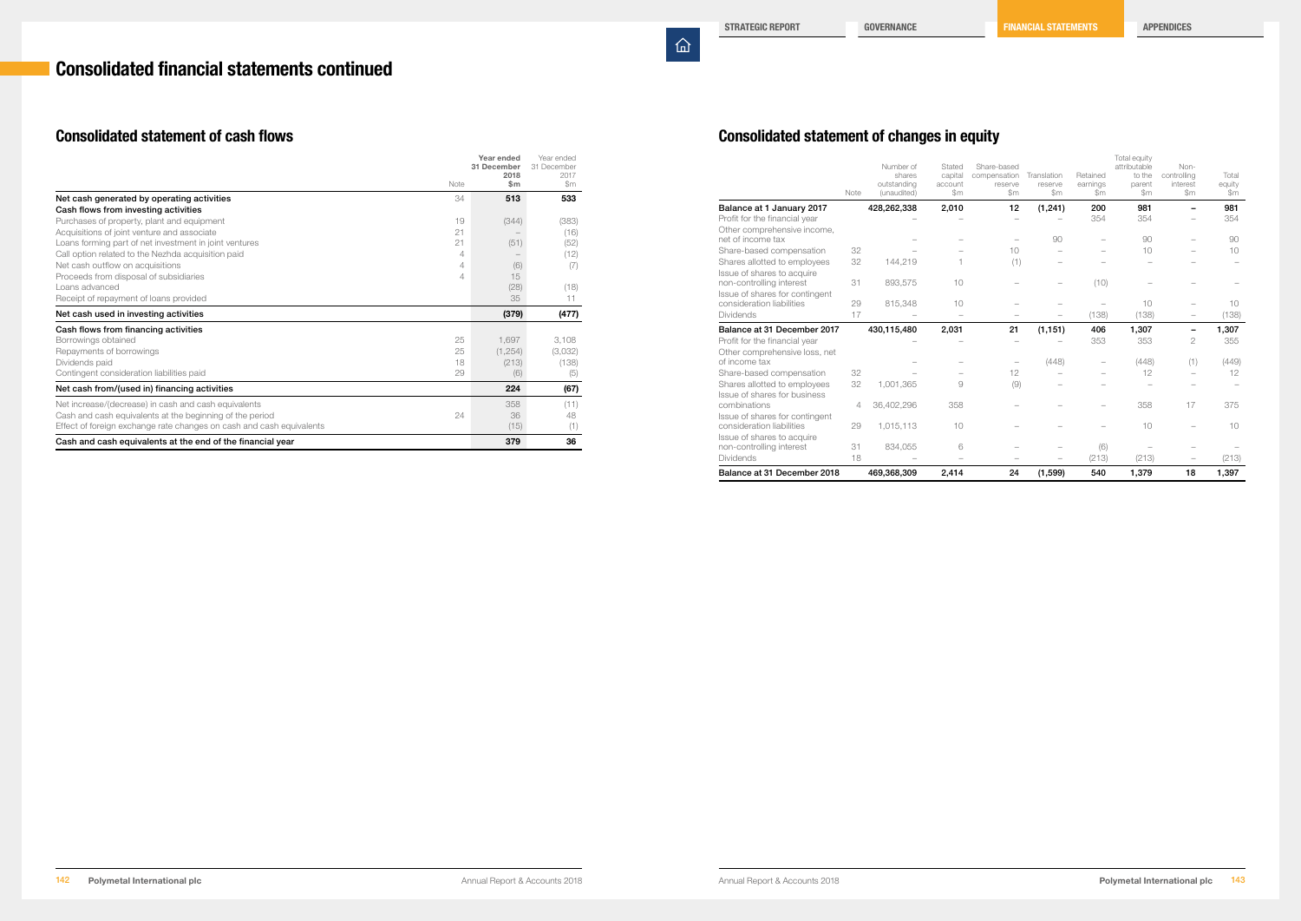$\hat{\mathbb{U}}$ 

## <span id="page-5-0"></span>**Consolidated financial statements continued**

### **Consolidated statement of cash flows**

|                                                                      | Year ended<br>31 December<br>2018 | Year ended<br>31 December<br>2017 |
|----------------------------------------------------------------------|-----------------------------------|-----------------------------------|
| Note                                                                 | \$m\$                             | $\mathbb{S}$ m                    |
| 34<br>Net cash generated by operating activities                     | 513                               | 533                               |
| Cash flows from investing activities                                 |                                   |                                   |
| 19<br>Purchases of property, plant and equipment                     | (344)                             | (383)                             |
| 21<br>Acquisitions of joint venture and associate                    |                                   | (16)                              |
| Loans forming part of net investment in joint ventures<br>21         | (51)                              | (52)                              |
| Call option related to the Nezhda acquisition paid<br>4              |                                   | (12)                              |
| Net cash outflow on acquisitions<br>4                                | (6)                               | (7)                               |
| Proceeds from disposal of subsidiaries<br>4                          | 15                                |                                   |
| Loans advanced                                                       | (28)                              | (18)                              |
| Receipt of repayment of loans provided                               | 35                                | 11                                |
| Net cash used in investing activities                                | (379)                             | (477)                             |
| Cash flows from financing activities                                 |                                   |                                   |
| 25<br>Borrowings obtained                                            | 1.697                             | 3.108                             |
| 25<br>Repayments of borrowings                                       | (1, 254)                          | (3,032)                           |
| 18<br>Dividends paid                                                 | (213)                             | (138)                             |
| Contingent consideration liabilities paid<br>29                      | (6)                               | (5)                               |
| Net cash from/(used in) financing activities                         | 224                               | (67)                              |
| Net increase/(decrease) in cash and cash equivalents                 | 358                               | (11)                              |
| Cash and cash equivalents at the beginning of the period<br>24       | 36                                | 48                                |
| Effect of foreign exchange rate changes on cash and cash equivalents | (15)                              | (1)                               |
| Cash and cash equivalents at the end of the financial year           | 379                               | 36                                |

## **Consolidated statement of changes in equity**

|                                                              | Note | Number of<br>shares<br>outstanding<br>(unaudited) | Stated<br>capital<br>account<br>$\mathbb{S}$ m | Share-based<br>compensation<br>reserve<br>$\mathbb{S}$ m | Translation<br>reserve<br>$\mathbb{S}$ m | Retained<br>earnings<br>$\mathbb{S}$ m | Total equity<br>attributable<br>to the<br>parent<br>$\mathbb{S}$ m | Non-<br>controlling<br>interest<br>$\mathbb{S}$ m | Total<br>equity<br>$\mathbb{S}$ m |
|--------------------------------------------------------------|------|---------------------------------------------------|------------------------------------------------|----------------------------------------------------------|------------------------------------------|----------------------------------------|--------------------------------------------------------------------|---------------------------------------------------|-----------------------------------|
| Balance at 1 January 2017                                    |      | 428,262,338                                       | 2,010                                          | 12                                                       | (1, 241)                                 | 200                                    | 981                                                                |                                                   | 981                               |
| Profit for the financial year                                |      |                                                   |                                                |                                                          |                                          | 354                                    | 354                                                                |                                                   | 354                               |
| Other comprehensive income,                                  |      |                                                   |                                                |                                                          |                                          |                                        |                                                                    |                                                   |                                   |
| net of income tax                                            |      |                                                   |                                                |                                                          | 90                                       |                                        | 90                                                                 |                                                   | 90                                |
| Share-based compensation                                     | 32   |                                                   |                                                | 10                                                       |                                          |                                        | 10                                                                 |                                                   | 10                                |
| Shares allotted to employees<br>Issue of shares to acquire   | 32   | 144,219                                           |                                                | (1)                                                      |                                          |                                        |                                                                    |                                                   |                                   |
| non-controlling interest<br>Issue of shares for contingent   | 31   | 893,575                                           | 10                                             |                                                          |                                          | (10)                                   |                                                                    |                                                   |                                   |
| consideration liabilities                                    | 29   | 815,348                                           | 10                                             |                                                          |                                          |                                        | 10                                                                 |                                                   | 10                                |
| <b>Dividends</b>                                             | 17   |                                                   |                                                |                                                          |                                          | (138)                                  | (138)                                                              |                                                   | (138)                             |
| Balance at 31 December 2017                                  |      | 430,115,480                                       | 2,031                                          | 21                                                       | (1, 151)                                 | 406                                    | 1,307                                                              | $\qquad \qquad$                                   | 1,307                             |
| Profit for the financial year                                |      |                                                   |                                                |                                                          |                                          | 353                                    | 353                                                                | $\overline{2}$                                    | 355                               |
| Other comprehensive loss, net                                |      |                                                   |                                                |                                                          |                                          |                                        |                                                                    |                                                   |                                   |
| of income tax                                                |      |                                                   |                                                | ۰                                                        | (448)                                    |                                        | (448)                                                              | (1)                                               | (449)                             |
| Share-based compensation                                     | 32   |                                                   |                                                | 12                                                       |                                          |                                        | 12                                                                 | $\overline{\phantom{0}}$                          | 12                                |
| Shares allotted to employees<br>Issue of shares for business | 32   | 1,001,365                                         | 9                                              | (9)                                                      |                                          |                                        |                                                                    |                                                   |                                   |
| combinations<br>Issue of shares for contingent               | 4    | 36,402,296                                        | 358                                            |                                                          |                                          |                                        | 358                                                                | 17                                                | 375                               |
| consideration liabilities                                    | 29   | 1,015,113                                         | 10                                             |                                                          |                                          |                                        | 10                                                                 |                                                   | 10                                |
| Issue of shares to acquire<br>non-controlling interest       | 31   | 834,055                                           | 6                                              |                                                          |                                          | (6)                                    |                                                                    |                                                   |                                   |
| <b>Dividends</b>                                             | 18   |                                                   |                                                |                                                          |                                          | (213)                                  | (213)                                                              |                                                   | (213)                             |
| Balance at 31 December 2018                                  |      | 469,368,309                                       | 2,414                                          | 24                                                       | (1, 599)                                 | 540                                    | 1,379                                                              | 18                                                | 1,397                             |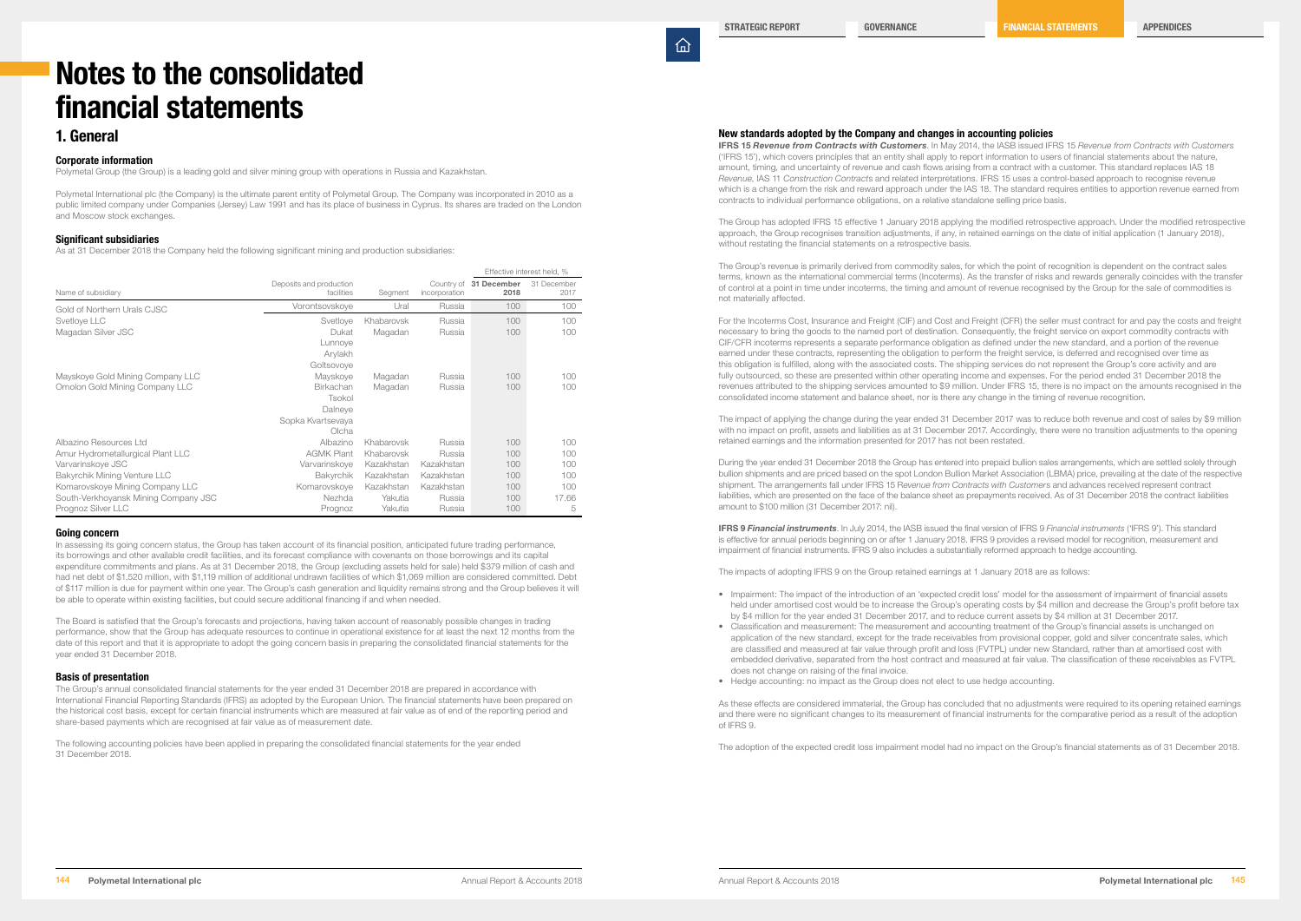# <span id="page-6-0"></span>**Notes to the consolidated financial statements**

### **1. General**

### **Corporate information**

Polymetal Group (the Group) is a leading gold and silver mining group with operations in Russia and Kazakhstan.

Polymetal International plc (the Company) is the ultimate parent entity of Polymetal Group. The Company was incorporated in 2010 as a public limited company under Companies (Jersey) Law 1991 and has its place of business in Cyprus. Its shares are traded on the London and Moscow stock exchanges.

### **Significant subsidiaries**

As at 31 December 2018 the Company held the following significant mining and production subsidiaries:

|                                      |                                       |            |                             |                     | Effective interest held, % |
|--------------------------------------|---------------------------------------|------------|-----------------------------|---------------------|----------------------------|
| Name of subsidiary                   | Deposits and production<br>facilities | Segment    | Country of<br>incorporation | 31 December<br>2018 | 31 December<br>2017        |
| Gold of Northern Urals CJSC          | Vorontsovskove                        | Ural       | Russia                      | 100                 | 100                        |
| Svetloye LLC                         | Svetloye                              | Khabarovsk | Russia                      | 100                 | 100                        |
| Magadan Silver JSC                   | Dukat                                 | Magadan    | Russia                      | 100                 | 100                        |
|                                      | Lunnoye                               |            |                             |                     |                            |
|                                      | Arylakh                               |            |                             |                     |                            |
|                                      | Goltsovoye                            |            |                             |                     |                            |
| Mayskoye Gold Mining Company LLC     | Mayskoye                              | Magadan    | Russia                      | 100                 | 100                        |
| Omolon Gold Mining Company LLC       | <b>Birkachan</b>                      | Magadan    | Russia                      | 100                 | 100                        |
|                                      | Tsokol                                |            |                             |                     |                            |
|                                      | Dalneye                               |            |                             |                     |                            |
|                                      | Sopka Kvartsevaya                     |            |                             |                     |                            |
|                                      | Olcha                                 |            |                             |                     |                            |
| Albazino Resources Ltd               | Albazino                              | Khabarovsk | Russia                      | 100                 | $100 -$                    |
| Amur Hydrometallurgical Plant LLC    | <b>AGMK Plant</b>                     | Khabarovsk | Russia                      | 100                 | 100                        |
| Varvarinskoye JSC                    | Varvarinskove                         | Kazakhstan | Kazakhstan                  | 100                 | 100                        |
| Bakyrchik Mining Venture LLC         | <b>Bakyrchik</b>                      | Kazakhstan | Kazakhstan                  | 100                 | $100 -$                    |
| Komarovskoye Mining Company LLC      | Komarovskove                          | Kazakhstan | Kazakhstan                  | 100                 | 100                        |
| South-Verkhoyansk Mining Company JSC | Nezhda                                | Yakutia    | Russia                      | 100                 | 17.66                      |
| Prognoz Silver LLC                   | Prognoz                               | Yakutia    | Russia                      | 100                 | 5                          |

#### **Going concern**

In assessing its going concern status, the Group has taken account of its financial position, anticipated future trading performance, its borrowings and other available credit facilities, and its forecast compliance with covenants on those borrowings and its capital expenditure commitments and plans. As at 31 December 2018, the Group (excluding assets held for sale) held \$379 million of cash and had net debt of \$1,520 million, with \$1,119 million of additional undrawn facilities of which \$1,069 million are considered committed. Debt of \$117 million is due for payment within one year. The Group's cash generation and liquidity remains strong and the Group believes it will be able to operate within existing facilities, but could secure additional financing if and when needed.

The Board is satisfied that the Group's forecasts and projections, having taken account of reasonably possible changes in trading performance, show that the Group has adequate resources to continue in operational existence for at least the next 12 months from the date of this report and that it is appropriate to adopt the going concern basis in preparing the consolidated financial statements for the year ended 31 December 2018.

#### **Basis of presentation**

The Group's annual consolidated financial statements for the year ended 31 December 2018 are prepared in accordance with International Financial Reporting Standards (IFRS) as adopted by the European Union. The financial statements have been prepared on the historical cost basis, except for certain financial instruments which are measured at fair value as of end of the reporting period and share-based payments which are recognised at fair value as of measurement date.

The following accounting policies have been applied in preparing the consolidated financial statements for the year ended 31 December 2018.

#### **New standards adopted by the Company and changes in accounting policies**

**IFRS 15** *Revenue from Contracts with Customers*. In May 2014, the IASB issued IFRS 15 *Revenue from Contracts with Customers* ('IFRS 15'), which covers principles that an entity shall apply to report information to users of financial statements about the nature, amount, timing, and uncertainty of revenue and cash flows arising from a contract with a customer. This standard replaces IAS 18 *Revenue*, IAS 11 *Construction Contract*s and related interpretations. IFRS 15 uses a control-based approach to recognise revenue which is a change from the risk and reward approach under the IAS 18. The standard requires entities to apportion revenue earned from contracts to individual performance obligations, on a relative standalone selling price basis.

The Group has adopted IFRS 15 effective 1 January 2018 applying the modified retrospective approach. Under the modified retrospective approach, the Group recognises transition adjustments, if any, in retained earnings on the date of initial application (1 January 2018), without restating the financial statements on a retrospective basis.

The Group's revenue is primarily derived from commodity sales, for which the point of recognition is dependent on the contract sales terms, known as the international commercial terms (Incoterms). As the transfer of risks and rewards generally coincides with the transfer of control at a point in time under incoterms, the timing and amount of revenue recognised by the Group for the sale of commodities is not materially affected.

For the Incoterms Cost, Insurance and Freight (CIF) and Cost and Freight (CFR) the seller must contract for and pay the costs and freight necessary to bring the goods to the named port of destination. Consequently, the freight service on export commodity contracts with CIF/CFR incoterms represents a separate performance obligation as defined under the new standard, and a portion of the revenue earned under these contracts, representing the obligation to perform the freight service, is deferred and recognised over time as this obligation is fulfilled, along with the associated costs. The shipping services do not represent the Group's core activity and are fully outsourced, so these are presented within other operating income and expenses. For the period ended 31 December 2018 the revenues attributed to the shipping services amounted to \$9 million. Under IFRS 15, there is no impact on the amounts recognised in the consolidated income statement and balance sheet, nor is there any change in the timing of revenue recognition.

The impact of applying the change during the year ended 31 December 2017 was to reduce both revenue and cost of sales by \$9 million with no impact on profit, assets and liabilities as at 31 December 2017. Accordingly, there were no transition adjustments to the opening retained earnings and the information presented for 2017 has not been restated.

During the year ended 31 December 2018 the Group has entered into prepaid bullion sales arrangements, which are settled solely through bullion shipments and are priced based on the spot London Bullion Market Association (LBMA) price, prevailing at the date of the respective shipment. The arrangements fall under IFRS 15 R*evenue from Contracts with Customer*s and advances received represent contract liabilities, which are presented on the face of the balance sheet as prepayments received. As of 31 December 2018 the contract liabilities amount to \$100 million (31 December 2017: nil).

**IFRS 9** *Financial instruments*. In July 2014, the IASB issued the final version of IFRS 9 *Financial instruments* ('IFRS 9'). This standard is effective for annual periods beginning on or after 1 January 2018. IFRS 9 provides a revised model for recognition, measurement and impairment of financial instruments. IFRS 9 also includes a substantially reformed approach to hedge accounting.

The impacts of adopting IFRS 9 on the Group retained earnings at 1 January 2018 are as follows:

held under amortised cost would be to increase the Group's operating costs by \$4 million and decrease the Group's profit before tax

- Impairment: The impact of the introduction of an 'expected credit loss' model for the assessment of impairment of financial assets by \$4 million for the year ended 31 December 2017, and to reduce current assets by \$4 million at 31 December 2017.
- Classification and measurement: The measurement and accounting treatment of the Group's financial assets is unchanged on application of the new standard, except for the trade receivables from provisional copper, gold and silver concentrate sales, which are classified and measured at fair value through profit and loss (FVTPL) under new Standard, rather than at amortised cost with embedded derivative, separated from the host contract and measured at fair value. The classification of these receivables as FVTPL does not change on raising of the final invoice.
- Hedge accounting: no impact as the Group does not elect to use hedge accounting.

As these effects are considered immaterial, the Group has concluded that no adjustments were required to its opening retained earnings and there were no significant changes to its measurement of financial instruments for the comparative period as a result of the adoption of IFRS 9.

The adoption of the expected credit loss impairment model had no impact on the Group's financial statements as of 31 December 2018.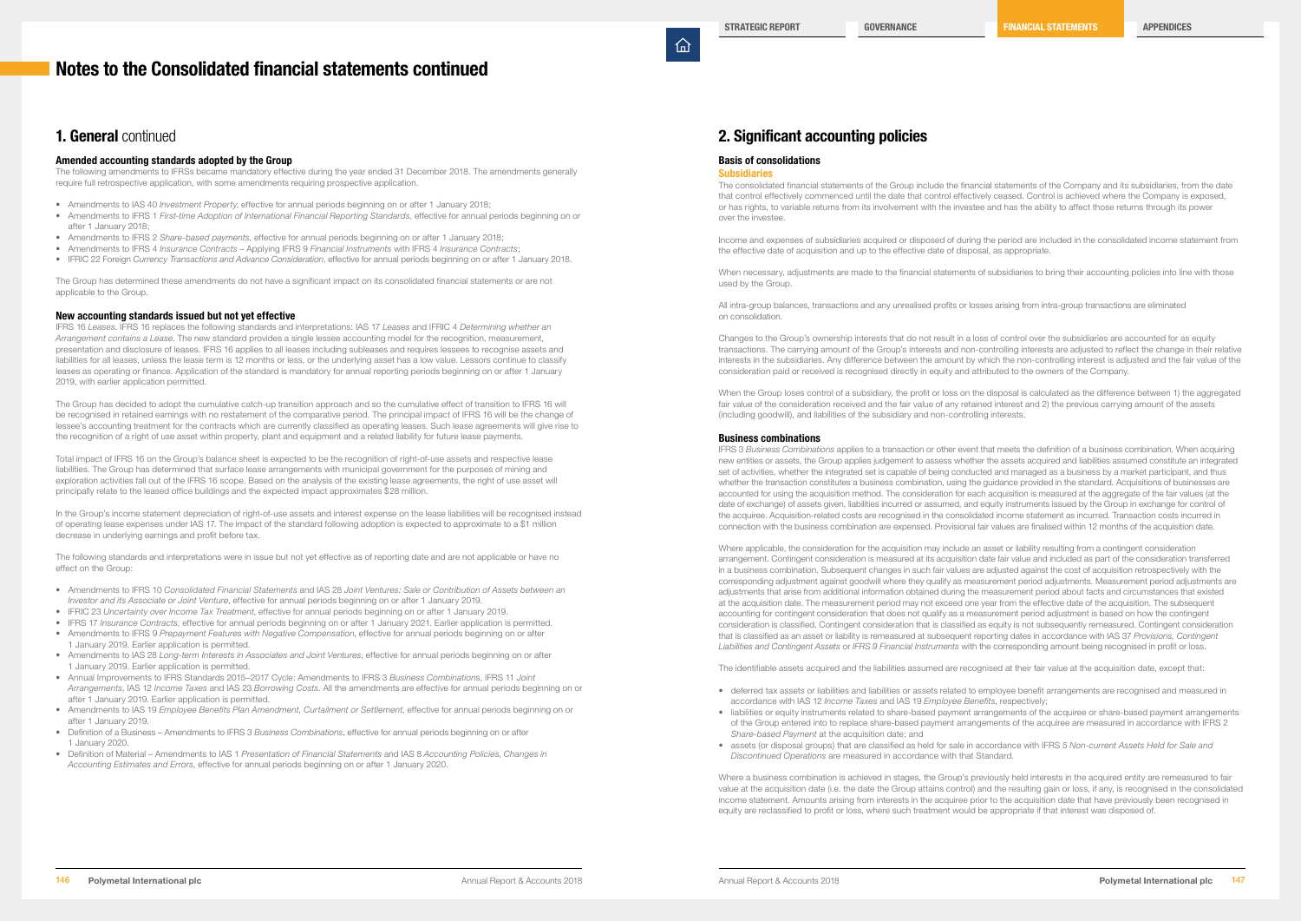## <span id="page-7-0"></span>**Notes to the Consolidated financial statements continued**

### **1. General** continued

### **Amended accounting standards adopted by the Group**

The following amendments to IFRSs became mandatory effective during the year ended 31 December 2018. The amendments generally require full retrospective application, with some amendments requiring prospective application.

- Amendments to IAS 40 *Investment Property*, effective for annual periods beginning on or after 1 January 2018;
- Amendments to IFRS 1 *First-time Adoption of International Financial Reporting Standards*, effective for annual periods beginning on or after 1 January 2018;
- Amendments to IFRS 2 *Share-based payments*, effective for annual periods beginning on or after 1 January 2018;
- Amendments to IFRS 4 *Insurance Contracts* Applying IFRS 9 *Financial Instruments* with IFRS 4 *Insurance Contracts*;
- IFRIC 22 Foreign *Currency Transactions and Advance Consideration*, effective for annual periods beginning on or after 1 January 2018.

The Group has determined these amendments do not have a significant impact on its consolidated financial statements or are not applicable to the Group.

#### **New accounting standards issued but not yet effective**

IFRS 16 *Leases*. IFRS 16 replaces the following standards and interpretations: IAS 17 *Leases* and IFRIC 4 *Determining whether an Arrangement contains a Lease*. The new standard provides a single lessee accounting model for the recognition, measurement, presentation and disclosure of leases. IFRS 16 applies to all leases including subleases and requires lessees to recognise assets and liabilities for all leases, unless the lease term is 12 months or less, or the underlying asset has a low value. Lessors continue to classify leases as operating or finance. Application of the standard is mandatory for annual reporting periods beginning on or after 1 January 2019, with earlier application permitted.

The Group has decided to adopt the cumulative catch-up transition approach and so the cumulative effect of transition to IFRS 16 will be recognised in retained earnings with no restatement of the comparative period. The principal impact of IFRS 16 will be the change of lessee's accounting treatment for the contracts which are currently classified as operating leases. Such lease agreements will give rise to the recognition of a right of use asset within property, plant and equipment and a related liability for future lease payments.

Total impact of IFRS 16 on the Group's balance sheet is expected to be the recognition of right-of-use assets and respective lease liabilities. The Group has determined that surface lease arrangements with municipal government for the purposes of mining and exploration activities fall out of the IFRS 16 scope. Based on the analysis of the existing lease agreements, the right of use asset will principally relate to the leased office buildings and the expected impact approximates \$28 million.

When necessary, adjustments are made to the financial statements of subsidiaries to bring their accounting policies into line with those used by the Group.

In the Group's income statement depreciation of right-of-use assets and interest expense on the lease liabilities will be recognised instead of operating lease expenses under IAS 17. The impact of the standard following adoption is expected to approximate to a \$1 million decrease in underlying earnings and profit before tax.

The following standards and interpretations were in issue but not yet effective as of reporting date and are not applicable or have no effect on the Group:

- Amendments to IFRS 10 *Consolidated Financial Statements* and IAS 28 *Joint Ventures: Sale or Contribution of Assets between an Investor and its Associate or Joint Venture*, effective for annual periods beginning on or after 1 January 2019.
- IFRIC 23 *Uncertainty over Income Tax Treatment*, effective for annual periods beginning on or after 1 January 2019.
- IFRS 17 *Insurance Contracts*, effective for annual periods beginning on or after 1 January 2021. Earlier application is permitted.
- Amendments to IFRS 9 *Prepayment Features with Negative Compensation*, effective for annual periods beginning on or after 1 January 2019. Earlier application is permitted.
- Amendments to IAS 28 *Long-term Interests in Associates and Joint Ventures*, effective for annual periods beginning on or after 1 January 2019. Earlier application is permitted.
- Annual Improvements to IFRS Standards 2015–2017 Cycle: Amendments to IFRS 3 *Business Combination*s, IFRS 11 *Joint Arrangements*, IAS 12 *Income Taxes* and IAS 23 *Borrowing Costs*. All the amendments are effective for annual periods beginning on or after 1 January 2019. Earlier application is permitted.
- Amendments to IAS 19 *Employee Benefits Plan Amendment, Curtailment or Settlement*, effective for annual periods beginning on or after 1 January 2019.
- Definition of a Business Amendments to IFRS 3 *Business Combinations*, effective for annual periods beginning on or after 1 January 2020.
- Definition of Material Amendments to IAS 1 *Presentation of Financial Statements* and IAS 8 *Accounting Policies*, *Changes in Accounting Estimates and Errors*, effective for annual periods beginning on or after 1 January 2020.

### **2. Significant accounting policies**

#### **Basis of consolidations**

#### **Subsidiaries**

The consolidated financial statements of the Group include the financial statements of the Company and its subsidiaries, from the date that control effectively commenced until the date that control effectively ceased. Control is achieved where the Company is exposed, or has rights, to variable returns from its involvement with the investee and has the ability to affect those returns through its power over the investee.

Income and expenses of subsidiaries acquired or disposed of during the period are included in the consolidated income statement from the effective date of acquisition and up to the effective date of disposal, as appropriate.

All intra-group balances, transactions and any unrealised profits or losses arising from intra-group transactions are eliminated on consolidation.

Changes to the Group's ownership interests that do not result in a loss of control over the subsidiaries are accounted for as equity transactions. The carrying amount of the Group's interests and non-controlling interests are adjusted to reflect the change in their relative interests in the subsidiaries. Any difference between the amount by which the non-controlling interest is adjusted and the fair value of the consideration paid or received is recognised directly in equity and attributed to the owners of the Company.

When the Group loses control of a subsidiary, the profit or loss on the disposal is calculated as the difference between 1) the aggregated fair value of the consideration received and the fair value of any retained interest and 2) the previous carrying amount of the assets (including goodwill), and liabilities of the subsidiary and non-controlling interests.

#### **Business combinations**

IFRS 3 *Business Combinations* applies to a transaction or other event that meets the definition of a business combination. When acquiring new entities or assets, the Group applies judgement to assess whether the assets acquired and liabilities assumed constitute an integrated set of activities, whether the integrated set is capable of being conducted and managed as a business by a market participant, and thus whether the transaction constitutes a business combination, using the guidance provided in the standard. Acquisitions of businesses are accounted for using the acquisition method. The consideration for each acquisition is measured at the aggregate of the fair values (at the date of exchange) of assets given, liabilities incurred or assumed, and equity instruments issued by the Group in exchange for control of the acquiree. Acquisition-related costs are recognised in the consolidated income statement as incurred. Transaction costs incurred in connection with the business combination are expensed. Provisional fair values are finalised within 12 months of the acquisition date.

Where applicable, the consideration for the acquisition may include an asset or liability resulting from a contingent consideration arrangement. Contingent consideration is measured at its acquisition date fair value and included as part of the consideration transferred in a business combination. Subsequent changes in such fair values are adjusted against the cost of acquisition retrospectively with the corresponding adjustment against goodwill where they qualify as measurement period adjustments. Measurement period adjustments are adjustments that arise from additional information obtained during the measurement period about facts and circumstances that existed at the acquisition date. The measurement period may not exceed one year from the effective date of the acquisition. The subsequent accounting for contingent consideration that does not qualify as a measurement period adjustment is based on how the contingent consideration is classified. Contingent consideration that is classified as equity is not subsequently remeasured. Contingent consideration that is classified as an asset or liability is remeasured at subsequent reporting dates in accordance with IAS 37 *Provisions, Contingent Liabilities and Contingent Assets* or *IFRS 9 Financial Instruments* with the corresponding amount being recognised in profit or loss.

The identifiable assets acquired and the liabilities assumed are recognised at their fair value at the acquisition date, except that:

- deferred tax assets or liabilities and liabilities or assets related to employee benefit arrangements are recognised and measured in accordance with IAS 12 *Income Taxes* and IAS 19 *Employee Benefits*, respectively;
- liabilities or equity instruments related to share-based payment arrangements of the acquiree or share-based payment arrangements of the Group entered into to replace share-based payment arrangements of the acquiree are measured in accordance with IFRS 2 *Share-based Payment* at the acquisition date; and
- assets (or disposal groups) that are classified as held for sale in accordance with IFRS 5 *Non-current Assets Held for Sale and Discontinued Operations* are measured in accordance with that Standard.

Where a business combination is achieved in stages, the Group's previously held interests in the acquired entity are remeasured to fair value at the acquisition date (i.e. the date the Group attains control) and the resulting gain or loss, if any, is recognised in the consolidated income statement. Amounts arising from interests in the acquiree prior to the acquisition date that have previously been recognised in equity are reclassified to profit or loss, where such treatment would be appropriate if that interest was disposed of.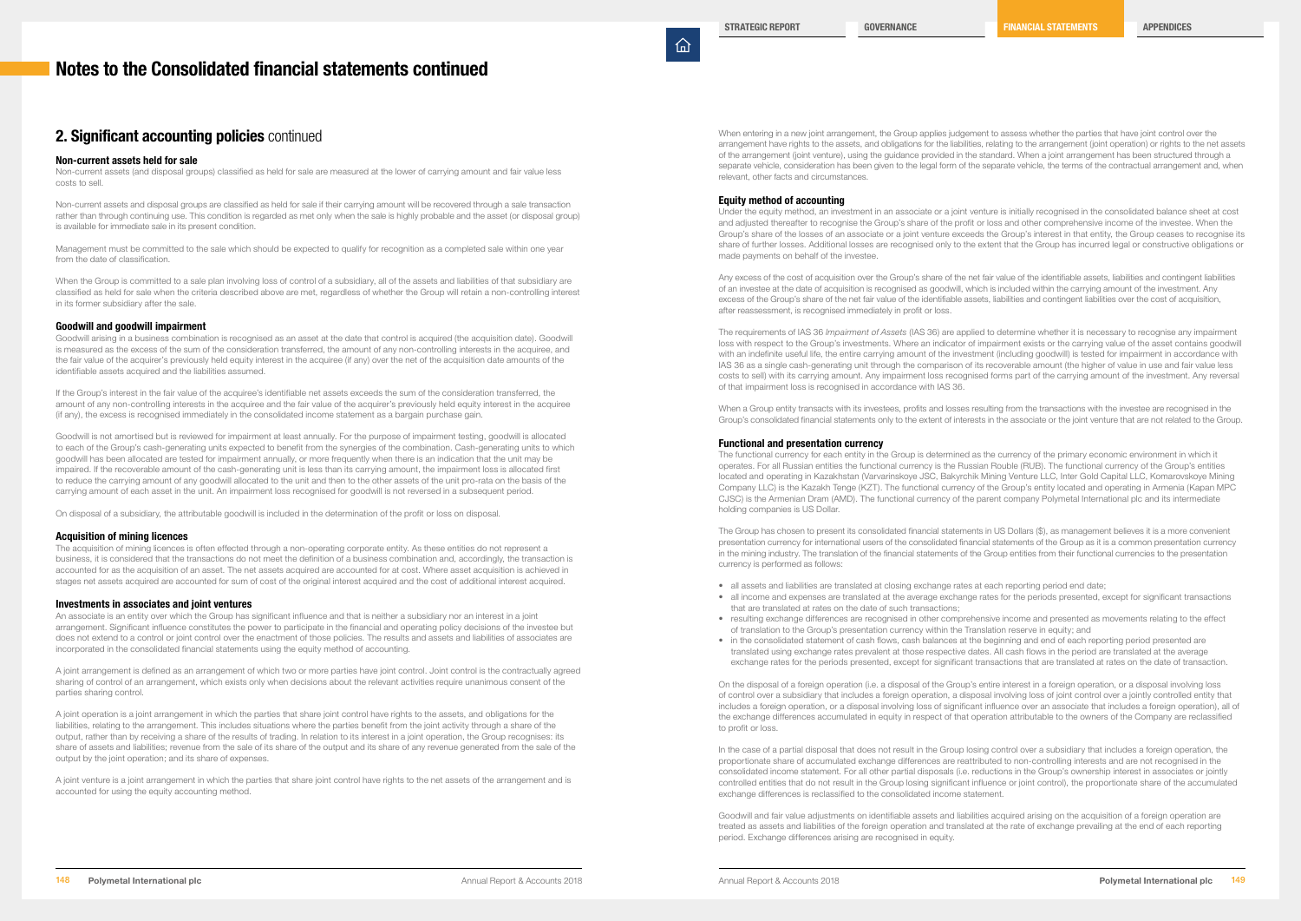### **2. Significant accounting policies** continued

### **Non-current assets held for sale**

Non-current assets (and disposal groups) classified as held for sale are measured at the lower of carrying amount and fair value less costs to sell.

Non-current assets and disposal groups are classified as held for sale if their carrying amount will be recovered through a sale transaction rather than through continuing use. This condition is regarded as met only when the sale is highly probable and the asset (or disposal group) is available for immediate sale in its present condition.

When the Group is committed to a sale plan involving loss of control of a subsidiary, all of the assets and liabilities of that subsidiary are classified as held for sale when the criteria described above are met, regardless of whether the Group will retain a non-controlling interest in its former subsidiary after the sale.

Management must be committed to the sale which should be expected to qualify for recognition as a completed sale within one year from the date of classification.

Goodwill is not amortised but is reviewed for impairment at least annually. For the purpose of impairment testing, goodwill is allocated to each of the Group's cash-generating units expected to benefit from the synergies of the combination. Cash-generating units to which goodwill has been allocated are tested for impairment annually, or more frequently when there is an indication that the unit may be impaired. If the recoverable amount of the cash-generating unit is less than its carrying amount, the impairment loss is allocated first to reduce the carrying amount of any goodwill allocated to the unit and then to the other assets of the unit pro-rata on the basis of the carrying amount of each asset in the unit. An impairment loss recognised for goodwill is not reversed in a subsequent period.

#### **Goodwill and goodwill impairment**

Goodwill arising in a business combination is recognised as an asset at the date that control is acquired (the acquisition date). Goodwill is measured as the excess of the sum of the consideration transferred, the amount of any non-controlling interests in the acquiree, and the fair value of the acquirer's previously held equity interest in the acquiree (if any) over the net of the acquisition date amounts of the identifiable assets acquired and the liabilities assumed.

If the Group's interest in the fair value of the acquiree's identifiable net assets exceeds the sum of the consideration transferred, the amount of any non-controlling interests in the acquiree and the fair value of the acquirer's previously held equity interest in the acquiree (if any), the excess is recognised immediately in the consolidated income statement as a bargain purchase gain.

On disposal of a subsidiary, the attributable goodwill is included in the determination of the profit or loss on disposal.

#### **Acquisition of mining licences**

The acquisition of mining licences is often effected through a non-operating corporate entity. As these entities do not represent a business, it is considered that the transactions do not meet the definition of a business combination and, accordingly, the transaction is accounted for as the acquisition of an asset. The net assets acquired are accounted for at cost. Where asset acquisition is achieved in stages net assets acquired are accounted for sum of cost of the original interest acquired and the cost of additional interest acquired.

#### **Investments in associates and joint ventures**

An associate is an entity over which the Group has significant influence and that is neither a subsidiary nor an interest in a joint arrangement. Significant influence constitutes the power to participate in the financial and operating policy decisions of the investee but does not extend to a control or joint control over the enactment of those policies. The results and assets and liabilities of associates are incorporated in the consolidated financial statements using the equity method of accounting.

A joint arrangement is defined as an arrangement of which two or more parties have joint control. Joint control is the contractually agreed sharing of control of an arrangement, which exists only when decisions about the relevant activities require unanimous consent of the parties sharing control.

A joint operation is a joint arrangement in which the parties that share joint control have rights to the assets, and obligations for the liabilities, relating to the arrangement. This includes situations where the parties benefit from the joint activity through a share of the output, rather than by receiving a share of the results of trading. In relation to its interest in a joint operation, the Group recognises: its share of assets and liabilities; revenue from the sale of its share of the output and its share of any revenue generated from the sale of the output by the joint operation; and its share of expenses.

A joint venture is a joint arrangement in which the parties that share joint control have rights to the net assets of the arrangement and is accounted for using the equity accounting method.

When entering in a new joint arrangement, the Group applies judgement to assess whether the parties that have joint control over the arrangement have rights to the assets, and obligations for the liabilities, relating to the arrangement (joint operation) or rights to the net assets of the arrangement (joint venture), using the guidance provided in the standard. When a joint arrangement has been structured through a separate vehicle, consideration has been given to the legal form of the separate vehicle, the terms of the contractual arrangement and, when relevant, other facts and circumstances.

#### **Equity method of accounting**

Under the equity method, an investment in an associate or a joint venture is initially recognised in the consolidated balance sheet at cost and adjusted thereafter to recognise the Group's share of the profit or loss and other comprehensive income of the investee. When the Group's share of the losses of an associate or a joint venture exceeds the Group's interest in that entity, the Group ceases to recognise its share of further losses. Additional losses are recognised only to the extent that the Group has incurred legal or constructive obligations or made payments on behalf of the investee.

Any excess of the cost of acquisition over the Group's share of the net fair value of the identifiable assets, liabilities and contingent liabilities of an investee at the date of acquisition is recognised as goodwill, which is included within the carrying amount of the investment. Any excess of the Group's share of the net fair value of the identifiable assets, liabilities and contingent liabilities over the cost of acquisition, after reassessment, is recognised immediately in profit or loss.

The requirements of IAS 36 *Impairment of Assets* (IAS 36) are applied to determine whether it is necessary to recognise any impairment loss with respect to the Group's investments. Where an indicator of impairment exists or the carrying value of the asset contains goodwill with an indefinite useful life, the entire carrying amount of the investment (including goodwill) is tested for impairment in accordance with IAS 36 as a single cash-generating unit through the comparison of its recoverable amount (the higher of value in use and fair value less costs to sell) with its carrying amount. Any impairment loss recognised forms part of the carrying amount of the investment. Any reversal of that impairment loss is recognised in accordance with IAS 36.

When a Group entity transacts with its investees, profits and losses resulting from the transactions with the investee are recognised in the Group's consolidated financial statements only to the extent of interests in the associate or the joint venture that are not related to the Group.

#### **Functional and presentation currency**

The functional currency for each entity in the Group is determined as the currency of the primary economic environment in which it operates. For all Russian entities the functional currency is the Russian Rouble (RUB). The functional currency of the Group's entities located and operating in Kazakhstan (Varvarinskoye JSC, Bakyrchik Mining Venture LLC, Inter Gold Capital LLC, Komarovskoye Mining Company LLC) is the Kazakh Tenge (KZT). The functional currency of the Group's entity located and operating in Armenia (Kapan MPC CJSC) is the Armenian Dram (AMD). The functional currency of the parent company Polymetal International plc and its intermediate holding companies is US Dollar.

The Group has chosen to present its consolidated financial statements in US Dollars (\$), as management believes it is a more convenient presentation currency for international users of the consolidated financial statements of the Group as it is a common presentation currency in the mining industry. The translation of the financial statements of the Group entities from their functional currencies to the presentation currency is performed as follows:

• all income and expenses are translated at the average exchange rates for the periods presented, except for significant transactions

• resulting exchange differences are recognised in other comprehensive income and presented as movements relating to the effect

- all assets and liabilities are translated at closing exchange rates at each reporting period end date;
- that are translated at rates on the date of such transactions;
- of translation to the Group's presentation currency within the Translation reserve in equity; and
- in the consolidated statement of cash flows, cash balances at the beginning and end of each reporting period presented are translated using exchange rates prevalent at those respective dates. All cash flows in the period are translated at the average exchange rates for the periods presented, except for significant transactions that are translated at rates on the date of transaction.

On the disposal of a foreign operation (i.e. a disposal of the Group's entire interest in a foreign operation, or a disposal involving loss of control over a subsidiary that includes a foreign operation, a disposal involving loss of joint control over a jointly controlled entity that includes a foreign operation, or a disposal involving loss of significant influence over an associate that includes a foreign operation), all of the exchange differences accumulated in equity in respect of that operation attributable to the owners of the Company are reclassified to profit or loss.

In the case of a partial disposal that does not result in the Group losing control over a subsidiary that includes a foreign operation, the proportionate share of accumulated exchange differences are reattributed to non-controlling interests and are not recognised in the consolidated income statement. For all other partial disposals (i.e. reductions in the Group's ownership interest in associates or jointly controlled entities that do not result in the Group losing significant influence or joint control), the proportionate share of the accumulated exchange differences is reclassified to the consolidated income statement.

Goodwill and fair value adjustments on identifiable assets and liabilities acquired arising on the acquisition of a foreign operation are treated as assets and liabilities of the foreign operation and translated at the rate of exchange prevailing at the end of each reporting period. Exchange differences arising are recognised in equity.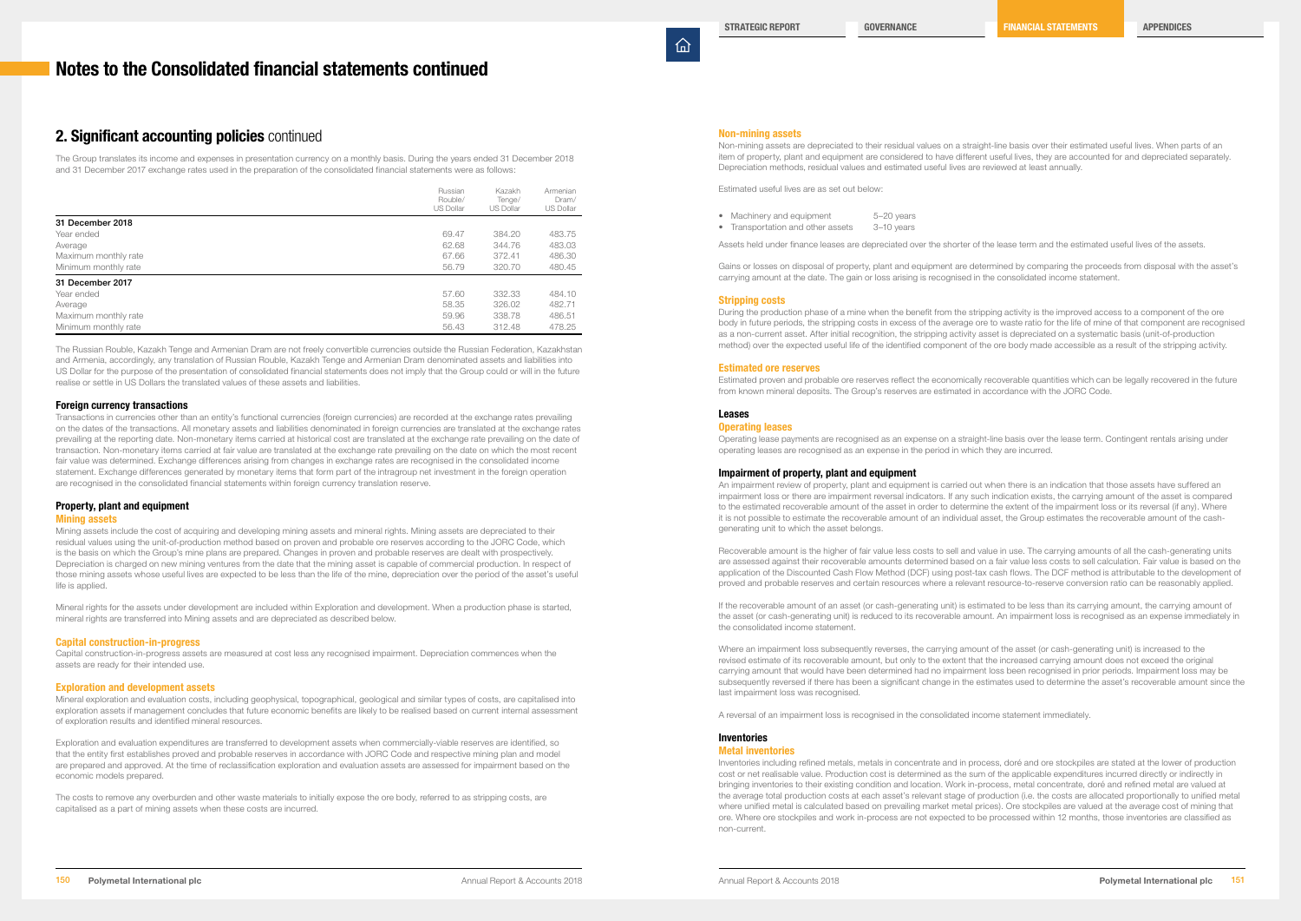## **Notes to the Consolidated financial statements continued**

### **2. Significant accounting policies** continued

The Group translates its income and expenses in presentation currency on a monthly basis. During the years ended 31 December 2018 and 31 December 2017 exchange rates used in the preparation of the consolidated financial statements were as follows:

|                      | Russian<br>Rouble/<br><b>US Dollar</b> | Kazakh<br>Tenge/<br><b>US Dollar</b> | Armenian<br>Dram/<br><b>US Dollar</b> |
|----------------------|----------------------------------------|--------------------------------------|---------------------------------------|
| 31 December 2018     |                                        |                                      |                                       |
| Year ended           | 69.47                                  | 384.20                               | 483.75                                |
| Average              | 62.68                                  | 344.76                               | 483.03                                |
| Maximum monthly rate | 67.66                                  | 372.41                               | 486.30                                |
| Minimum monthly rate | 56.79                                  | 320.70                               | 480.45                                |
| 31 December 2017     |                                        |                                      |                                       |
| Year ended           | 57.60                                  | 332.33                               | 484.10                                |
| Average              | 58.35                                  | 326.02                               | 482.71                                |
| Maximum monthly rate | 59.96                                  | 338.78                               | 486.51                                |
| Minimum monthly rate | 56.43                                  | 312.48                               | 478.25                                |

The Russian Rouble, Kazakh Tenge and Armenian Dram are not freely convertible currencies outside the Russian Federation, Kazakhstan and Armenia, accordingly, any translation of Russian Rouble, Kazakh Tenge and Armenian Dram denominated assets and liabilities into US Dollar for the purpose of the presentation of consolidated financial statements does not imply that the Group could or will in the future realise or settle in US Dollars the translated values of these assets and liabilities.

#### **Foreign currency transactions**

Transactions in currencies other than an entity's functional currencies (foreign currencies) are recorded at the exchange rates prevailing on the dates of the transactions. All monetary assets and liabilities denominated in foreign currencies are translated at the exchange rates prevailing at the reporting date. Non-monetary items carried at historical cost are translated at the exchange rate prevailing on the date of transaction. Non-monetary items carried at fair value are translated at the exchange rate prevailing on the date on which the most recent fair value was determined. Exchange differences arising from changes in exchange rates are recognised in the consolidated income statement. Exchange differences generated by monetary items that form part of the intragroup net investment in the foreign operation are recognised in the consolidated financial statements within foreign currency translation reserve.

### **Property, plant and equipment**

#### **Mining assets**

Mining assets include the cost of acquiring and developing mining assets and mineral rights. Mining assets are depreciated to their residual values using the unit-of-production method based on proven and probable ore reserves according to the JORC Code, which is the basis on which the Group's mine plans are prepared. Changes in proven and probable reserves are dealt with prospectively. Depreciation is charged on new mining ventures from the date that the mining asset is capable of commercial production. In respect of those mining assets whose useful lives are expected to be less than the life of the mine, depreciation over the period of the asset's useful life is applied.

Mineral rights for the assets under development are included within Exploration and development. When a production phase is started, mineral rights are transferred into Mining assets and are depreciated as described below.

#### **Capital construction-in-progress**

Capital construction-in-progress assets are measured at cost less any recognised impairment. Depreciation commences when the assets are ready for their intended use.

#### **Exploration and development assets**

Mineral exploration and evaluation costs, including geophysical, topographical, geological and similar types of costs, are capitalised into exploration assets if management concludes that future economic benefits are likely to be realised based on current internal assessment of exploration results and identified mineral resources.

Exploration and evaluation expenditures are transferred to development assets when commercially-viable reserves are identified, so that the entity first establishes proved and probable reserves in accordance with JORC Code and respective mining plan and model are prepared and approved. At the time of reclassification exploration and evaluation assets are assessed for impairment based on the economic models prepared.

The costs to remove any overburden and other waste materials to initially expose the ore body, referred to as stripping costs, are capitalised as a part of mining assets when these costs are incurred.

#### **Non-mining assets**

Non-mining assets are depreciated to their residual values on a straight-line basis over their estimated useful lives. When parts of an item of property, plant and equipment are considered to have different useful lives, they are accounted for and depreciated separately. Depreciation methods, residual values and estimated useful lives are reviewed at least annually.

Estimated useful lives are as set out below:

- Machinery and equipment 5–20 years
- Transportation and other assets 3–10 years

Assets held under finance leases are depreciated over the shorter of the lease term and the estimated useful lives of the assets.

Gains or losses on disposal of property, plant and equipment are determined by comparing the proceeds from disposal with the asset's carrying amount at the date. The gain or loss arising is recognised in the consolidated income statement.

#### **Stripping costs**

During the production phase of a mine when the benefit from the stripping activity is the improved access to a component of the ore body in future periods, the stripping costs in excess of the average ore to waste ratio for the life of mine of that component are recognised as a non-current asset. After initial recognition, the stripping activity asset is depreciated on a systematic basis (unit-of-production method) over the expected useful life of the identified component of the ore body made accessible as a result of the stripping activity.

#### **Estimated ore reserves**

Estimated proven and probable ore reserves reflect the economically recoverable quantities which can be legally recovered in the future from known mineral deposits. The Group's reserves are estimated in accordance with the JORC Code.

#### **Leases**

### **Operating leases**

Operating lease payments are recognised as an expense on a straight-line basis over the lease term. Contingent rentals arising under operating leases are recognised as an expense in the period in which they are incurred.

#### **Impairment of property, plant and equipment**

An impairment review of property, plant and equipment is carried out when there is an indication that those assets have suffered an impairment loss or there are impairment reversal indicators. If any such indication exists, the carrying amount of the asset is compared to the estimated recoverable amount of the asset in order to determine the extent of the impairment loss or its reversal (if any). Where it is not possible to estimate the recoverable amount of an individual asset, the Group estimates the recoverable amount of the cashgenerating unit to which the asset belongs.

Recoverable amount is the higher of fair value less costs to sell and value in use. The carrying amounts of all the cash-generating units are assessed against their recoverable amounts determined based on a fair value less costs to sell calculation. Fair value is based on the application of the Discounted Cash Flow Method (DCF) using post-tax cash flows. The DCF method is attributable to the development of proved and probable reserves and certain resources where a relevant resource-to-reserve conversion ratio can be reasonably applied.

If the recoverable amount of an asset (or cash-generating unit) is estimated to be less than its carrying amount, the carrying amount of the asset (or cash-generating unit) is reduced to its recoverable amount. An impairment loss is recognised as an expense immediately in the consolidated income statement.

Where an impairment loss subsequently reverses, the carrying amount of the asset (or cash-generating unit) is increased to the revised estimate of its recoverable amount, but only to the extent that the increased carrying amount does not exceed the original carrying amount that would have been determined had no impairment loss been recognised in prior periods. Impairment loss may be subsequently reversed if there has been a significant change in the estimates used to determine the asset's recoverable amount since the last impairment loss was recognised.

A reversal of an impairment loss is recognised in the consolidated income statement immediately.

### **Inventories**

### **Metal inventories**

Inventories including refined metals, metals in concentrate and in process, doré and ore stockpiles are stated at the lower of production cost or net realisable value. Production cost is determined as the sum of the applicable expenditures incurred directly or indirectly in bringing inventories to their existing condition and location. Work in-process, metal concentrate, doré and refined metal are valued at the average total production costs at each asset's relevant stage of production (i.e. the costs are allocated proportionally to unified metal where unified metal is calculated based on prevailing market metal prices). Ore stockpiles are valued at the average cost of mining that ore. Where ore stockpiles and work in-process are not expected to be processed within 12 months, those inventories are classified as non-current.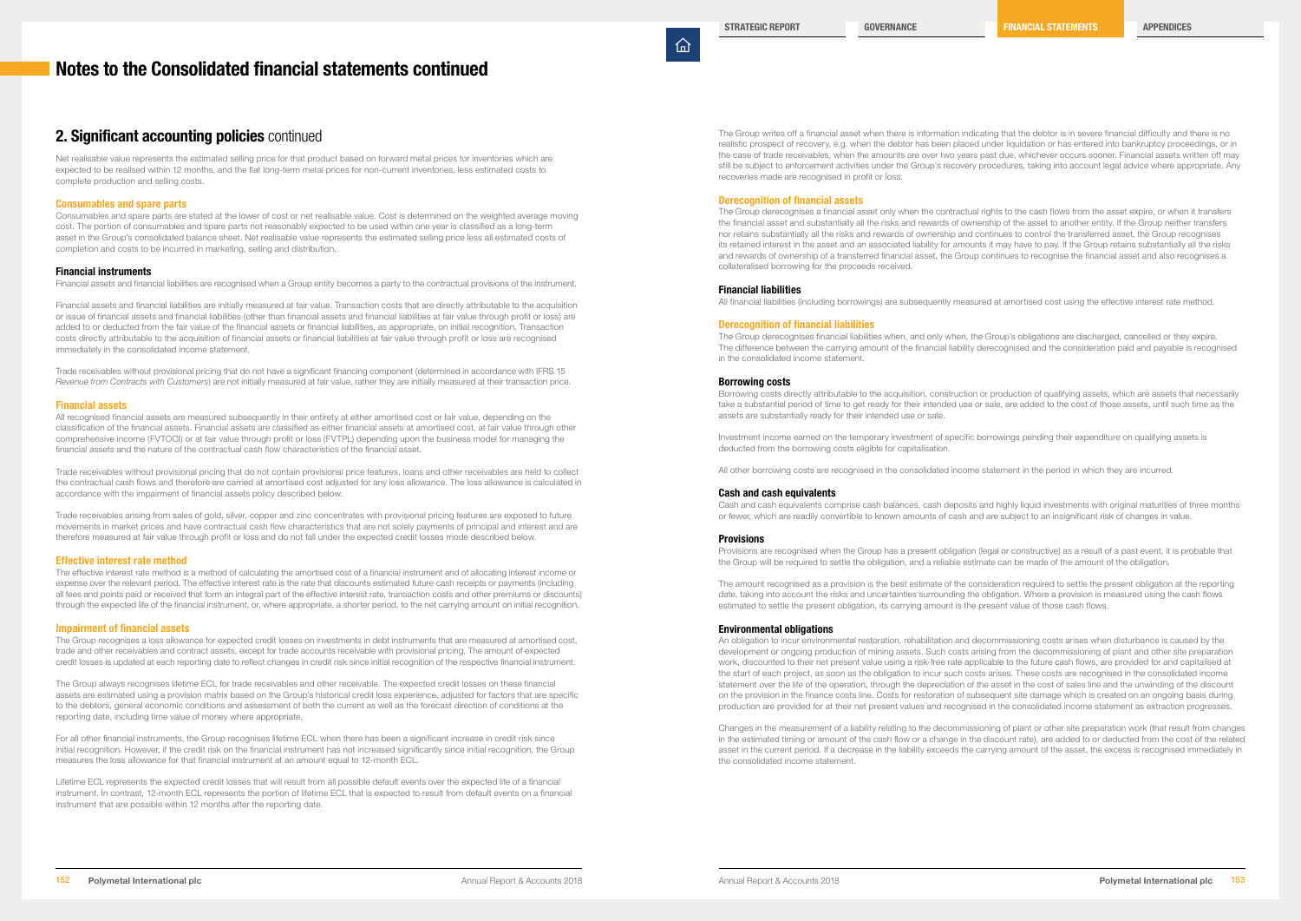### **2. Significant accounting policies** continued

Net realisable value represents the estimated selling price for that product based on forward metal prices for inventories which are expected to be realised within 12 months, and the flat long-term metal prices for non-current inventories, less estimated costs to complete production and selling costs.

#### **Consumables and spare parts**

Consumables and spare parts are stated at the lower of cost or net realisable value. Cost is determined on the weighted average moving cost. The portion of consumables and spare parts not reasonably expected to be used within one year is classified as a long-term asset in the Group's consolidated balance sheet. Net realisable value represents the estimated selling price less all estimated costs of completion and costs to be incurred in marketing, selling and distribution.

#### **Financial instruments**

Financial assets and financial liabilities are recognised when a Group entity becomes a party to the contractual provisions of the instrument.

Financial assets and financial liabilities are initially measured at fair value. Transaction costs that are directly attributable to the acquisition or issue of financial assets and financial liabilities (other than financial assets and financial liabilities at fair value through profit or loss) are added to or deducted from the fair value of the financial assets or financial liabilities, as appropriate, on initial recognition. Transaction costs directly attributable to the acquisition of financial assets or financial liabilities at fair value through profit or loss are recognised immediately in the consolidated income statement.

Trade receivables without provisional pricing that do not have a significant financing component (determined in accordance with IFRS 15 *Revenue from Contracts with Customers*) are not initially measured at fair value, rather they are initially measured at their transaction price.

#### **Financial assets**

All recognised financial assets are measured subsequently in their entirety at either amortised cost or fair value, depending on the classification of the financial assets. Financial assets are classified as either financial assets at amortised cost, at fair value through other comprehensive income (FVTOCI) or at fair value through profit or loss (FVTPL) depending upon the business model for managing the financial assets and the nature of the contractual cash flow characteristics of the financial asset.

Trade receivables without provisional pricing that do not contain provisional price features, loans and other receivables are held to collect the contractual cash flows and therefore are carried at amortised cost adjusted for any loss allowance. The loss allowance is calculated in accordance with the impairment of financial assets policy described below.

Trade receivables arising from sales of gold, silver, copper and zinc concentrates with provisional pricing features are exposed to future movements in market prices and have contractual cash flow characteristics that are not solely payments of principal and interest and are therefore measured at fair value through profit or loss and do not fall under the expected credit losses mode described below.

#### **Effective interest rate method**

The effective interest rate method is a method of calculating the amortised cost of a financial instrument and of allocating interest income or expense over the relevant period. The effective interest rate is the rate that discounts estimated future cash receipts or payments (including all fees and points paid or received that form an integral part of the effective interest rate, transaction costs and other premiums or discounts) through the expected life of the financial instrument, or, where appropriate, a shorter period, to the net carrying amount on initial recognition.

#### **Impairment of financial assets**

The Group recognises a loss allowance for expected credit losses on investments in debt instruments that are measured at amortised cost, trade and other receivables and contract assets, except for trade accounts receivable with provisional pricing. The amount of expected credit losses is updated at each reporting date to reflect changes in credit risk since initial recognition of the respective financial instrument.

The Group always recognises lifetime ECL for trade receivables and other receivable. The expected credit losses on these financial assets are estimated using a provision matrix based on the Group's historical credit loss experience, adjusted for factors that are specific to the debtors, general economic conditions and assessment of both the current as well as the forecast direction of conditions at the reporting date, including time value of money where appropriate.

For all other financial instruments, the Group recognises lifetime ECL when there has been a significant increase in credit risk since initial recognition. However, if the credit risk on the financial instrument has not increased significantly since initial recognition, the Group measures the loss allowance for that financial instrument at an amount equal to 12-month ECL.

Lifetime ECL represents the expected credit losses that will result from all possible default events over the expected life of a financial instrument. In contrast, 12-month ECL represents the portion of lifetime ECL that is expected to result from default events on a financial instrument that are possible within 12 months after the reporting date.

The Group writes off a financial asset when there is information indicating that the debtor is in severe financial difficulty and there is no realistic prospect of recovery, e.g. when the debtor has been placed under liquidation or has entered into bankruptcy proceedings, or in the case of trade receivables, when the amounts are over two years past due, whichever occurs sooner. Financial assets written off may still be subject to enforcement activities under the Group's recovery procedures, taking into account legal advice where appropriate. Any recoveries made are recognised in profit or loss.

#### **Derecognition of financial assets**

The Group derecognises a financial asset only when the contractual rights to the cash flows from the asset expire, or when it transfers the financial asset and substantially all the risks and rewards of ownership of the asset to another entity. If the Group neither transfers nor retains substantially all the risks and rewards of ownership and continues to control the transferred asset, the Group recognises its retained interest in the asset and an associated liability for amounts it may have to pay. If the Group retains substantially all the risks and rewards of ownership of a transferred financial asset, the Group continues to recognise the financial asset and also recognises a collateralised borrowing for the proceeds received.

#### **Financial liabilities**

All financial liabilities (including borrowings) are subsequently measured at amortised cost using the effective interest rate method.

#### **Derecognition of financial liabilities**

The Group derecognises financial liabilities when, and only when, the Group's obligations are discharged, cancelled or they expire. The difference between the carrying amount of the financial liability derecognised and the consideration paid and payable is recognised in the consolidated income statement.

#### **Borrowing costs**

Borrowing costs directly attributable to the acquisition, construction or production of qualifying assets, which are assets that necessarily take a substantial period of time to get ready for their intended use or sale, are added to the cost of those assets, until such time as the assets are substantially ready for their intended use or sale.

Investment income earned on the temporary investment of specific borrowings pending their expenditure on qualifying assets is deducted from the borrowing costs eligible for capitalisation.

All other borrowing costs are recognised in the consolidated income statement in the period in which they are incurred.

#### **Cash and cash equivalents**

Cash and cash equivalents comprise cash balances, cash deposits and highly liquid investments with original maturities of three months or fewer, which are readily convertible to known amounts of cash and are subject to an insignificant risk of changes in value.

#### **Provisions**

Provisions are recognised when the Group has a present obligation (legal or constructive) as a result of a past event, it is probable that the Group will be required to settle the obligation, and a reliable estimate can be made of the amount of the obligation.

The amount recognised as a provision is the best estimate of the consideration required to settle the present obligation at the reporting date, taking into account the risks and uncertainties surrounding the obligation. Where a provision is measured using the cash flows estimated to settle the present obligation, its carrying amount is the present value of those cash flows.

#### **Environmental obligations**

An obligation to incur environmental restoration, rehabilitation and decommissioning costs arises when disturbance is caused by the development or ongoing production of mining assets. Such costs arising from the decommissioning of plant and other site preparation work, discounted to their net present value using a risk-free rate applicable to the future cash flows, are provided for and capitalised at the start of each project, as soon as the obligation to incur such costs arises. These costs are recognised in the consolidated income statement over the life of the operation, through the depreciation of the asset in the cost of sales line and the unwinding of the discount on the provision in the finance costs line. Costs for restoration of subsequent site damage which is created on an ongoing basis during production are provided for at their net present values and recognised in the consolidated income statement as extraction progresses.

Changes in the measurement of a liability relating to the decommissioning of plant or other site preparation work (that result from changes in the estimated timing or amount of the cash flow or a change in the discount rate), are added to or deducted from the cost of the related asset in the current period. If a decrease in the liability exceeds the carrying amount of the asset, the excess is recognised immediately in the consolidated income statement.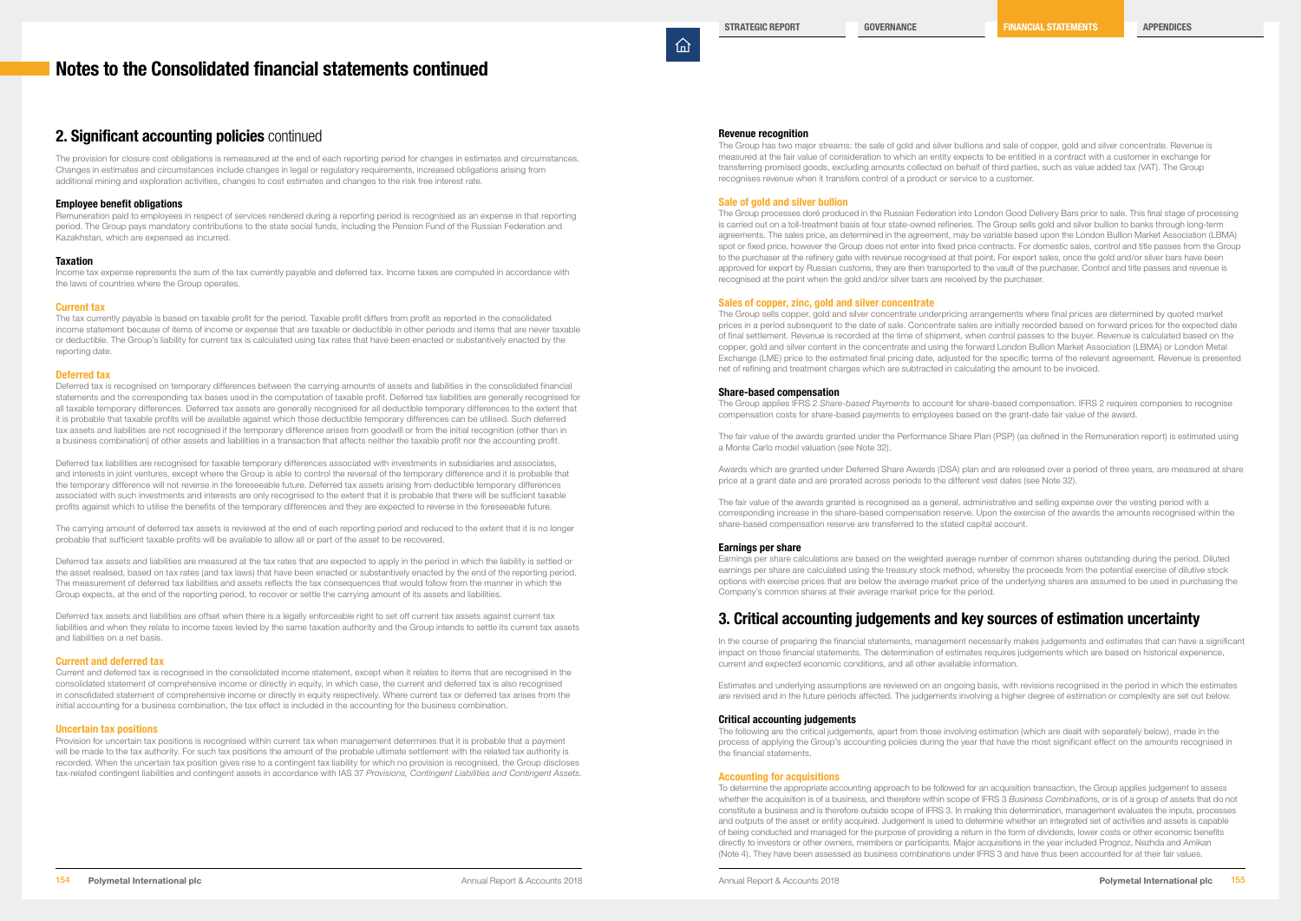### <span id="page-11-0"></span>**Notes to the Consolidated financial statements continued**

### **2. Significant accounting policies** continued

The provision for closure cost obligations is remeasured at the end of each reporting period for changes in estimates and circumstances. Changes in estimates and circumstances include changes in legal or regulatory requirements, increased obligations arising from additional mining and exploration activities, changes to cost estimates and changes to the risk free interest rate.

### **Employee benefit obligations**

Remuneration paid to employees in respect of services rendered during a reporting period is recognised as an expense in that reporting period. The Group pays mandatory contributions to the state social funds, including the Pension Fund of the Russian Federation and Kazakhstan, which are expensed as incurred.

#### **Taxation**

Income tax expense represents the sum of the tax currently payable and deferred tax. Income taxes are computed in accordance with the laws of countries where the Group operates.

#### **Current tax**

The tax currently payable is based on taxable profit for the period. Taxable profit differs from profit as reported in the consolidated income statement because of items of income or expense that are taxable or deductible in other periods and items that are never taxable or deductible. The Group's liability for current tax is calculated using tax rates that have been enacted or substantively enacted by the reporting date.

#### **Deferred tax**

Deferred tax is recognised on temporary differences between the carrying amounts of assets and liabilities in the consolidated financial statements and the corresponding tax bases used in the computation of taxable profit. Deferred tax liabilities are generally recognised for all taxable temporary differences. Deferred tax assets are generally recognised for all deductible temporary differences to the extent that it is probable that taxable profits will be available against which those deductible temporary differences can be utilised. Such deferred tax assets and liabilities are not recognised if the temporary difference arises from goodwill or from the initial recognition (other than in a business combination) of other assets and liabilities in a transaction that affects neither the taxable profit nor the accounting profit.

Deferred tax liabilities are recognised for taxable temporary differences associated with investments in subsidiaries and associates, and interests in joint ventures, except where the Group is able to control the reversal of the temporary difference and it is probable that the temporary difference will not reverse in the foreseeable future. Deferred tax assets arising from deductible temporary differences associated with such investments and interests are only recognised to the extent that it is probable that there will be sufficient taxable profits against which to utilise the benefits of the temporary differences and they are expected to reverse in the foreseeable future.

The carrying amount of deferred tax assets is reviewed at the end of each reporting period and reduced to the extent that it is no longer probable that sufficient taxable profits will be available to allow all or part of the asset to be recovered.

Deferred tax assets and liabilities are measured at the tax rates that are expected to apply in the period in which the liability is settled or the asset realised, based on tax rates (and tax laws) that have been enacted or substantively enacted by the end of the reporting period. The measurement of deferred tax liabilities and assets reflects the tax consequences that would follow from the manner in which the Group expects, at the end of the reporting period, to recover or settle the carrying amount of its assets and liabilities.

Deferred tax assets and liabilities are offset when there is a legally enforceable right to set off current tax assets against current tax liabilities and when they relate to income taxes levied by the same taxation authority and the Group intends to settle its current tax assets and liabilities on a net basis.

#### **Current and deferred tax**

Current and deferred tax is recognised in the consolidated income statement, except when it relates to items that are recognised in the consolidated statement of comprehensive income or directly in equity, in which case, the current and deferred tax is also recognised in consolidated statement of comprehensive income or directly in equity respectively. Where current tax or deferred tax arises from the initial accounting for a business combination, the tax effect is included in the accounting for the business combination.

#### **Uncertain tax positions**

Provision for uncertain tax positions is recognised within current tax when management determines that it is probable that a payment will be made to the tax authority. For such tax positions the amount of the probable ultimate settlement with the related tax authority is recorded. When the uncertain tax position gives rise to a contingent tax liability for which no provision is recognised, the Group discloses tax-related contingent liabilities and contingent assets in accordance with IAS 37 *Provisions, Contingent Liabilities and Contingent Assets*.

#### **Revenue recognition**

The Group has two major streams: the sale of gold and silver bullions and sale of copper, gold and silver concentrate. Revenue is measured at the fair value of consideration to which an entity expects to be entitled in a contract with a customer in exchange for transferring promised goods, excluding amounts collected on behalf of third parties, such as value added tax (VAT). The Group recognises revenue when it transfers control of a product or service to a customer.

#### **Sale of gold and silver bullion**

The Group processes doré produced in the Russian Federation into London Good Delivery Bars prior to sale. This final stage of processing is carried out on a toll-treatment basis at four state-owned refineries. The Group sells gold and silver bullion to banks through long-term agreements. The sales price, as determined in the agreement, may be variable based upon the London Bullion Market Association (LBMA) spot or fixed price, however the Group does not enter into fixed price contracts. For domestic sales, control and title passes from the Group to the purchaser at the refinery gate with revenue recognised at that point. For export sales, once the gold and/or silver bars have been approved for export by Russian customs, they are then transported to the vault of the purchaser. Control and title passes and revenue is recognised at the point when the gold and/or silver bars are received by the purchaser.

#### **Sales of copper, zinc, gold and silver concentrate**

The Group sells copper, gold and silver concentrate underpricing arrangements where final prices are determined by quoted market prices in a period subsequent to the date of sale. Concentrate sales are initially recorded based on forward prices for the expected date of final settlement. Revenue is recorded at the time of shipment, when control passes to the buyer. Revenue is calculated based on the copper, gold and silver content in the concentrate and using the forward London Bullion Market Association (LBMA) or London Metal Exchange (LME) price to the estimated final pricing date, adjusted for the specific terms of the relevant agreement. Revenue is presented net of refining and treatment charges which are subtracted in calculating the amount to be invoiced.

#### **Share-based compensation**

The Group applies IFRS 2 *Share-based Payments* to account for share-based compensation. IFRS 2 requires companies to recognise compensation costs for share-based payments to employees based on the grant-date fair value of the award.

The fair value of the awards granted under the Performance Share Plan (PSP) (as defined in the Remuneration report) is estimated using a Monte Carlo model valuation (see Note 32).

Awards which are granted under Deferred Share Awards (DSA) plan and are released over a period of three years, are measured at share price at a grant date and are prorated across periods to the different vest dates (see Note 32).

The fair value of the awards granted is recognised as a general, administrative and selling expense over the vesting period with a corresponding increase in the share-based compensation reserve. Upon the exercise of the awards the amounts recognised within the share-based compensation reserve are transferred to the stated capital account.

#### **Earnings per share**

Earnings per share calculations are based on the weighted average number of common shares outstanding during the period. Diluted earnings per share are calculated using the treasury stock method, whereby the proceeds from the potential exercise of dilutive stock options with exercise prices that are below the average market price of the underlying shares are assumed to be used in purchasing the Company's common shares at their average market price for the period.

### **3. Critical accounting judgements and key sources of estimation uncertainty**

In the course of preparing the financial statements, management necessarily makes judgements and estimates that can have a significant impact on those financial statements. The determination of estimates requires judgements which are based on historical experience, current and expected economic conditions, and all other available information.

Estimates and underlying assumptions are reviewed on an ongoing basis, with revisions recognised in the period in which the estimates are revised and in the future periods affected. The judgements involving a higher degree of estimation or complexity are set out below.

#### **Critical accounting judgements**

The following are the critical judgements, apart from those involving estimation (which are dealt with separately below), made in the process of applying the Group's accounting policies during the year that have the most significant effect on the amounts recognised in the financial statements.

#### **Accounting for acquisitions**

To determine the appropriate accounting approach to be followed for an acquisition transaction, the Group applies judgement to assess whether the acquisition is of a business, and therefore within scope of IFRS 3 *Business Combination*s, or is of a group of assets that do not constitute a business and is therefore outside scope of IFRS 3. In making this determination, management evaluates the inputs, processes and outputs of the asset or entity acquired. Judgement is used to determine whether an integrated set of activities and assets is capable of being conducted and managed for the purpose of providing a return in the form of dividends, lower costs or other economic benefits directly to investors or other owners, members or participants. Major acquisitions in the year included Prognoz, Nezhda and Amikan (Note 4). They have been assessed as business combinations under IFRS 3 and have thus been accounted for at their fair values.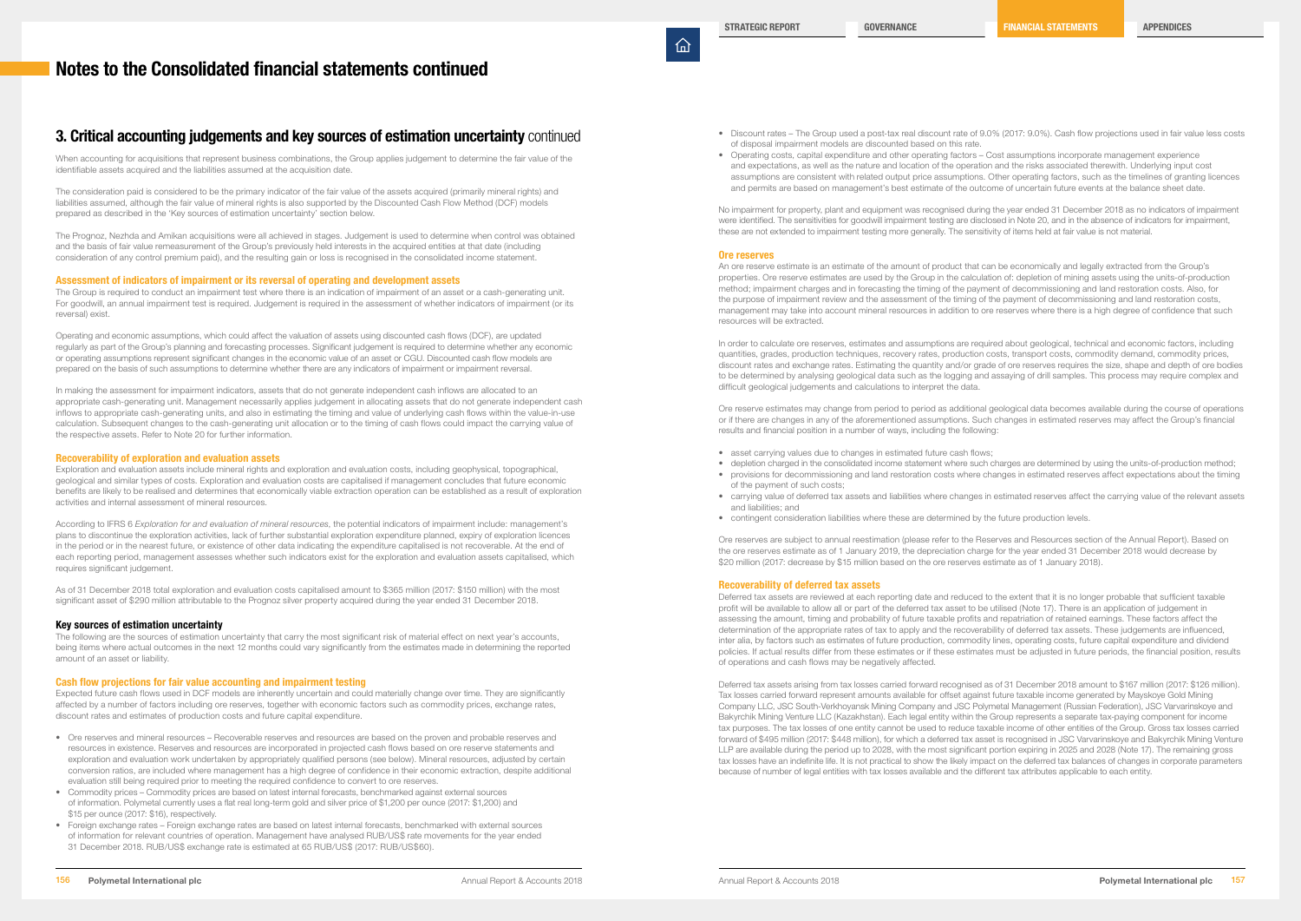### **3. Critical accounting judgements and key sources of estimation uncertainty continued**

When accounting for acquisitions that represent business combinations, the Group applies judgement to determine the fair value of the identifiable assets acquired and the liabilities assumed at the acquisition date.

The consideration paid is considered to be the primary indicator of the fair value of the assets acquired (primarily mineral rights) and liabilities assumed, although the fair value of mineral rights is also supported by the Discounted Cash Flow Method (DCF) models prepared as described in the 'Key sources of estimation uncertainty' section below.

The Prognoz, Nezhda and Amikan acquisitions were all achieved in stages. Judgement is used to determine when control was obtained and the basis of fair value remeasurement of the Group's previously held interests in the acquired entities at that date (including consideration of any control premium paid), and the resulting gain or loss is recognised in the consolidated income statement.

#### **Assessment of indicators of impairment or its reversal of operating and development assets**

The Group is required to conduct an impairment test where there is an indication of impairment of an asset or a cash-generating unit. For goodwill, an annual impairment test is required. Judgement is required in the assessment of whether indicators of impairment (or its reversal) exist.

Operating and economic assumptions, which could affect the valuation of assets using discounted cash flows (DCF), are updated regularly as part of the Group's planning and forecasting processes. Significant judgement is required to determine whether any economic or operating assumptions represent significant changes in the economic value of an asset or CGU. Discounted cash flow models are prepared on the basis of such assumptions to determine whether there are any indicators of impairment or impairment reversal.

In making the assessment for impairment indicators, assets that do not generate independent cash inflows are allocated to an appropriate cash-generating unit. Management necessarily applies judgement in allocating assets that do not generate independent cash inflows to appropriate cash-generating units, and also in estimating the timing and value of underlying cash flows within the value-in-use calculation. Subsequent changes to the cash-generating unit allocation or to the timing of cash flows could impact the carrying value of the respective assets. Refer to Note 20 for further information.

#### **Recoverability of exploration and evaluation assets**

Exploration and evaluation assets include mineral rights and exploration and evaluation costs, including geophysical, topographical, geological and similar types of costs. Exploration and evaluation costs are capitalised if management concludes that future economic benefits are likely to be realised and determines that economically viable extraction operation can be established as a result of exploration activities and internal assessment of mineral resources.

According to IFRS 6 *Exploration for and evaluation of mineral resources*, the potential indicators of impairment include: management's plans to discontinue the exploration activities, lack of further substantial exploration expenditure planned, expiry of exploration licences in the period or in the nearest future, or existence of other data indicating the expenditure capitalised is not recoverable. At the end of each reporting period, management assesses whether such indicators exist for the exploration and evaluation assets capitalised, which requires significant judgement.

As of 31 December 2018 total exploration and evaluation costs capitalised amount to \$365 million (2017: \$150 million) with the most significant asset of \$290 million attributable to the Prognoz silver property acquired during the year ended 31 December 2018.

#### **Key sources of estimation uncertainty**

The following are the sources of estimation uncertainty that carry the most significant risk of material effect on next year's accounts, being items where actual outcomes in the next 12 months could vary significantly from the estimates made in determining the reported amount of an asset or liability.

#### **Cash flow projections for fair value accounting and impairment testing**

Expected future cash flows used in DCF models are inherently uncertain and could materially change over time. They are significantly affected by a number of factors including ore reserves, together with economic factors such as commodity prices, exchange rates, discount rates and estimates of production costs and future capital expenditure.

- Ore reserves and mineral resources Recoverable reserves and resources are based on the proven and probable reserves and resources in existence. Reserves and resources are incorporated in projected cash flows based on ore reserve statements and exploration and evaluation work undertaken by appropriately qualified persons (see below). Mineral resources, adjusted by certain conversion ratios, are included where management has a high degree of confidence in their economic extraction, despite additional evaluation still being required prior to meeting the required confidence to convert to ore reserves.
- Commodity prices Commodity prices are based on latest internal forecasts, benchmarked against external sources of information. Polymetal currently uses a flat real long-term gold and silver price of \$1,200 per ounce (2017: \$1,200) and \$15 per ounce (2017: \$16), respectively.
- Foreign exchange rates Foreign exchange rates are based on latest internal forecasts, benchmarked with external sources of information for relevant countries of operation. Management have analysed RUB/US\$ rate movements for the year ended 31 December 2018. RUB/US\$ exchange rate is estimated at 65 RUB/US\$ (2017: RUB/US\$60).

Deferred tax assets arising from tax losses carried forward recognised as of 31 December 2018 amount to \$167 million (2017: \$126 million). Tax losses carried forward represent amounts available for offset against future taxable income generated by Mayskoye Gold Mining Company LLC, JSC South-Verkhoyansk Mining Company and JSC Polymetal Management (Russian Federation), JSC Varvarinskoye and Bakyrchik Mining Venture LLC (Kazakhstan). Each legal entity within the Group represents a separate tax-paying component for income tax purposes. The tax losses of one entity cannot be used to reduce taxable income of other entities of the Group. Gross tax losses carried forward of \$495 million (2017: \$448 million), for which a deferred tax asset is recognised in JSC Varvarinskoye and Bakyrchik Mining Venture LLP are available during the period up to 2028, with the most significant portion expiring in 2025 and 2028 (Note 17). The remaining gross tax losses have an indefinite life. It is not practical to show the likely impact on the deferred tax balances of changes in corporate parameters because of number of legal entities with tax losses available and the different tax attributes applicable to each entity.

• Operating costs, capital expenditure and other operating factors – Cost assumptions incorporate management experience and expectations, as well as the nature and location of the operation and the risks associated therewith. Underlying input cost and permits are based on management's best estimate of the outcome of uncertain future events at the balance sheet date.

assumptions are consistent with related output price assumptions. Other operating factors, such as the timelines of granting licences

No impairment for property, plant and equipment was recognised during the year ended 31 December 2018 as no indicators of impairment were identified. The sensitivities for goodwill impairment testing are disclosed in Note 20, and in the absence of indicators for impairment, these are not extended to impairment testing more generally. The sensitivity of items held at fair value is not material.

#### **Ore reserves**

介

An ore reserve estimate is an estimate of the amount of product that can be economically and legally extracted from the Group's properties. Ore reserve estimates are used by the Group in the calculation of: depletion of mining assets using the units-of-production method; impairment charges and in forecasting the timing of the payment of decommissioning and land restoration costs. Also, for the purpose of impairment review and the assessment of the timing of the payment of decommissioning and land restoration costs, management may take into account mineral resources in addition to ore reserves where there is a high degree of confidence that such resources will be extracted.

In order to calculate ore reserves, estimates and assumptions are required about geological, technical and economic factors, including quantities, grades, production techniques, recovery rates, production costs, transport costs, commodity demand, commodity prices, discount rates and exchange rates. Estimating the quantity and/or grade of ore reserves requires the size, shape and depth of ore bodies to be determined by analysing geological data such as the logging and assaying of drill samples. This process may require complex and difficult geological judgements and calculations to interpret the data.

Ore reserve estimates may change from period to period as additional geological data becomes available during the course of operations or if there are changes in any of the aforementioned assumptions. Such changes in estimated reserves may affect the Group's financial results and financial position in a number of ways, including the following:

• depletion charged in the consolidated income statement where such charges are determined by using the units-of-production method; • provisions for decommissioning and land restoration costs where changes in estimated reserves affect expectations about the timing

- asset carrying values due to changes in estimated future cash flows;
- 
- of the payment of such costs;
- and liabilities; and
- contingent consideration liabilities where these are determined by the future production levels.

• carrying value of deferred tax assets and liabilities where changes in estimated reserves affect the carrying value of the relevant assets

Ore reserves are subject to annual reestimation (please refer to the Reserves and Resources section of the Annual Report). Based on the ore reserves estimate as of 1 January 2019, the depreciation charge for the year ended 31 December 2018 would decrease by \$20 million (2017: decrease by \$15 million based on the ore reserves estimate as of 1 January 2018).

#### **Recoverability of deferred tax assets**

Deferred tax assets are reviewed at each reporting date and reduced to the extent that it is no longer probable that sufficient taxable profit will be available to allow all or part of the deferred tax asset to be utilised (Note 17). There is an application of judgement in assessing the amount, timing and probability of future taxable profits and repatriation of retained earnings. These factors affect the determination of the appropriate rates of tax to apply and the recoverability of deferred tax assets. These judgements are influenced, inter alia, by factors such as estimates of future production, commodity lines, operating costs, future capital expenditure and dividend policies. If actual results differ from these estimates or if these estimates must be adjusted in future periods, the financial position, results of operations and cash flows may be negatively affected.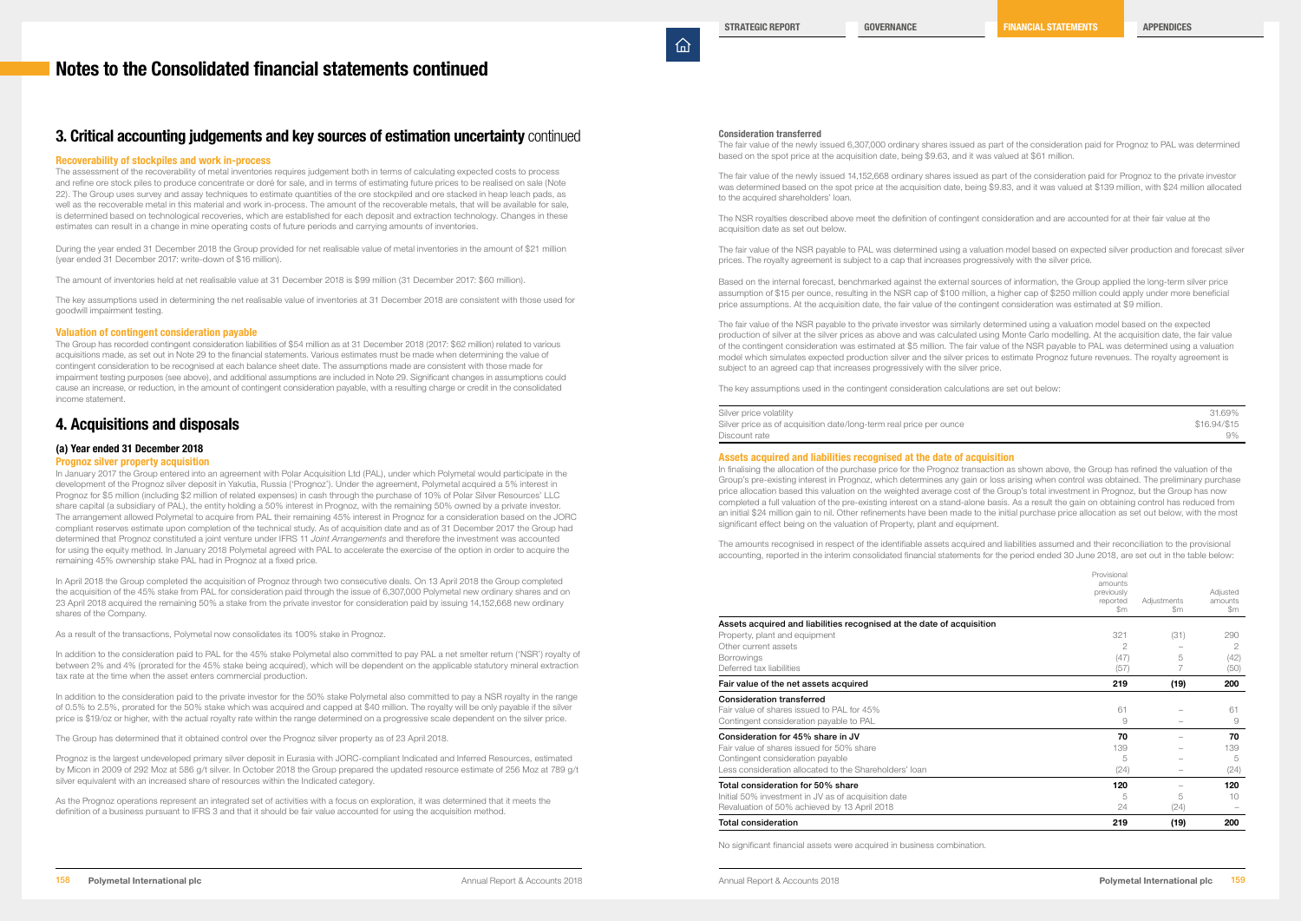### <span id="page-13-0"></span>**3. Critical accounting judgements and key sources of estimation uncertainty** continued

### **Recoverability of stockpiles and work in-process**

The assessment of the recoverability of metal inventories requires judgement both in terms of calculating expected costs to process and refine ore stock piles to produce concentrate or doré for sale, and in terms of estimating future prices to be realised on sale (Note 22). The Group uses survey and assay techniques to estimate quantities of the ore stockpiled and ore stacked in heap leach pads, as well as the recoverable metal in this material and work in-process. The amount of the recoverable metals, that will be available for sale, is determined based on technological recoveries, which are established for each deposit and extraction technology. Changes in these estimates can result in a change in mine operating costs of future periods and carrying amounts of inventories.

During the year ended 31 December 2018 the Group provided for net realisable value of metal inventories in the amount of \$21 million (year ended 31 December 2017: write-down of \$16 million).

The amount of inventories held at net realisable value at 31 December 2018 is \$99 million (31 December 2017: \$60 million).

The key assumptions used in determining the net realisable value of inventories at 31 December 2018 are consistent with those used for goodwill impairment testing.

#### **Valuation of contingent consideration payable**

The Group has recorded contingent consideration liabilities of \$54 million as at 31 December 2018 (2017: \$62 million) related to various acquisitions made, as set out in Note 29 to the financial statements. Various estimates must be made when determining the value of contingent consideration to be recognised at each balance sheet date. The assumptions made are consistent with those made for impairment testing purposes (see above), and additional assumptions are included in Note 29. Significant changes in assumptions could cause an increase, or reduction, in the amount of contingent consideration payable, with a resulting charge or credit in the consolidated income statement.

### **4. Acquisitions and disposals**

#### **(a) Year ended 31 December 2018**

#### **Prognoz silver property acquisition**

In January 2017 the Group entered into an agreement with Polar Acquisition Ltd (PAL), under which Polymetal would participate in the development of the Prognoz silver deposit in Yakutia, Russia ('Prognoz'). Under the agreement, Polymetal acquired a 5% interest in Prognoz for \$5 million (including \$2 million of related expenses) in cash through the purchase of 10% of Polar Silver Resources' LLC share capital (a subsidiary of PAL), the entity holding a 50% interest in Prognoz, with the remaining 50% owned by a private investor. The arrangement allowed Polymetal to acquire from PAL their remaining 45% interest in Prognoz for a consideration based on the JORC compliant reserves estimate upon completion of the technical study. As of acquisition date and as of 31 December 2017 the Group had determined that Prognoz constituted a joint venture under IFRS 11 *Joint Arrangements* and therefore the investment was accounted for using the equity method. In January 2018 Polymetal agreed with PAL to accelerate the exercise of the option in order to acquire the remaining 45% ownership stake PAL had in Prognoz at a fixed price.

In April 2018 the Group completed the acquisition of Prognoz through two consecutive deals. On 13 April 2018 the Group completed the acquisition of the 45% stake from PAL for consideration paid through the issue of 6,307,000 Polymetal new ordinary shares and on 23 April 2018 acquired the remaining 50% a stake from the private investor for consideration paid by issuing 14,152,668 new ordinary shares of the Company.

As a result of the transactions, Polymetal now consolidates its 100% stake in Prognoz.

In addition to the consideration paid to PAL for the 45% stake Polymetal also committed to pay PAL a net smelter return ('NSR') royalty of between 2% and 4% (prorated for the 45% stake being acquired), which will be dependent on the applicable statutory mineral extraction tax rate at the time when the asset enters commercial production.

In addition to the consideration paid to the private investor for the 50% stake Polymetal also committed to pay a NSR royalty in the range of 0.5% to 2.5%, prorated for the 50% stake which was acquired and capped at \$40 million. The royalty will be only payable if the silver price is \$19/oz or higher, with the actual royalty rate within the range determined on a progressive scale dependent on the silver price.

The Group has determined that it obtained control over the Prognoz silver property as of 23 April 2018.

Prognoz is the largest undeveloped primary silver deposit in Eurasia with JORC-compliant Indicated and Inferred Resources, estimated by Micon in 2009 of 292 Moz at 586 g/t silver. In October 2018 the Group prepared the updated resource estimate of 256 Moz at 789 g/t silver equivalent with an increased share of resources within the Indicated category.

As the Prognoz operations represent an integrated set of activities with a focus on exploration, it was determined that it meets the definition of a business pursuant to IFRS 3 and that it should be fair value accounted for using the acquisition method.

**Consideration transferred**

The fair value of the newly issued 6,307,000 ordinary shares issued as part of the consideration paid for Prognoz to PAL was determined based on the spot price at the acquisition date, being \$9.63, and it was valued at \$61 million.

The fair value of the newly issued 14,152,668 ordinary shares issued as part of the consideration paid for Prognoz to the private investor was determined based on the spot price at the acquisition date, being \$9.83, and it was valued at \$139 million, with \$24 million allocated to the acquired shareholders' loan.

The NSR royalties described above meet the definition of contingent consideration and are accounted for at their fair value at the acquisition date as set out below.

The fair value of the NSR payable to PAL was determined using a valuation model based on expected silver production and forecast silver prices. The royalty agreement is subject to a cap that increases progressively with the silver price.

Based on the internal forecast, benchmarked against the external sources of information, the Group applied the long-term silver price assumption of \$15 per ounce, resulting in the NSR cap of \$100 million, a higher cap of \$250 million could apply under more beneficial price assumptions. At the acquisition date, the fair value of the contingent consideration was estimated at \$9 million.

The fair value of the NSR payable to the private investor was similarly determined using a valuation model based on the expected production of silver at the silver prices as above and was calculated using Monte Carlo modelling. At the acquisition date, the fair value of the contingent consideration was estimated at \$5 million. The fair value of the NSR payable to PAL was determined using a valuation model which simulates expected production silver and the silver prices to estimate Prognoz future revenues. The royalty agreement is subject to an agreed cap that increases progressively with the silver price.

The key assumptions used in the contingent consideration calculations are set out below:

#### Silver price volatility

| Silver price volatility                                            | 31.69%       |
|--------------------------------------------------------------------|--------------|
| Silver price as of acquisition date/long-term real price per ounce | \$16,94/\$15 |
| Discount rate                                                      | 9%           |

### **Assets acquired and liabilities recognised at the date of acquisition**

In finalising the allocation of the purchase price for the Prognoz transaction as shown above, the Group has refined the valuation of the Group's pre-existing interest in Prognoz, which determines any gain or loss arising when control was obtained. The preliminary purchase price allocation based this valuation on the weighted average cost of the Group's total investment in Prognoz, but the Group has now completed a full valuation of the pre-existing interest on a stand-alone basis. As a result the gain on obtaining control has reduced from an initial \$24 million gain to nil. Other refinements have been made to the initial purchase price allocation as set out below, with the most significant effect being on the valuation of Property, plant and equipment.

The amounts recognised in respect of the identifiable assets acquired and liabilities assumed and their reconciliation to the provisional accounting, reported in the interim consolidated financial statements for the period ended 30 June 2018, are set out in the table below:

#### Assets acquired and liabilities recognised at the date of acquisiti

| Total consideration                                                                        | 219                                                                | (19)                          | 200                                   |
|--------------------------------------------------------------------------------------------|--------------------------------------------------------------------|-------------------------------|---------------------------------------|
| Revaluation of 50% achieved by 13 April 2018                                               | 24                                                                 | (24)                          |                                       |
| Initial 50% investment in JV as of acquisition date                                        | 5                                                                  | 5                             | 10                                    |
| Total consideration for 50% share                                                          | 120                                                                |                               | 120                                   |
| Contingent consideration payable<br>Less consideration allocated to the Shareholders' loan | 5<br>(24)                                                          |                               | 5<br>(24)                             |
| Consideration for 45% share in JV<br>Fair value of shares issued for 50% share             | 70<br>139                                                          |                               | 70<br>139                             |
| Contingent consideration payable to PAL                                                    | 9                                                                  |                               | 9                                     |
| <b>Consideration transferred</b><br>Fair value of shares issued to PAL for 45%             | 61                                                                 |                               | 61                                    |
| Fair value of the net assets acquired                                                      | 219                                                                | (19)                          | 200                                   |
| Deferred tax liabilities                                                                   | (57)                                                               |                               | (50)                                  |
| <b>Borrowings</b>                                                                          | (47)                                                               | 5                             | (42)                                  |
| Property, plant and equipment<br>Other current assets                                      | 321<br>$\mathfrak{D}$                                              | (31)                          | 290<br>2                              |
| Assets acquired and liabilities recognised at the date of acquisition                      |                                                                    |                               |                                       |
|                                                                                            | Provisional<br>amounts<br>previously<br>reported<br>$\mathbb{S}$ m | Adjustments<br>$\mathbb{S}$ m | Adjusted<br>amounts<br>$\mathbb{S}$ m |

#### Fair value of the net assets acquired **219 (19) 200**

#### Consideration transferred

#### Consideration for 45% share in JV **70** – **70**

#### **120** Total consideration for 50% share

#### Total consideration **219 (19) 200**

No significant financial assets were acquired in business combination.

石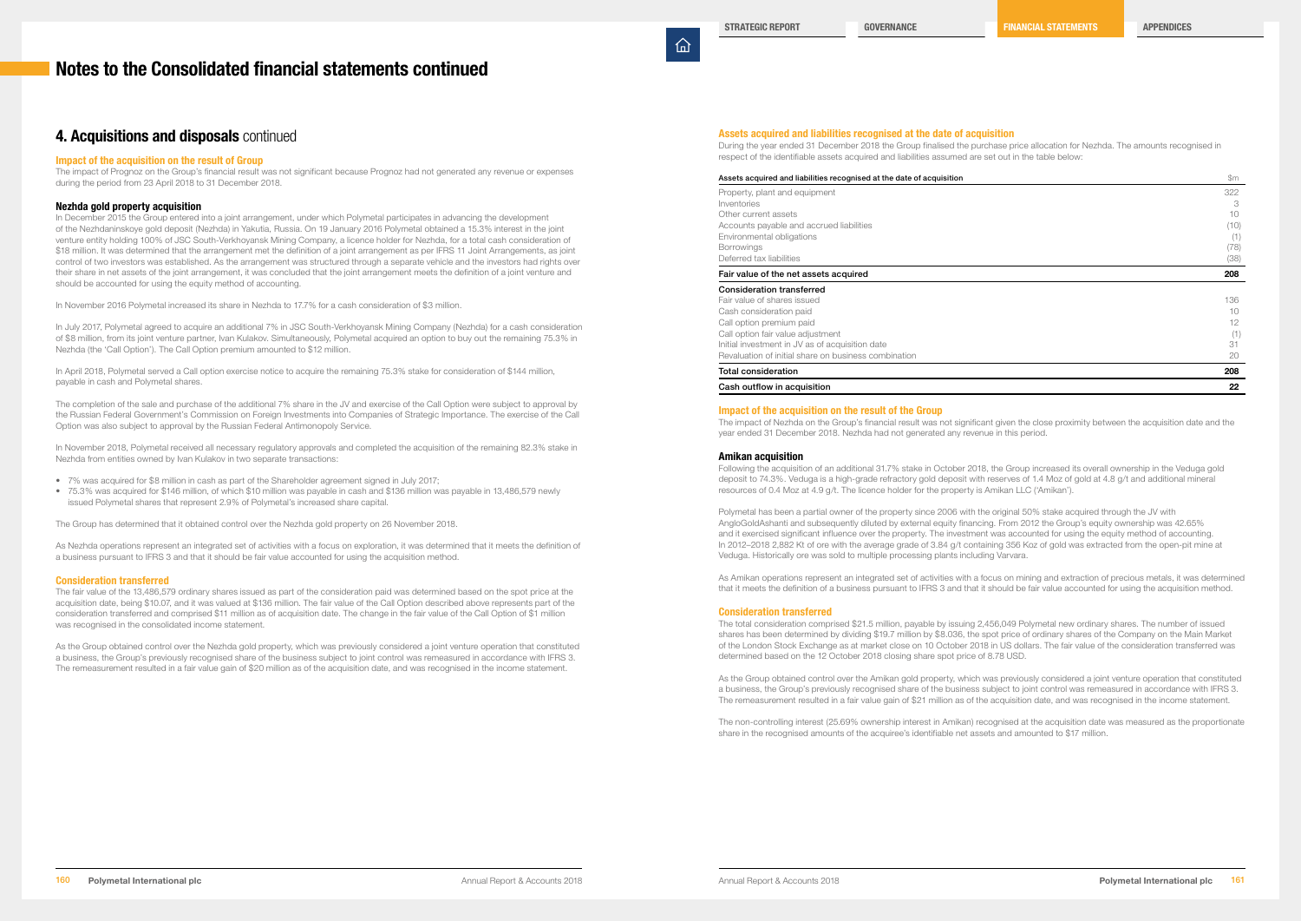### **4. Acquisitions and disposals** continued

#### **Impact of the acquisition on the result of Group**

The impact of Prognoz on the Group's financial result was not significant because Prognoz had not generated any revenue or expenses during the period from 23 April 2018 to 31 December 2018.

#### **Nezhda gold property acquisition**

In December 2015 the Group entered into a joint arrangement, under which Polymetal participates in advancing the development of the Nezhdaninskoye gold deposit (Nezhda) in Yakutia, Russia. On 19 January 2016 Polymetal obtained a 15.3% interest in the joint venture entity holding 100% of JSC South-Verkhoyansk Mining Company, a licence holder for Nezhda, for a total cash consideration of \$18 million. It was determined that the arrangement met the definition of a joint arrangement as per IFRS 11 Joint Arrangements, as joint control of two investors was established. As the arrangement was structured through a separate vehicle and the investors had rights over their share in net assets of the joint arrangement, it was concluded that the joint arrangement meets the definition of a joint venture and should be accounted for using the equity method of accounting.

In November 2016 Polymetal increased its share in Nezhda to 17.7% for a cash consideration of \$3 million.

In July 2017, Polymetal agreed to acquire an additional 7% in JSC South-Verkhoyansk Mining Company (Nezhda) for a cash consideration of \$8 million, from its joint venture partner, Ivan Kulakov. Simultaneously, Polymetal acquired an option to buy out the remaining 75.3% in Nezhda (the 'Call Option'). The Call Option premium amounted to \$12 million.

In April 2018, Polymetal served a Call option exercise notice to acquire the remaining 75.3% stake for consideration of \$144 million, payable in cash and Polymetal shares.

The completion of the sale and purchase of the additional 7% share in the JV and exercise of the Call Option were subject to approval by the Russian Federal Government's Commission on Foreign Investments into Companies of Strategic Importance. The exercise of the Call Option was also subject to approval by the Russian Federal Antimonopoly Service.

In November 2018, Polymetal received all necessary regulatory approvals and completed the acquisition of the remaining 82.3% stake in Nezhda from entities owned by Ivan Kulakov in two separate transactions:

- 7% was acquired for \$8 million in cash as part of the Shareholder agreement signed in July 2017;
- 75.3% was acquired for \$146 million, of which \$10 million was payable in cash and \$136 million was payable in 13,486,579 newly issued Polymetal shares that represent 2.9% of Polymetal's increased share capital.

The Group has determined that it obtained control over the Nezhda gold property on 26 November 2018.

As Nezhda operations represent an integrated set of activities with a focus on exploration, it was determined that it meets the definition of a business pursuant to IFRS 3 and that it should be fair value accounted for using the acquisition method.

Polymetal has been a partial owner of the property since 2006 with the original 50% stake acquired through the JV with AngloGoldAshanti and subsequently diluted by external equity financing. From 2012 the Group's equity ownership was 42.65% and it exercised significant influence over the property. The investment was accounted for using the equity method of accounting. In 2012–2018 2,882 Kt of ore with the average grade of 3.84 g/t containing 356 Koz of gold was extracted from the open-pit mine at Veduga. Historically ore was sold to multiple processing plants including Varvara.

#### **Consideration transferred**

The fair value of the 13,486,579 ordinary shares issued as part of the consideration paid was determined based on the spot price at the acquisition date, being \$10.07, and it was valued at \$136 million. The fair value of the Call Option described above represents part of the consideration transferred and comprised \$11 million as of acquisition date. The change in the fair value of the Call Option of \$1 million was recognised in the consolidated income statement.

As the Group obtained control over the Nezhda gold property, which was previously considered a joint venture operation that constituted a business, the Group's previously recognised share of the business subject to joint control was remeasured in accordance with IFRS 3. The remeasurement resulted in a fair value gain of \$20 million as of the acquisition date, and was recognised in the income statement.

### **Assets acquired and liabilities recognised at the date of acquisition**

During the year ended 31 December 2018 the Group finalised the purchase price allocation for Nezhda. The amounts recognised in respect of the identifiable assets acquired and liabilities assumed are set out in the table below:

#### Assets acquired and liabilities recognised at the date of acquisition

#### Fair value of the net assets acquired

| Assets acquired and liabilities recognised at the date of acquisition | $\mathbb{S}$ m |
|-----------------------------------------------------------------------|----------------|
| Property, plant and equipment                                         | 322            |
| Inventories                                                           | 3              |
| Other current assets                                                  | 10             |
| Accounts payable and accrued liabilities                              | (10)           |
| Environmental obligations                                             | (1)            |
| <b>Borrowings</b>                                                     | (78)           |
| Deferred tax liabilities                                              | (38)           |
| Fair value of the net assets acquired                                 | 208            |
| <b>Consideration transferred</b>                                      |                |
| Fair value of shares issued                                           | 136            |
| Cash consideration paid                                               | 10             |
| Call option premium paid                                              | 12             |
| Call option fair value adjustment                                     | (1)            |
| Initial investment in JV as of acquisition date                       | 31             |
| Revaluation of initial share on business combination                  | 20             |
| Total consideration                                                   | 208            |
| Cash outflow in acquisition                                           | 22             |

#### Consideration transferred

石

#### **Total consideration**

#### **Impact of the acquisition on the result of the Group**

The impact of Nezhda on the Group's financial result was not significant given the close proximity between the acquisition date and the year ended 31 December 2018. Nezhda had not generated any revenue in this period.

#### **Amikan acquisition**

Following the acquisition of an additional 31.7% stake in October 2018, the Group increased its overall ownership in the Veduga gold deposit to 74.3%. Veduga is a high-grade refractory gold deposit with reserves of 1.4 Moz of gold at 4.8 g/t and additional mineral resources of 0.4 Moz at 4.9 g/t. The licence holder for the property is Amikan LLC ('Amikan').

As Amikan operations represent an integrated set of activities with a focus on mining and extraction of precious metals, it was determined that it meets the definition of a business pursuant to IFRS 3 and that it should be fair value accounted for using the acquisition method.

#### **Consideration transferred**

The total consideration comprised \$21.5 million, payable by issuing 2,456,049 Polymetal new ordinary shares. The number of issued shares has been determined by dividing \$19.7 million by \$8.036, the spot price of ordinary shares of the Company on the Main Market of the London Stock Exchange as at market close on 10 October 2018 in US dollars. The fair value of the consideration transferred was determined based on the 12 October 2018 closing share spot price of 8.78 USD.

As the Group obtained control over the Amikan gold property, which was previously considered a joint venture operation that constituted a business, the Group's previously recognised share of the business subject to joint control was remeasured in accordance with IFRS 3. The remeasurement resulted in a fair value gain of \$21 million as of the acquisition date, and was recognised in the income statement.

The non-controlling interest (25.69% ownership interest in Amikan) recognised at the acquisition date was measured as the proportionate share in the recognised amounts of the acquiree's identifiable net assets and amounted to \$17 million.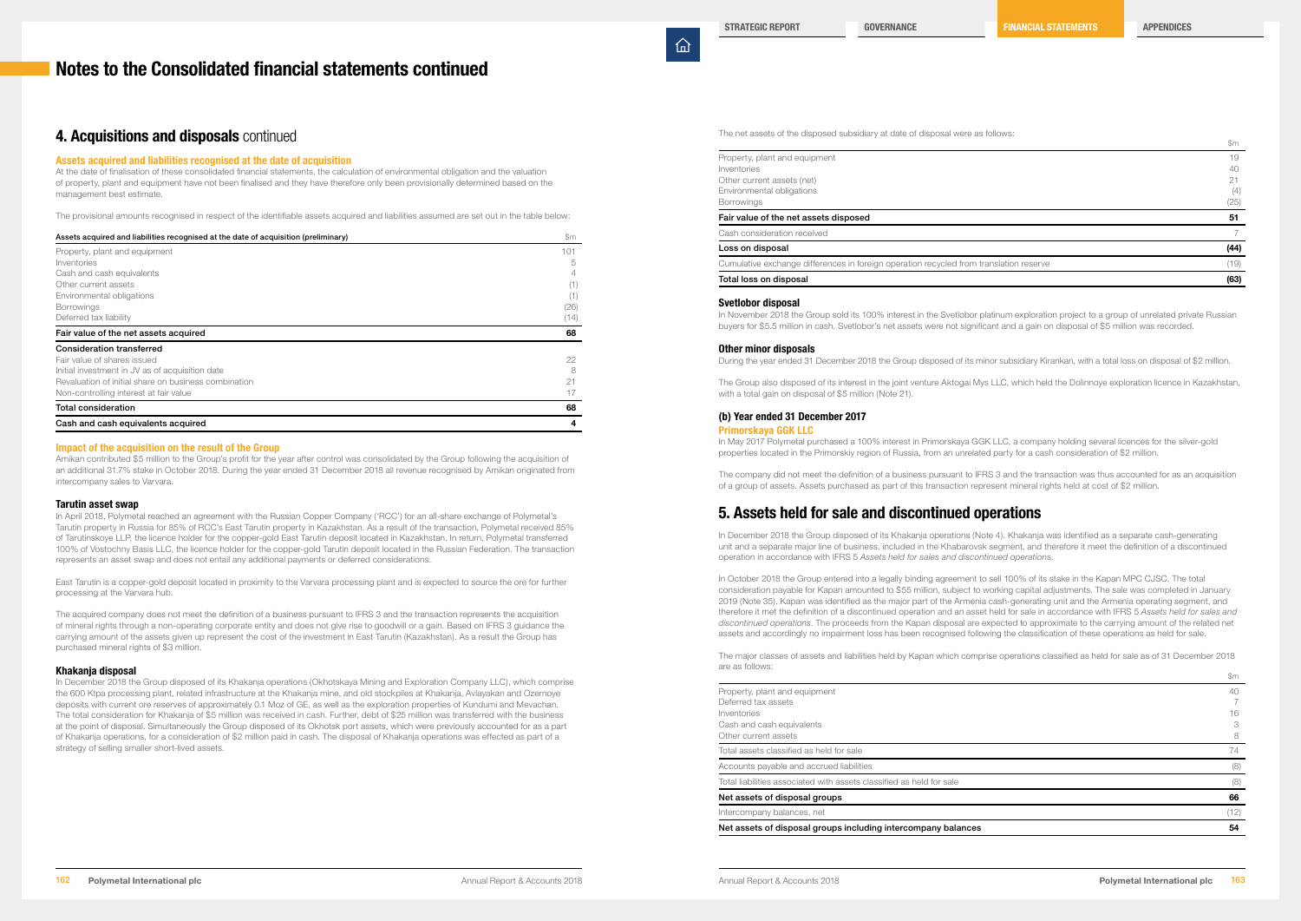### <span id="page-15-0"></span>**Notes to the Consolidated financial statements continued**

### **4. Acquisitions and disposals** continued

#### **Assets acquired and liabilities recognised at the date of acquisition**

At the date of finalisation of these consolidated financial statements, the calculation of environmental obligation and the valuation of property, plant and equipment have not been finalised and they have therefore only been provisionally determined based on the management best estimate.

The provisional amounts recognised in respect of the identifiable assets acquired and liabilities assumed are set out in the table below:

| Assets acquired and liabilities recognised at the date of acquisition (preliminary) | $\mathbb{S}$ m |
|-------------------------------------------------------------------------------------|----------------|
| Property, plant and equipment                                                       | 101            |
| Inventories                                                                         | 5              |
| Cash and cash equivalents                                                           |                |
| Other current assets                                                                |                |
| Environmental obligations                                                           | (1             |
| <b>Borrowings</b>                                                                   | (26)           |
| Deferred tax liability                                                              | (14)           |
| Fair value of the net assets acquired                                               | 68             |
| <b>Consideration transferred</b>                                                    |                |
| Fair value of shares issued                                                         | 22             |
| Initial investment in JV as of acquisition date                                     | 8              |
| Revaluation of initial share on business combination                                | 21             |
| Non-controlling interest at fair value                                              | 17             |
| <b>Total consideration</b>                                                          | 68             |
| Cash and cash equivalents acquired                                                  | 4              |

#### **Impact of the acquisition on the result of the Group**

Amikan contributed \$5 million to the Group's profit for the year after control was consolidated by the Group following the acquisition of an additional 31.7% stake in October 2018. During the year ended 31 December 2018 all revenue recognised by Amikan originated from intercompany sales to Varvara.

#### **Tarutin asset swap**

In April 2018, Polymetal reached an agreement with the Russian Copper Company ('RCC') for an all-share exchange of Polymetal's Tarutin property in Russia for 85% of RCC's East Tarutin property in Kazakhstan. As a result of the transaction, Polymetal received 85% of Tarutinskoye LLP, the licence holder for the copper-gold East Tarutin deposit located in Kazakhstan. In return, Polymetal transferred 100% of Vostochny Basis LLC, the licence holder for the copper-gold Tarutin deposit located in the Russian Federation. The transaction represents an asset swap and does not entail any additional payments or deferred considerations.

The Group also disposed of its interest in the joint venture Aktogai Mys LLC, which held the Dolinnoye exploration licence in Kazakhstan, with a total gain on disposal of \$5 million (Note 21).

East Tarutin is a copper-gold deposit located in proximity to the Varvara processing plant and is expected to source the ore for further processing at the Varvara hub.

The acquired company does not meet the definition of a business pursuant to IFRS 3 and the transaction represents the acquisition of mineral rights through a non-operating corporate entity and does not give rise to goodwill or a gain. Based on IFRS 3 guidance the carrying amount of the assets given up represent the cost of the investment in East Tarutin (Kazakhstan). As a result the Group has purchased mineral rights of \$3 million.

#### **Khakanja disposal**

In December 2018 the Group disposed of its Khakanja operations (Okhotskaya Mining and Exploration Company LLC), which comprise the 600 Ktpa processing plant, related infrastructure at the Khakanja mine, and old stockpiles at Khakanja, Avlayakan and Ozernoye deposits with current ore reserves of approximately 0.1 Moz of GE, as well as the exploration properties of Kundumi and Mevachan. The total consideration for Khakanja of \$5 million was received in cash. Further, debt of \$25 million was transferred with the business at the point of disposal. Simultaneously the Group disposed of its Okhotsk port assets, which were previously accounted for as a part of Khakanja operations, for a consideration of \$2 million paid in cash. The disposal of Khakanja operations was effected as part of a strategy of selling smaller short-lived assets.

The net assets of the disposed subsidiary at date of disposal were as follows:

|                                                                                        | $\mathop{\$m}\nolimits$ |
|----------------------------------------------------------------------------------------|-------------------------|
| Property, plant and equipment                                                          | 19                      |
| Inventories                                                                            | 40                      |
| Other current assets (net)                                                             | 21                      |
| Environmental obligations                                                              | (4)                     |
| <b>Borrowings</b>                                                                      | (25)                    |
| Fair value of the net assets disposed                                                  | 51                      |
| Cash consideration received                                                            |                         |
| Loss on disposal                                                                       | (44)                    |
| Cumulative exchange differences in foreign operation recycled from translation reserve | (19)                    |
| Total loss on disposal                                                                 | (63)                    |

#### **Svetlobor disposal**

In November 2018 the Group sold its 100% interest in the Svetlobor platinum exploration project to a group of unrelated private Russian buyers for \$5.5 million in cash. Svetlobor's net assets were not significant and a gain on disposal of \$5 million was recorded.

#### **Other minor disposals**

During the year ended 31 December 2018 the Group disposed of its minor subsidiary Kirankan, with a total loss on disposal of \$2 million.

### **(b) Year ended 31 December 2017**

#### **Primorskaya GGK LLC**

In May 2017 Polymetal purchased a 100% interest in Primorskaya GGK LLC, a company holding several licences for the silver-gold properties located in the Primorskiy region of Russia, from an unrelated party for a cash consideration of \$2 million.

The company did not meet the definition of a business pursuant to IFRS 3 and the transaction was thus accounted for as an acquisition of a group of assets. Assets purchased as part of this transaction represent mineral rights held at cost of \$2 million.

### **5. Assets held for sale and discontinued operations**

In December 2018 the Group disposed of its Khakanja operations (Note 4). Khakanja was identified as a separate cash-generating unit and a separate major line of business, included in the Khabarovsk segment, and therefore it meet the definition of a discontinued operation in accordance with IFRS 5 *Assets held for sales and discontinued operation*s.

In October 2018 the Group entered into a legally binding agreement to sell 100% of its stake in the Kapan MPC CJSC. The total consideration payable for Kapan amounted to \$55 million, subject to working capital adjustments. The sale was completed in January 2019 (Note 35). Kapan was identified as the major part of the Armenia cash-generating unit and the Armenia operating segment, and therefore it met the definition of a discontinued operation and an asset held for sale in accordance with IFRS 5 *Assets held for sales and discontinued operations*. The proceeds from the Kapan disposal are expected to approximate to the carrying amount of the related net assets and accordingly no impairment loss has been recognised following the classification of these operations as held for sale.

The major classes of assets and liabilities held by Kapan which comprise operations classified as held for sale as of 31 December 2018 are as follows:

|                                                                      | $\mathbb{S}$ m |
|----------------------------------------------------------------------|----------------|
| Property, plant and equipment                                        | 40             |
| Deferred tax assets                                                  |                |
| Inventories                                                          | 16             |
| Cash and cash equivalents                                            | 3              |
| Other current assets                                                 | 8              |
| Total assets classified as held for sale                             | 74             |
| Accounts payable and accrued liabilities                             | (8)            |
| Total liabilities associated with assets classified as held for sale | (8)            |
| Net assets of disposal groups                                        | 66             |
| Intercompany balances, net                                           | (12)           |
| Net assets of disposal groups including intercompany balances        | 54             |
|                                                                      |                |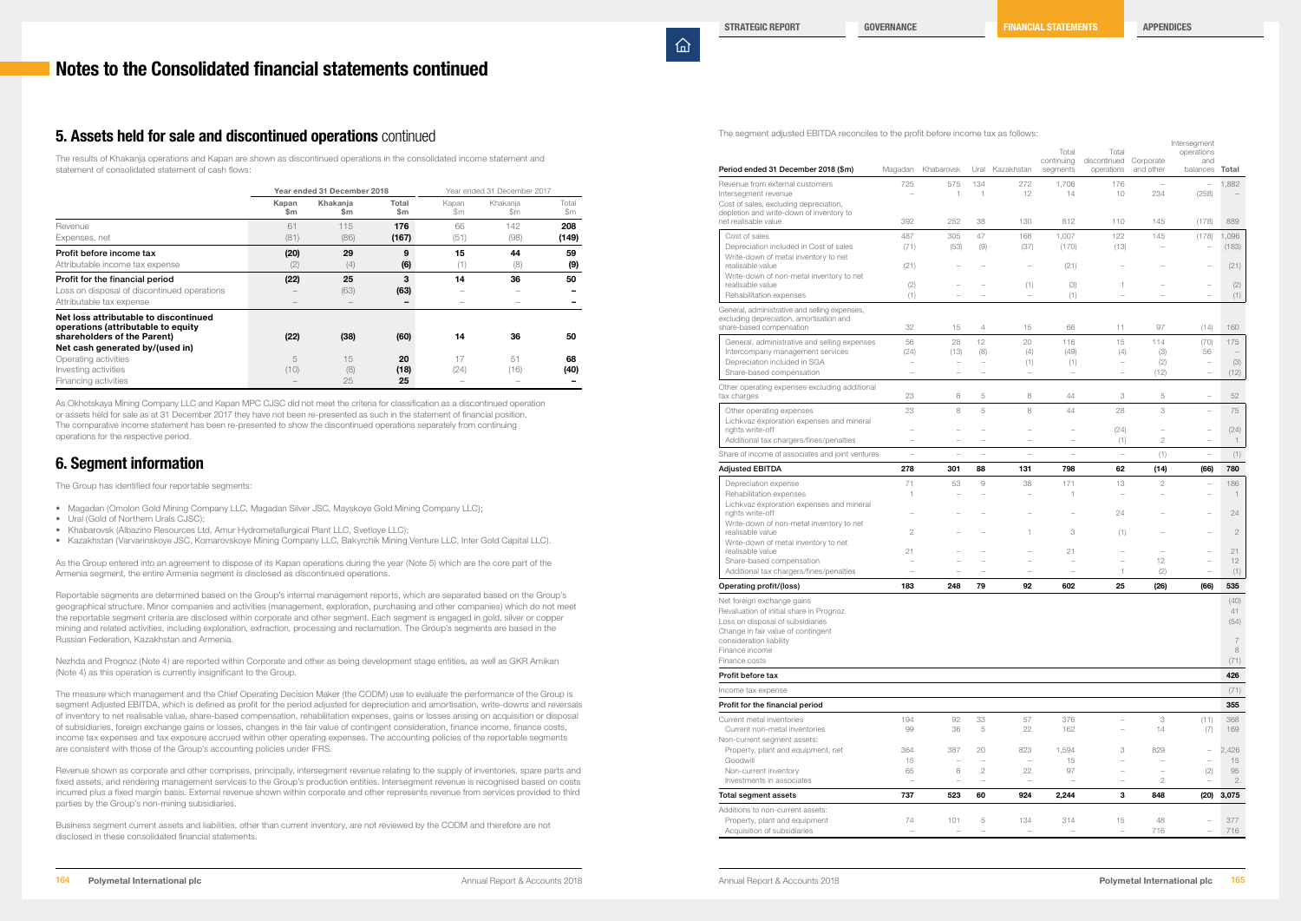## <span id="page-16-0"></span>**Notes to the Consolidated financial statements continued**

### **5. Assets held for sale and discontinued operations** continued

The results of Khakanja operations and Kapan are shown as discontinued operations in the consolidated income statement and statement of consolidated statement of cash flows:

|                                                                                                                                                                       |              | Year ended 31 December 2018 |              | Year ended 31 December 2017 |                            |                         |
|-----------------------------------------------------------------------------------------------------------------------------------------------------------------------|--------------|-----------------------------|--------------|-----------------------------|----------------------------|-------------------------|
|                                                                                                                                                                       | Kapan<br>\$m | Khakanja<br>\$m             | Total<br>\$m | Kapan<br>$\mathbb{S}$ m     | Khakanja<br>$\mathbb{S}$ m | Total<br>$\mathbb{S}$ m |
| Revenue<br>Expenses, net                                                                                                                                              | 61<br>(81)   | 115<br>(86)                 | 176<br>(167) | 66<br>(51)                  | 142<br>(98)                | 208<br>(149)            |
| Profit before income tax<br>Attributable income tax expense                                                                                                           | (20)<br>(2)  | 29<br>(4)                   | 9<br>(6)     | 15<br>(1)                   | 44<br>(8)                  | 59<br>(9)               |
| Profit for the financial period<br>Loss on disposal of discontinued operations<br>Attributable tax expense                                                            | (22)         | 25<br>(63)                  | 3<br>(63)    | 14                          | 36                         | 50                      |
| Net loss attributable to discontinued<br>operations (attributable to equity<br>shareholders of the Parent)<br>Net cash generated by/(used in)<br>Operating activities | (22)<br>5    | (38)<br>15                  | (60)<br>20   | 14<br>17                    | 36<br>51                   | 50<br>68                |
| Investing activities<br>Financing activities                                                                                                                          | (10)         | (8)<br>25                   | (18)<br>25   | (24)                        | (16)                       | (40)                    |

As Okhotskaya Mining Company LLC and Kapan MPC CJSC did not meet the criteria for classification as a discontinued operation or assets held for sale as at 31 December 2017 they have not been re-presented as such in the statement of financial position. The comparative income statement has been re-presented to show the discontinued operations separately from continuing operations for the respective period.

### **6. Segment information**

The Group has identified four reportable segments:

- Magadan (Omolon Gold Mining Company LLC, Magadan Silver JSC, Mayskoye Gold Mining Company LLC);
- Ural (Gold of Northern Urals CJSC);
- Khabarovsk (Albazino Resources Ltd, Amur Hydrometallurgical Plant LLC, Svetloye LLC);
- Kazakhstan (Varvarinskoye JSC, Komarovskoye Mining Company LLC, Bakyrchik Mining Venture LLC, Inter Gold Capital LLC).

As the Group entered into an agreement to dispose of its Kapan operations during the year (Note 5) which are the core part of the Armenia segment, the entire Armenia segment is disclosed as discontinued operations.

Reportable segments are determined based on the Group's internal management reports, which are separated based on the Group's geographical structure. Minor companies and activities (management, exploration, purchasing and other companies) which do not meet the reportable segment criteria are disclosed within corporate and other segment. Each segment is engaged in gold, silver or copper mining and related activities, including exploration, extraction, processing and reclamation. The Group's segments are based in the Russian Federation, Kazakhstan and Armenia.

Nezhda and Prognoz (Note 4) are reported within Corporate and other as being development stage entities, as well as GKR Amikan (Note 4) as this operation is currently insignificant to the Group.

The measure which management and the Chief Operating Decision Maker (the CODM) use to evaluate the performance of the Group is segment Adjusted EBITDA, which is defined as profit for the period adjusted for depreciation and amortisation, write-downs and reversals of inventory to net realisable value, share-based compensation, rehabilitation expenses, gains or losses arising on acquisition or disposal of subsidiaries, foreign exchange gains or losses, changes in the fair value of contingent consideration, finance income, finance costs, income tax expenses and tax exposure accrued within other operating expenses. The accounting policies of the reportable segments are consistent with those of the Group's accounting policies under IFRS.

Revenue shown as corporate and other comprises, principally, intersegment revenue relating to the supply of inventories, spare parts and fixed assets, and rendering management services to the Group's production entities. Intersegment revenue is recognised based on costs incurred plus a fixed margin basis. External revenue shown within corporate and other represents revenue from services provided to third parties by the Group's non-mining subsidiaries.

Business segment current assets and liabilities, other than current inventory, are not reviewed by the CODM and therefore are not disclosed in these consolidated financial statements.

The segment adjusted EBITDA reconciles to the profit before income

Total

Total

|  |  |  | tax as follows: |
|--|--|--|-----------------|
|--|--|--|-----------------|

Intersegment operations

| 725<br>575<br>134<br>272<br>1,706<br>176<br>Revenue from external customers<br>1,882<br>12<br>10<br>234<br>$\mathbf{1}$<br>$\overline{1}$<br>14<br>(258)<br>Intersegment revenue<br>Cost of sales, excluding depreciation,<br>depletion and write-down of inventory to<br>net realisable value<br>392<br>130<br>812<br>110<br>889<br>252<br>38<br>145<br>(178)<br>Cost of sales<br>487<br>47<br>1,007<br>122<br>145<br>305<br>168<br>(178)<br>1,096<br>Depreciation included in Cost of sales<br>(71)<br>(9)<br>(37)<br>(170)<br>(13)<br>(183)<br>(53)<br>Write-down of metal inventory to net<br>realisable value<br>(21)<br>(21)<br>(21)<br>Write-down of non-metal inventory to net<br>realisable value<br>(2)<br>(1)<br>(3)<br>1<br>(2)<br>$\overline{\phantom{0}}$<br>Rehabilitation expenses<br>(1)<br>(1)<br>(1)<br>$\overline{\phantom{a}}$<br>$\hspace{1.0cm} - \hspace{1.0cm}$<br>$\qquad \qquad -$<br>-<br>General, administrative and selling expenses,<br>excluding depreciation, amortisation and<br>share-based compensation<br>32<br>15<br>$\overline{4}$<br>15<br>66<br>11<br>97<br>(14)<br>160<br>56<br>28<br>12<br>20<br>15<br>General, administrative and selling expenses<br>116<br>114<br>(70)<br>175<br>(49)<br>Intercompany management services<br>(24)<br>(13)<br>(8)<br>(4)<br>(4)<br>(3)<br>56<br>Depreciation included in SGA<br>(1)<br>(1)<br>(2)<br>(3)<br>÷<br>$\hspace{1.0cm} - \hspace{1.0cm}$<br>$\hspace{1.0cm} - \hspace{1.0cm}$<br>i.<br>۳<br>Share-based compensation<br>(12)<br>(12)<br>$\hspace{1.0cm} - \hspace{1.0cm}$<br>$\hspace{1.0cm} - \hspace{1.0cm}$<br>$\hspace{1.0cm} - \hspace{1.0cm}$<br>۰<br>$\overline{\phantom{0}}$<br>$\qquad \qquad -$<br>Other operating expenses excluding additional<br>5<br>8<br>5<br>8<br>3<br>tax charges<br>23<br>44<br>52<br>$\overline{\phantom{0}}$<br>5<br>8<br>3<br>23<br>8<br>44<br>28<br>Other operating expenses<br>75<br>i.<br>Lichkvaz exploration expenses and mineral<br>rights write-off<br>(24)<br>(24)<br>$\mathbf{2}$<br>Additional tax chargers/fines/penalties<br>(1)<br>$\overline{1}$<br>$\hspace{1.0cm} - \hspace{1.0cm}$<br>$\overline{\phantom{a}}$<br>$\overline{\phantom{a}}$<br>$\overline{\phantom{a}}$<br>$\qquad \qquad -$<br>$\overline{\phantom{0}}$<br>(1)<br>(1)<br>Share of income of associates and joint ventures<br>$\overline{\phantom{0}}$<br>$\overline{\phantom{0}}$<br>$\overline{\phantom{a}}$<br>$\hspace{1.0cm} - \hspace{1.0cm}$<br>÷<br>278<br>301<br>88<br>131<br>798<br>62<br>(14)<br>780<br><b>Adjusted EBITDA</b><br>(66)<br>71<br>53<br>$\mathcal{G}$<br>38<br>13<br>$\overline{c}$<br>186<br>Depreciation expense<br>171<br>$\overline{\phantom{0}}$<br>1<br>1<br>$\mathbf{1}$<br>Rehabilitation expenses<br>÷<br>۳<br>Lichkvaz exploration expenses and mineral<br>rights write-off<br>24<br>24<br>$\overline{\phantom{0}}$<br>Write-down of non-metal inventory to net<br>realisable value<br>$\overline{2}$<br>1<br>3<br>$\mathbf{2}$<br>(1)<br>-<br>Write-down of metal inventory to net<br>21<br>realisable value<br>21<br>21<br>12<br>Share-based compensation<br>12<br>$\overline{\phantom{0}}$<br>Additional tax chargers/fines/penalties<br>(2)<br>(1)<br>1<br>۰<br>-<br>$\overline{\phantom{0}}$<br>$\overline{\phantom{0}}$<br>Operating profit/(loss)<br>183<br>248<br>79<br>92<br>602<br>25<br>(26)<br>(66)<br>535<br>(40)<br>Net foreign exchange gains<br>Revaluation of initial share in Prognoz<br>41<br>Loss on disposal of subsidiaries<br>(54)<br>Change in fair value of contingent<br>$\overline{7}$<br>consideration liability<br>8<br>Finance income<br>(71)<br>Finance costs<br>426<br>Profit before tax<br>(71)<br>Income tax expense<br>355<br>Profit for the financial period<br>194<br>3<br>Current metal inventories<br>92<br>33<br>57<br>376<br>(11)<br>368<br>$\sim$<br>99<br>5<br>22<br>Current non-metal inventories<br>36<br>162<br>14<br>(7)<br>169<br>Non-current segment assets:<br>Property, plant and equipment, net<br>364<br>387<br>20<br>823<br>1,594<br>3<br>829<br>2,426<br>÷,<br>Goodwill<br>15<br>15<br>15<br>$\overline{\phantom{a}}$<br>$\overline{\phantom{0}}$<br>$\hspace{1.0cm} - \hspace{1.0cm}$<br>$\hspace{1.0cm} - \hspace{1.0cm}$<br>$\sim$<br>$\overline{\phantom{a}}$<br>65<br>$\mathbf{2}$<br>22<br>97<br>Non-current inventory<br>8<br>(2)<br>95<br>$\sqrt{2}$<br>Investments in associates<br>2<br>$\overline{\phantom{0}}$<br>$\overline{\phantom{a}}$<br>$\qquad \qquad -$<br>$\overline{\phantom{a}}$<br>$\hspace{1.0cm} - \hspace{1.0cm}$<br>$\qquad \qquad -$<br>$\hspace{1.0cm} \rule{1.5cm}{0.15cm} \hspace{1.0cm} \rule{1.5cm}{0.15cm}$<br>737<br>523<br>2,244<br>3<br>60<br>924<br>848<br>(20)<br>3,075<br>Total segment assets<br>Additions to non-current assets:<br>Property, plant and equipment<br>74<br>101<br>5<br>134<br>314<br>15<br>377<br>48<br>716<br>Acquisition of subsidiaries<br>716<br>÷<br>$\overline{\phantom{a}}$<br>÷ | Period ended 31 December 2018 (\$m) | Magadan | Khabarovsk | Ural | Kazakhstan | continuing<br>segments | discontinued Corporate<br>operations | and other | and<br>balances | Total |
|----------------------------------------------------------------------------------------------------------------------------------------------------------------------------------------------------------------------------------------------------------------------------------------------------------------------------------------------------------------------------------------------------------------------------------------------------------------------------------------------------------------------------------------------------------------------------------------------------------------------------------------------------------------------------------------------------------------------------------------------------------------------------------------------------------------------------------------------------------------------------------------------------------------------------------------------------------------------------------------------------------------------------------------------------------------------------------------------------------------------------------------------------------------------------------------------------------------------------------------------------------------------------------------------------------------------------------------------------------------------------------------------------------------------------------------------------------------------------------------------------------------------------------------------------------------------------------------------------------------------------------------------------------------------------------------------------------------------------------------------------------------------------------------------------------------------------------------------------------------------------------------------------------------------------------------------------------------------------------------------------------------------------------------------------------------------------------------------------------------------------------------------------------------------------------------------------------------------------------------------------------------------------------------------------------------------------------------------------------------------------------------------------------------------------------------------------------------------------------------------------------------------------------------------------------------------------------------------------------------------------------------------------------------------------------------------------------------------------------------------------------------------------------------------------------------------------------------------------------------------------------------------------------------------------------------------------------------------------------------------------------------------------------------------------------------------------------------------------------------------------------------------------------------------------------------------------------------------------------------------------------------------------------------------------------------------------------------------------------------------------------------------------------------------------------------------------------------------------------------------------------------------------------------------------------------------------------------------------------------------------------------------------------------------------------------------------------------------------------------------------------------------------------------------------------------------------------------------------------------------------------------------------------------------------------------------------------------------------------------------------------------------------------------------------------------------------------------------------------------------------------------------------------------------------------------------------------------------------------------------------------------------------------------------------------------------------------------------------------------------------------------------------------------------------------------------------------------------------------------------------------------------------------------------------------------------------------------------------------------------------------------------------------------------------------------------------------------------------------------------------------------------------------------------------------------------------------------------------------------------------------------------------------------------------------------------------------|-------------------------------------|---------|------------|------|------------|------------------------|--------------------------------------|-----------|-----------------|-------|
|                                                                                                                                                                                                                                                                                                                                                                                                                                                                                                                                                                                                                                                                                                                                                                                                                                                                                                                                                                                                                                                                                                                                                                                                                                                                                                                                                                                                                                                                                                                                                                                                                                                                                                                                                                                                                                                                                                                                                                                                                                                                                                                                                                                                                                                                                                                                                                                                                                                                                                                                                                                                                                                                                                                                                                                                                                                                                                                                                                                                                                                                                                                                                                                                                                                                                                                                                                                                                                                                                                                                                                                                                                                                                                                                                                                                                                                                                                                                                                                                                                                                                                                                                                                                                                                                                                                                                                                                                                                                                                                                                                                                                                                                                                                                                                                                                                                                                                                                                          |                                     |         |            |      |            |                        |                                      |           |                 |       |
|                                                                                                                                                                                                                                                                                                                                                                                                                                                                                                                                                                                                                                                                                                                                                                                                                                                                                                                                                                                                                                                                                                                                                                                                                                                                                                                                                                                                                                                                                                                                                                                                                                                                                                                                                                                                                                                                                                                                                                                                                                                                                                                                                                                                                                                                                                                                                                                                                                                                                                                                                                                                                                                                                                                                                                                                                                                                                                                                                                                                                                                                                                                                                                                                                                                                                                                                                                                                                                                                                                                                                                                                                                                                                                                                                                                                                                                                                                                                                                                                                                                                                                                                                                                                                                                                                                                                                                                                                                                                                                                                                                                                                                                                                                                                                                                                                                                                                                                                                          |                                     |         |            |      |            |                        |                                      |           |                 |       |
|                                                                                                                                                                                                                                                                                                                                                                                                                                                                                                                                                                                                                                                                                                                                                                                                                                                                                                                                                                                                                                                                                                                                                                                                                                                                                                                                                                                                                                                                                                                                                                                                                                                                                                                                                                                                                                                                                                                                                                                                                                                                                                                                                                                                                                                                                                                                                                                                                                                                                                                                                                                                                                                                                                                                                                                                                                                                                                                                                                                                                                                                                                                                                                                                                                                                                                                                                                                                                                                                                                                                                                                                                                                                                                                                                                                                                                                                                                                                                                                                                                                                                                                                                                                                                                                                                                                                                                                                                                                                                                                                                                                                                                                                                                                                                                                                                                                                                                                                                          |                                     |         |            |      |            |                        |                                      |           |                 |       |
|                                                                                                                                                                                                                                                                                                                                                                                                                                                                                                                                                                                                                                                                                                                                                                                                                                                                                                                                                                                                                                                                                                                                                                                                                                                                                                                                                                                                                                                                                                                                                                                                                                                                                                                                                                                                                                                                                                                                                                                                                                                                                                                                                                                                                                                                                                                                                                                                                                                                                                                                                                                                                                                                                                                                                                                                                                                                                                                                                                                                                                                                                                                                                                                                                                                                                                                                                                                                                                                                                                                                                                                                                                                                                                                                                                                                                                                                                                                                                                                                                                                                                                                                                                                                                                                                                                                                                                                                                                                                                                                                                                                                                                                                                                                                                                                                                                                                                                                                                          |                                     |         |            |      |            |                        |                                      |           |                 |       |
|                                                                                                                                                                                                                                                                                                                                                                                                                                                                                                                                                                                                                                                                                                                                                                                                                                                                                                                                                                                                                                                                                                                                                                                                                                                                                                                                                                                                                                                                                                                                                                                                                                                                                                                                                                                                                                                                                                                                                                                                                                                                                                                                                                                                                                                                                                                                                                                                                                                                                                                                                                                                                                                                                                                                                                                                                                                                                                                                                                                                                                                                                                                                                                                                                                                                                                                                                                                                                                                                                                                                                                                                                                                                                                                                                                                                                                                                                                                                                                                                                                                                                                                                                                                                                                                                                                                                                                                                                                                                                                                                                                                                                                                                                                                                                                                                                                                                                                                                                          |                                     |         |            |      |            |                        |                                      |           |                 |       |
|                                                                                                                                                                                                                                                                                                                                                                                                                                                                                                                                                                                                                                                                                                                                                                                                                                                                                                                                                                                                                                                                                                                                                                                                                                                                                                                                                                                                                                                                                                                                                                                                                                                                                                                                                                                                                                                                                                                                                                                                                                                                                                                                                                                                                                                                                                                                                                                                                                                                                                                                                                                                                                                                                                                                                                                                                                                                                                                                                                                                                                                                                                                                                                                                                                                                                                                                                                                                                                                                                                                                                                                                                                                                                                                                                                                                                                                                                                                                                                                                                                                                                                                                                                                                                                                                                                                                                                                                                                                                                                                                                                                                                                                                                                                                                                                                                                                                                                                                                          |                                     |         |            |      |            |                        |                                      |           |                 |       |
|                                                                                                                                                                                                                                                                                                                                                                                                                                                                                                                                                                                                                                                                                                                                                                                                                                                                                                                                                                                                                                                                                                                                                                                                                                                                                                                                                                                                                                                                                                                                                                                                                                                                                                                                                                                                                                                                                                                                                                                                                                                                                                                                                                                                                                                                                                                                                                                                                                                                                                                                                                                                                                                                                                                                                                                                                                                                                                                                                                                                                                                                                                                                                                                                                                                                                                                                                                                                                                                                                                                                                                                                                                                                                                                                                                                                                                                                                                                                                                                                                                                                                                                                                                                                                                                                                                                                                                                                                                                                                                                                                                                                                                                                                                                                                                                                                                                                                                                                                          |                                     |         |            |      |            |                        |                                      |           |                 |       |
|                                                                                                                                                                                                                                                                                                                                                                                                                                                                                                                                                                                                                                                                                                                                                                                                                                                                                                                                                                                                                                                                                                                                                                                                                                                                                                                                                                                                                                                                                                                                                                                                                                                                                                                                                                                                                                                                                                                                                                                                                                                                                                                                                                                                                                                                                                                                                                                                                                                                                                                                                                                                                                                                                                                                                                                                                                                                                                                                                                                                                                                                                                                                                                                                                                                                                                                                                                                                                                                                                                                                                                                                                                                                                                                                                                                                                                                                                                                                                                                                                                                                                                                                                                                                                                                                                                                                                                                                                                                                                                                                                                                                                                                                                                                                                                                                                                                                                                                                                          |                                     |         |            |      |            |                        |                                      |           |                 |       |
|                                                                                                                                                                                                                                                                                                                                                                                                                                                                                                                                                                                                                                                                                                                                                                                                                                                                                                                                                                                                                                                                                                                                                                                                                                                                                                                                                                                                                                                                                                                                                                                                                                                                                                                                                                                                                                                                                                                                                                                                                                                                                                                                                                                                                                                                                                                                                                                                                                                                                                                                                                                                                                                                                                                                                                                                                                                                                                                                                                                                                                                                                                                                                                                                                                                                                                                                                                                                                                                                                                                                                                                                                                                                                                                                                                                                                                                                                                                                                                                                                                                                                                                                                                                                                                                                                                                                                                                                                                                                                                                                                                                                                                                                                                                                                                                                                                                                                                                                                          |                                     |         |            |      |            |                        |                                      |           |                 |       |
|                                                                                                                                                                                                                                                                                                                                                                                                                                                                                                                                                                                                                                                                                                                                                                                                                                                                                                                                                                                                                                                                                                                                                                                                                                                                                                                                                                                                                                                                                                                                                                                                                                                                                                                                                                                                                                                                                                                                                                                                                                                                                                                                                                                                                                                                                                                                                                                                                                                                                                                                                                                                                                                                                                                                                                                                                                                                                                                                                                                                                                                                                                                                                                                                                                                                                                                                                                                                                                                                                                                                                                                                                                                                                                                                                                                                                                                                                                                                                                                                                                                                                                                                                                                                                                                                                                                                                                                                                                                                                                                                                                                                                                                                                                                                                                                                                                                                                                                                                          |                                     |         |            |      |            |                        |                                      |           |                 |       |
|                                                                                                                                                                                                                                                                                                                                                                                                                                                                                                                                                                                                                                                                                                                                                                                                                                                                                                                                                                                                                                                                                                                                                                                                                                                                                                                                                                                                                                                                                                                                                                                                                                                                                                                                                                                                                                                                                                                                                                                                                                                                                                                                                                                                                                                                                                                                                                                                                                                                                                                                                                                                                                                                                                                                                                                                                                                                                                                                                                                                                                                                                                                                                                                                                                                                                                                                                                                                                                                                                                                                                                                                                                                                                                                                                                                                                                                                                                                                                                                                                                                                                                                                                                                                                                                                                                                                                                                                                                                                                                                                                                                                                                                                                                                                                                                                                                                                                                                                                          |                                     |         |            |      |            |                        |                                      |           |                 |       |
|                                                                                                                                                                                                                                                                                                                                                                                                                                                                                                                                                                                                                                                                                                                                                                                                                                                                                                                                                                                                                                                                                                                                                                                                                                                                                                                                                                                                                                                                                                                                                                                                                                                                                                                                                                                                                                                                                                                                                                                                                                                                                                                                                                                                                                                                                                                                                                                                                                                                                                                                                                                                                                                                                                                                                                                                                                                                                                                                                                                                                                                                                                                                                                                                                                                                                                                                                                                                                                                                                                                                                                                                                                                                                                                                                                                                                                                                                                                                                                                                                                                                                                                                                                                                                                                                                                                                                                                                                                                                                                                                                                                                                                                                                                                                                                                                                                                                                                                                                          |                                     |         |            |      |            |                        |                                      |           |                 |       |
|                                                                                                                                                                                                                                                                                                                                                                                                                                                                                                                                                                                                                                                                                                                                                                                                                                                                                                                                                                                                                                                                                                                                                                                                                                                                                                                                                                                                                                                                                                                                                                                                                                                                                                                                                                                                                                                                                                                                                                                                                                                                                                                                                                                                                                                                                                                                                                                                                                                                                                                                                                                                                                                                                                                                                                                                                                                                                                                                                                                                                                                                                                                                                                                                                                                                                                                                                                                                                                                                                                                                                                                                                                                                                                                                                                                                                                                                                                                                                                                                                                                                                                                                                                                                                                                                                                                                                                                                                                                                                                                                                                                                                                                                                                                                                                                                                                                                                                                                                          |                                     |         |            |      |            |                        |                                      |           |                 |       |
|                                                                                                                                                                                                                                                                                                                                                                                                                                                                                                                                                                                                                                                                                                                                                                                                                                                                                                                                                                                                                                                                                                                                                                                                                                                                                                                                                                                                                                                                                                                                                                                                                                                                                                                                                                                                                                                                                                                                                                                                                                                                                                                                                                                                                                                                                                                                                                                                                                                                                                                                                                                                                                                                                                                                                                                                                                                                                                                                                                                                                                                                                                                                                                                                                                                                                                                                                                                                                                                                                                                                                                                                                                                                                                                                                                                                                                                                                                                                                                                                                                                                                                                                                                                                                                                                                                                                                                                                                                                                                                                                                                                                                                                                                                                                                                                                                                                                                                                                                          |                                     |         |            |      |            |                        |                                      |           |                 |       |
|                                                                                                                                                                                                                                                                                                                                                                                                                                                                                                                                                                                                                                                                                                                                                                                                                                                                                                                                                                                                                                                                                                                                                                                                                                                                                                                                                                                                                                                                                                                                                                                                                                                                                                                                                                                                                                                                                                                                                                                                                                                                                                                                                                                                                                                                                                                                                                                                                                                                                                                                                                                                                                                                                                                                                                                                                                                                                                                                                                                                                                                                                                                                                                                                                                                                                                                                                                                                                                                                                                                                                                                                                                                                                                                                                                                                                                                                                                                                                                                                                                                                                                                                                                                                                                                                                                                                                                                                                                                                                                                                                                                                                                                                                                                                                                                                                                                                                                                                                          |                                     |         |            |      |            |                        |                                      |           |                 |       |
|                                                                                                                                                                                                                                                                                                                                                                                                                                                                                                                                                                                                                                                                                                                                                                                                                                                                                                                                                                                                                                                                                                                                                                                                                                                                                                                                                                                                                                                                                                                                                                                                                                                                                                                                                                                                                                                                                                                                                                                                                                                                                                                                                                                                                                                                                                                                                                                                                                                                                                                                                                                                                                                                                                                                                                                                                                                                                                                                                                                                                                                                                                                                                                                                                                                                                                                                                                                                                                                                                                                                                                                                                                                                                                                                                                                                                                                                                                                                                                                                                                                                                                                                                                                                                                                                                                                                                                                                                                                                                                                                                                                                                                                                                                                                                                                                                                                                                                                                                          |                                     |         |            |      |            |                        |                                      |           |                 |       |
|                                                                                                                                                                                                                                                                                                                                                                                                                                                                                                                                                                                                                                                                                                                                                                                                                                                                                                                                                                                                                                                                                                                                                                                                                                                                                                                                                                                                                                                                                                                                                                                                                                                                                                                                                                                                                                                                                                                                                                                                                                                                                                                                                                                                                                                                                                                                                                                                                                                                                                                                                                                                                                                                                                                                                                                                                                                                                                                                                                                                                                                                                                                                                                                                                                                                                                                                                                                                                                                                                                                                                                                                                                                                                                                                                                                                                                                                                                                                                                                                                                                                                                                                                                                                                                                                                                                                                                                                                                                                                                                                                                                                                                                                                                                                                                                                                                                                                                                                                          |                                     |         |            |      |            |                        |                                      |           |                 |       |
|                                                                                                                                                                                                                                                                                                                                                                                                                                                                                                                                                                                                                                                                                                                                                                                                                                                                                                                                                                                                                                                                                                                                                                                                                                                                                                                                                                                                                                                                                                                                                                                                                                                                                                                                                                                                                                                                                                                                                                                                                                                                                                                                                                                                                                                                                                                                                                                                                                                                                                                                                                                                                                                                                                                                                                                                                                                                                                                                                                                                                                                                                                                                                                                                                                                                                                                                                                                                                                                                                                                                                                                                                                                                                                                                                                                                                                                                                                                                                                                                                                                                                                                                                                                                                                                                                                                                                                                                                                                                                                                                                                                                                                                                                                                                                                                                                                                                                                                                                          |                                     |         |            |      |            |                        |                                      |           |                 |       |
|                                                                                                                                                                                                                                                                                                                                                                                                                                                                                                                                                                                                                                                                                                                                                                                                                                                                                                                                                                                                                                                                                                                                                                                                                                                                                                                                                                                                                                                                                                                                                                                                                                                                                                                                                                                                                                                                                                                                                                                                                                                                                                                                                                                                                                                                                                                                                                                                                                                                                                                                                                                                                                                                                                                                                                                                                                                                                                                                                                                                                                                                                                                                                                                                                                                                                                                                                                                                                                                                                                                                                                                                                                                                                                                                                                                                                                                                                                                                                                                                                                                                                                                                                                                                                                                                                                                                                                                                                                                                                                                                                                                                                                                                                                                                                                                                                                                                                                                                                          |                                     |         |            |      |            |                        |                                      |           |                 |       |
|                                                                                                                                                                                                                                                                                                                                                                                                                                                                                                                                                                                                                                                                                                                                                                                                                                                                                                                                                                                                                                                                                                                                                                                                                                                                                                                                                                                                                                                                                                                                                                                                                                                                                                                                                                                                                                                                                                                                                                                                                                                                                                                                                                                                                                                                                                                                                                                                                                                                                                                                                                                                                                                                                                                                                                                                                                                                                                                                                                                                                                                                                                                                                                                                                                                                                                                                                                                                                                                                                                                                                                                                                                                                                                                                                                                                                                                                                                                                                                                                                                                                                                                                                                                                                                                                                                                                                                                                                                                                                                                                                                                                                                                                                                                                                                                                                                                                                                                                                          |                                     |         |            |      |            |                        |                                      |           |                 |       |
|                                                                                                                                                                                                                                                                                                                                                                                                                                                                                                                                                                                                                                                                                                                                                                                                                                                                                                                                                                                                                                                                                                                                                                                                                                                                                                                                                                                                                                                                                                                                                                                                                                                                                                                                                                                                                                                                                                                                                                                                                                                                                                                                                                                                                                                                                                                                                                                                                                                                                                                                                                                                                                                                                                                                                                                                                                                                                                                                                                                                                                                                                                                                                                                                                                                                                                                                                                                                                                                                                                                                                                                                                                                                                                                                                                                                                                                                                                                                                                                                                                                                                                                                                                                                                                                                                                                                                                                                                                                                                                                                                                                                                                                                                                                                                                                                                                                                                                                                                          |                                     |         |            |      |            |                        |                                      |           |                 |       |
|                                                                                                                                                                                                                                                                                                                                                                                                                                                                                                                                                                                                                                                                                                                                                                                                                                                                                                                                                                                                                                                                                                                                                                                                                                                                                                                                                                                                                                                                                                                                                                                                                                                                                                                                                                                                                                                                                                                                                                                                                                                                                                                                                                                                                                                                                                                                                                                                                                                                                                                                                                                                                                                                                                                                                                                                                                                                                                                                                                                                                                                                                                                                                                                                                                                                                                                                                                                                                                                                                                                                                                                                                                                                                                                                                                                                                                                                                                                                                                                                                                                                                                                                                                                                                                                                                                                                                                                                                                                                                                                                                                                                                                                                                                                                                                                                                                                                                                                                                          |                                     |         |            |      |            |                        |                                      |           |                 |       |
|                                                                                                                                                                                                                                                                                                                                                                                                                                                                                                                                                                                                                                                                                                                                                                                                                                                                                                                                                                                                                                                                                                                                                                                                                                                                                                                                                                                                                                                                                                                                                                                                                                                                                                                                                                                                                                                                                                                                                                                                                                                                                                                                                                                                                                                                                                                                                                                                                                                                                                                                                                                                                                                                                                                                                                                                                                                                                                                                                                                                                                                                                                                                                                                                                                                                                                                                                                                                                                                                                                                                                                                                                                                                                                                                                                                                                                                                                                                                                                                                                                                                                                                                                                                                                                                                                                                                                                                                                                                                                                                                                                                                                                                                                                                                                                                                                                                                                                                                                          |                                     |         |            |      |            |                        |                                      |           |                 |       |
|                                                                                                                                                                                                                                                                                                                                                                                                                                                                                                                                                                                                                                                                                                                                                                                                                                                                                                                                                                                                                                                                                                                                                                                                                                                                                                                                                                                                                                                                                                                                                                                                                                                                                                                                                                                                                                                                                                                                                                                                                                                                                                                                                                                                                                                                                                                                                                                                                                                                                                                                                                                                                                                                                                                                                                                                                                                                                                                                                                                                                                                                                                                                                                                                                                                                                                                                                                                                                                                                                                                                                                                                                                                                                                                                                                                                                                                                                                                                                                                                                                                                                                                                                                                                                                                                                                                                                                                                                                                                                                                                                                                                                                                                                                                                                                                                                                                                                                                                                          |                                     |         |            |      |            |                        |                                      |           |                 |       |
|                                                                                                                                                                                                                                                                                                                                                                                                                                                                                                                                                                                                                                                                                                                                                                                                                                                                                                                                                                                                                                                                                                                                                                                                                                                                                                                                                                                                                                                                                                                                                                                                                                                                                                                                                                                                                                                                                                                                                                                                                                                                                                                                                                                                                                                                                                                                                                                                                                                                                                                                                                                                                                                                                                                                                                                                                                                                                                                                                                                                                                                                                                                                                                                                                                                                                                                                                                                                                                                                                                                                                                                                                                                                                                                                                                                                                                                                                                                                                                                                                                                                                                                                                                                                                                                                                                                                                                                                                                                                                                                                                                                                                                                                                                                                                                                                                                                                                                                                                          |                                     |         |            |      |            |                        |                                      |           |                 |       |
|                                                                                                                                                                                                                                                                                                                                                                                                                                                                                                                                                                                                                                                                                                                                                                                                                                                                                                                                                                                                                                                                                                                                                                                                                                                                                                                                                                                                                                                                                                                                                                                                                                                                                                                                                                                                                                                                                                                                                                                                                                                                                                                                                                                                                                                                                                                                                                                                                                                                                                                                                                                                                                                                                                                                                                                                                                                                                                                                                                                                                                                                                                                                                                                                                                                                                                                                                                                                                                                                                                                                                                                                                                                                                                                                                                                                                                                                                                                                                                                                                                                                                                                                                                                                                                                                                                                                                                                                                                                                                                                                                                                                                                                                                                                                                                                                                                                                                                                                                          |                                     |         |            |      |            |                        |                                      |           |                 |       |
|                                                                                                                                                                                                                                                                                                                                                                                                                                                                                                                                                                                                                                                                                                                                                                                                                                                                                                                                                                                                                                                                                                                                                                                                                                                                                                                                                                                                                                                                                                                                                                                                                                                                                                                                                                                                                                                                                                                                                                                                                                                                                                                                                                                                                                                                                                                                                                                                                                                                                                                                                                                                                                                                                                                                                                                                                                                                                                                                                                                                                                                                                                                                                                                                                                                                                                                                                                                                                                                                                                                                                                                                                                                                                                                                                                                                                                                                                                                                                                                                                                                                                                                                                                                                                                                                                                                                                                                                                                                                                                                                                                                                                                                                                                                                                                                                                                                                                                                                                          |                                     |         |            |      |            |                        |                                      |           |                 |       |
|                                                                                                                                                                                                                                                                                                                                                                                                                                                                                                                                                                                                                                                                                                                                                                                                                                                                                                                                                                                                                                                                                                                                                                                                                                                                                                                                                                                                                                                                                                                                                                                                                                                                                                                                                                                                                                                                                                                                                                                                                                                                                                                                                                                                                                                                                                                                                                                                                                                                                                                                                                                                                                                                                                                                                                                                                                                                                                                                                                                                                                                                                                                                                                                                                                                                                                                                                                                                                                                                                                                                                                                                                                                                                                                                                                                                                                                                                                                                                                                                                                                                                                                                                                                                                                                                                                                                                                                                                                                                                                                                                                                                                                                                                                                                                                                                                                                                                                                                                          |                                     |         |            |      |            |                        |                                      |           |                 |       |
|                                                                                                                                                                                                                                                                                                                                                                                                                                                                                                                                                                                                                                                                                                                                                                                                                                                                                                                                                                                                                                                                                                                                                                                                                                                                                                                                                                                                                                                                                                                                                                                                                                                                                                                                                                                                                                                                                                                                                                                                                                                                                                                                                                                                                                                                                                                                                                                                                                                                                                                                                                                                                                                                                                                                                                                                                                                                                                                                                                                                                                                                                                                                                                                                                                                                                                                                                                                                                                                                                                                                                                                                                                                                                                                                                                                                                                                                                                                                                                                                                                                                                                                                                                                                                                                                                                                                                                                                                                                                                                                                                                                                                                                                                                                                                                                                                                                                                                                                                          |                                     |         |            |      |            |                        |                                      |           |                 |       |
|                                                                                                                                                                                                                                                                                                                                                                                                                                                                                                                                                                                                                                                                                                                                                                                                                                                                                                                                                                                                                                                                                                                                                                                                                                                                                                                                                                                                                                                                                                                                                                                                                                                                                                                                                                                                                                                                                                                                                                                                                                                                                                                                                                                                                                                                                                                                                                                                                                                                                                                                                                                                                                                                                                                                                                                                                                                                                                                                                                                                                                                                                                                                                                                                                                                                                                                                                                                                                                                                                                                                                                                                                                                                                                                                                                                                                                                                                                                                                                                                                                                                                                                                                                                                                                                                                                                                                                                                                                                                                                                                                                                                                                                                                                                                                                                                                                                                                                                                                          |                                     |         |            |      |            |                        |                                      |           |                 |       |
|                                                                                                                                                                                                                                                                                                                                                                                                                                                                                                                                                                                                                                                                                                                                                                                                                                                                                                                                                                                                                                                                                                                                                                                                                                                                                                                                                                                                                                                                                                                                                                                                                                                                                                                                                                                                                                                                                                                                                                                                                                                                                                                                                                                                                                                                                                                                                                                                                                                                                                                                                                                                                                                                                                                                                                                                                                                                                                                                                                                                                                                                                                                                                                                                                                                                                                                                                                                                                                                                                                                                                                                                                                                                                                                                                                                                                                                                                                                                                                                                                                                                                                                                                                                                                                                                                                                                                                                                                                                                                                                                                                                                                                                                                                                                                                                                                                                                                                                                                          |                                     |         |            |      |            |                        |                                      |           |                 |       |
|                                                                                                                                                                                                                                                                                                                                                                                                                                                                                                                                                                                                                                                                                                                                                                                                                                                                                                                                                                                                                                                                                                                                                                                                                                                                                                                                                                                                                                                                                                                                                                                                                                                                                                                                                                                                                                                                                                                                                                                                                                                                                                                                                                                                                                                                                                                                                                                                                                                                                                                                                                                                                                                                                                                                                                                                                                                                                                                                                                                                                                                                                                                                                                                                                                                                                                                                                                                                                                                                                                                                                                                                                                                                                                                                                                                                                                                                                                                                                                                                                                                                                                                                                                                                                                                                                                                                                                                                                                                                                                                                                                                                                                                                                                                                                                                                                                                                                                                                                          |                                     |         |            |      |            |                        |                                      |           |                 |       |
|                                                                                                                                                                                                                                                                                                                                                                                                                                                                                                                                                                                                                                                                                                                                                                                                                                                                                                                                                                                                                                                                                                                                                                                                                                                                                                                                                                                                                                                                                                                                                                                                                                                                                                                                                                                                                                                                                                                                                                                                                                                                                                                                                                                                                                                                                                                                                                                                                                                                                                                                                                                                                                                                                                                                                                                                                                                                                                                                                                                                                                                                                                                                                                                                                                                                                                                                                                                                                                                                                                                                                                                                                                                                                                                                                                                                                                                                                                                                                                                                                                                                                                                                                                                                                                                                                                                                                                                                                                                                                                                                                                                                                                                                                                                                                                                                                                                                                                                                                          |                                     |         |            |      |            |                        |                                      |           |                 |       |
|                                                                                                                                                                                                                                                                                                                                                                                                                                                                                                                                                                                                                                                                                                                                                                                                                                                                                                                                                                                                                                                                                                                                                                                                                                                                                                                                                                                                                                                                                                                                                                                                                                                                                                                                                                                                                                                                                                                                                                                                                                                                                                                                                                                                                                                                                                                                                                                                                                                                                                                                                                                                                                                                                                                                                                                                                                                                                                                                                                                                                                                                                                                                                                                                                                                                                                                                                                                                                                                                                                                                                                                                                                                                                                                                                                                                                                                                                                                                                                                                                                                                                                                                                                                                                                                                                                                                                                                                                                                                                                                                                                                                                                                                                                                                                                                                                                                                                                                                                          |                                     |         |            |      |            |                        |                                      |           |                 |       |
|                                                                                                                                                                                                                                                                                                                                                                                                                                                                                                                                                                                                                                                                                                                                                                                                                                                                                                                                                                                                                                                                                                                                                                                                                                                                                                                                                                                                                                                                                                                                                                                                                                                                                                                                                                                                                                                                                                                                                                                                                                                                                                                                                                                                                                                                                                                                                                                                                                                                                                                                                                                                                                                                                                                                                                                                                                                                                                                                                                                                                                                                                                                                                                                                                                                                                                                                                                                                                                                                                                                                                                                                                                                                                                                                                                                                                                                                                                                                                                                                                                                                                                                                                                                                                                                                                                                                                                                                                                                                                                                                                                                                                                                                                                                                                                                                                                                                                                                                                          |                                     |         |            |      |            |                        |                                      |           |                 |       |
|                                                                                                                                                                                                                                                                                                                                                                                                                                                                                                                                                                                                                                                                                                                                                                                                                                                                                                                                                                                                                                                                                                                                                                                                                                                                                                                                                                                                                                                                                                                                                                                                                                                                                                                                                                                                                                                                                                                                                                                                                                                                                                                                                                                                                                                                                                                                                                                                                                                                                                                                                                                                                                                                                                                                                                                                                                                                                                                                                                                                                                                                                                                                                                                                                                                                                                                                                                                                                                                                                                                                                                                                                                                                                                                                                                                                                                                                                                                                                                                                                                                                                                                                                                                                                                                                                                                                                                                                                                                                                                                                                                                                                                                                                                                                                                                                                                                                                                                                                          |                                     |         |            |      |            |                        |                                      |           |                 |       |
|                                                                                                                                                                                                                                                                                                                                                                                                                                                                                                                                                                                                                                                                                                                                                                                                                                                                                                                                                                                                                                                                                                                                                                                                                                                                                                                                                                                                                                                                                                                                                                                                                                                                                                                                                                                                                                                                                                                                                                                                                                                                                                                                                                                                                                                                                                                                                                                                                                                                                                                                                                                                                                                                                                                                                                                                                                                                                                                                                                                                                                                                                                                                                                                                                                                                                                                                                                                                                                                                                                                                                                                                                                                                                                                                                                                                                                                                                                                                                                                                                                                                                                                                                                                                                                                                                                                                                                                                                                                                                                                                                                                                                                                                                                                                                                                                                                                                                                                                                          |                                     |         |            |      |            |                        |                                      |           |                 |       |
|                                                                                                                                                                                                                                                                                                                                                                                                                                                                                                                                                                                                                                                                                                                                                                                                                                                                                                                                                                                                                                                                                                                                                                                                                                                                                                                                                                                                                                                                                                                                                                                                                                                                                                                                                                                                                                                                                                                                                                                                                                                                                                                                                                                                                                                                                                                                                                                                                                                                                                                                                                                                                                                                                                                                                                                                                                                                                                                                                                                                                                                                                                                                                                                                                                                                                                                                                                                                                                                                                                                                                                                                                                                                                                                                                                                                                                                                                                                                                                                                                                                                                                                                                                                                                                                                                                                                                                                                                                                                                                                                                                                                                                                                                                                                                                                                                                                                                                                                                          |                                     |         |            |      |            |                        |                                      |           |                 |       |
|                                                                                                                                                                                                                                                                                                                                                                                                                                                                                                                                                                                                                                                                                                                                                                                                                                                                                                                                                                                                                                                                                                                                                                                                                                                                                                                                                                                                                                                                                                                                                                                                                                                                                                                                                                                                                                                                                                                                                                                                                                                                                                                                                                                                                                                                                                                                                                                                                                                                                                                                                                                                                                                                                                                                                                                                                                                                                                                                                                                                                                                                                                                                                                                                                                                                                                                                                                                                                                                                                                                                                                                                                                                                                                                                                                                                                                                                                                                                                                                                                                                                                                                                                                                                                                                                                                                                                                                                                                                                                                                                                                                                                                                                                                                                                                                                                                                                                                                                                          |                                     |         |            |      |            |                        |                                      |           |                 |       |
|                                                                                                                                                                                                                                                                                                                                                                                                                                                                                                                                                                                                                                                                                                                                                                                                                                                                                                                                                                                                                                                                                                                                                                                                                                                                                                                                                                                                                                                                                                                                                                                                                                                                                                                                                                                                                                                                                                                                                                                                                                                                                                                                                                                                                                                                                                                                                                                                                                                                                                                                                                                                                                                                                                                                                                                                                                                                                                                                                                                                                                                                                                                                                                                                                                                                                                                                                                                                                                                                                                                                                                                                                                                                                                                                                                                                                                                                                                                                                                                                                                                                                                                                                                                                                                                                                                                                                                                                                                                                                                                                                                                                                                                                                                                                                                                                                                                                                                                                                          |                                     |         |            |      |            |                        |                                      |           |                 |       |
|                                                                                                                                                                                                                                                                                                                                                                                                                                                                                                                                                                                                                                                                                                                                                                                                                                                                                                                                                                                                                                                                                                                                                                                                                                                                                                                                                                                                                                                                                                                                                                                                                                                                                                                                                                                                                                                                                                                                                                                                                                                                                                                                                                                                                                                                                                                                                                                                                                                                                                                                                                                                                                                                                                                                                                                                                                                                                                                                                                                                                                                                                                                                                                                                                                                                                                                                                                                                                                                                                                                                                                                                                                                                                                                                                                                                                                                                                                                                                                                                                                                                                                                                                                                                                                                                                                                                                                                                                                                                                                                                                                                                                                                                                                                                                                                                                                                                                                                                                          |                                     |         |            |      |            |                        |                                      |           |                 |       |
|                                                                                                                                                                                                                                                                                                                                                                                                                                                                                                                                                                                                                                                                                                                                                                                                                                                                                                                                                                                                                                                                                                                                                                                                                                                                                                                                                                                                                                                                                                                                                                                                                                                                                                                                                                                                                                                                                                                                                                                                                                                                                                                                                                                                                                                                                                                                                                                                                                                                                                                                                                                                                                                                                                                                                                                                                                                                                                                                                                                                                                                                                                                                                                                                                                                                                                                                                                                                                                                                                                                                                                                                                                                                                                                                                                                                                                                                                                                                                                                                                                                                                                                                                                                                                                                                                                                                                                                                                                                                                                                                                                                                                                                                                                                                                                                                                                                                                                                                                          |                                     |         |            |      |            |                        |                                      |           |                 |       |
|                                                                                                                                                                                                                                                                                                                                                                                                                                                                                                                                                                                                                                                                                                                                                                                                                                                                                                                                                                                                                                                                                                                                                                                                                                                                                                                                                                                                                                                                                                                                                                                                                                                                                                                                                                                                                                                                                                                                                                                                                                                                                                                                                                                                                                                                                                                                                                                                                                                                                                                                                                                                                                                                                                                                                                                                                                                                                                                                                                                                                                                                                                                                                                                                                                                                                                                                                                                                                                                                                                                                                                                                                                                                                                                                                                                                                                                                                                                                                                                                                                                                                                                                                                                                                                                                                                                                                                                                                                                                                                                                                                                                                                                                                                                                                                                                                                                                                                                                                          |                                     |         |            |      |            |                        |                                      |           |                 |       |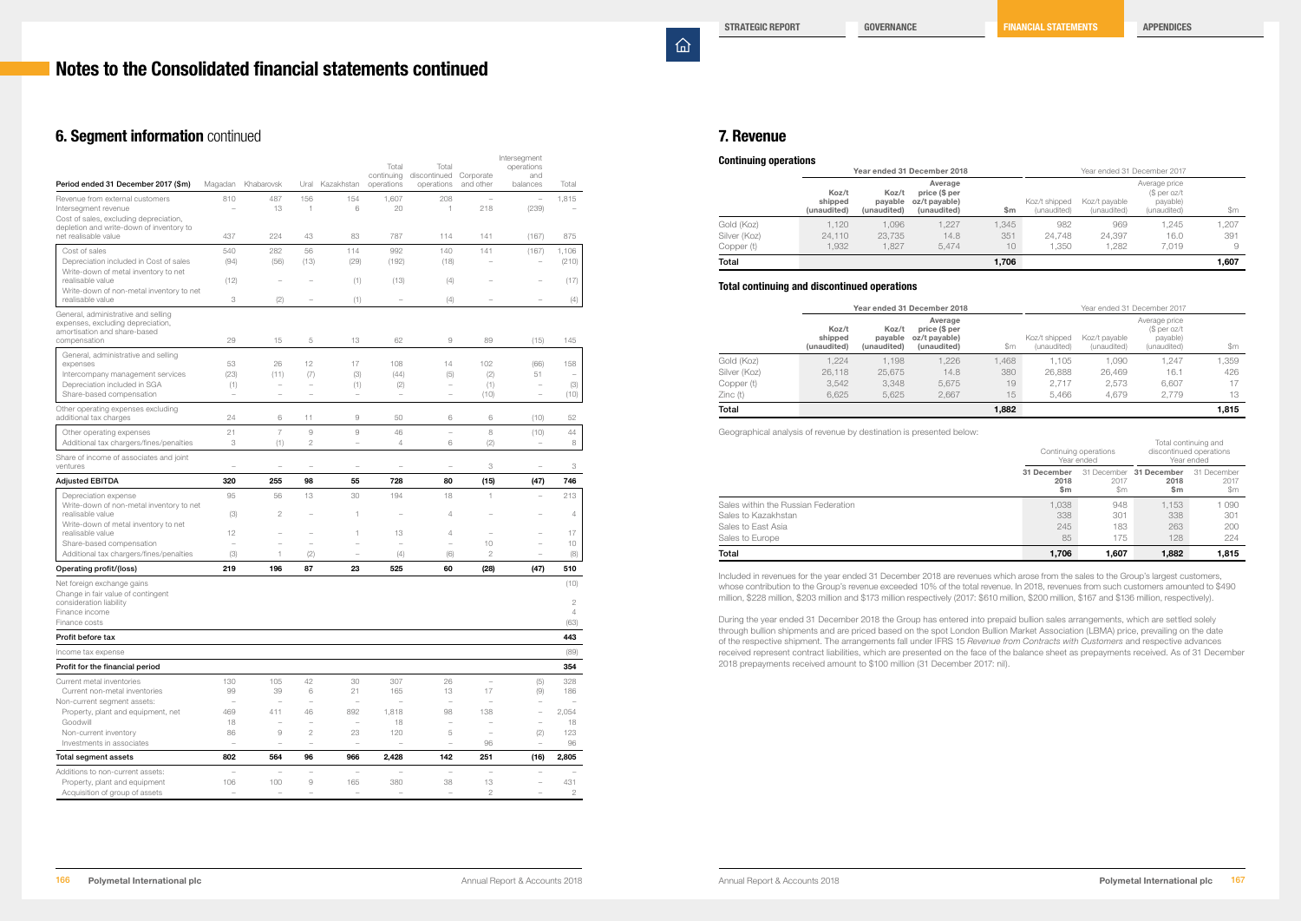仚

## <span id="page-17-0"></span>**Notes to the Consolidated financial statements continued**

### **6. Segment information continued**

|                                                                                    |                                 |                                   |                                                                              |                                 | Total                             | Total                          |                                   | Intersegment<br>operations                                    |                        |
|------------------------------------------------------------------------------------|---------------------------------|-----------------------------------|------------------------------------------------------------------------------|---------------------------------|-----------------------------------|--------------------------------|-----------------------------------|---------------------------------------------------------------|------------------------|
|                                                                                    |                                 |                                   |                                                                              |                                 | continuing                        | discontinued                   | Corporate                         | and                                                           |                        |
| Period ended 31 December 2017 (\$m)                                                | Magadan                         | Khabarovsk                        | Ural                                                                         | Kazakhstan                      | operations                        | operations                     | and other                         | balances                                                      | Total                  |
| Revenue from external customers                                                    | 810                             | 487                               | 156                                                                          | 154                             | 1,607                             | 208                            | $\overline{\phantom{0}}$          | $\overline{\phantom{a}}$                                      | 1,815                  |
| Intersegment revenue                                                               |                                 | 13                                | 1                                                                            | 6                               | 20                                | $\mathbf{1}$                   | 218                               | (239)                                                         |                        |
| Cost of sales, excluding depreciation,<br>depletion and write-down of inventory to |                                 |                                   |                                                                              |                                 |                                   |                                |                                   |                                                               |                        |
| net realisable value                                                               | 437                             | 224                               | 43                                                                           | 83                              | 787                               | 114                            | 141                               | (167)                                                         | 875                    |
| Cost of sales                                                                      | 540                             | 282                               | 56                                                                           | 114                             | 992                               | 140                            | 141                               | (167)                                                         | 1,106                  |
| Depreciation included in Cost of sales                                             | (94)                            | (56)                              | (13)                                                                         | (29)                            | (192)                             | (18)                           |                                   | $\overline{\phantom{0}}$                                      | (210)                  |
| Write-down of metal inventory to net<br>realisable value                           | (12)                            |                                   |                                                                              | (1)                             | (13)                              | (4)                            |                                   |                                                               | (17)                   |
| Write-down of non-metal inventory to net                                           |                                 |                                   |                                                                              |                                 |                                   |                                |                                   |                                                               |                        |
| realisable value                                                                   | 3                               | (2)                               | ۰                                                                            | (1)                             | $\overline{\phantom{a}}$          | (4)                            |                                   |                                                               | (4)                    |
| General, administrative and selling                                                |                                 |                                   |                                                                              |                                 |                                   |                                |                                   |                                                               |                        |
| expenses, excluding depreciation,<br>amortisation and share-based                  |                                 |                                   |                                                                              |                                 |                                   |                                |                                   |                                                               |                        |
| compensation                                                                       | 29                              | 15                                | 5                                                                            | 13                              | 62                                | 9                              | 89                                | (15)                                                          | 145                    |
| General, administrative and selling                                                |                                 |                                   |                                                                              |                                 |                                   |                                |                                   |                                                               |                        |
| expenses                                                                           | 53                              | 26                                | 12                                                                           | 17                              | 108                               | 14                             | 102                               | (66)                                                          | 158                    |
| Intercompany management services                                                   | (23)                            | (11)                              | (7)                                                                          | (3)                             | (44)                              | (5)                            | (2)                               | 51                                                            |                        |
| Depreciation included in SGA                                                       | (1)                             |                                   |                                                                              | (1)                             | (2)                               |                                | (1)                               | $\overline{\phantom{0}}$                                      | (3)                    |
| Share-based compensation                                                           | $\overline{\phantom{a}}$        | $\overline{\phantom{0}}$          |                                                                              | $\overline{\phantom{a}}$        | $\overline{\phantom{a}}$          | $\overline{\phantom{a}}$       | (10)                              | $\overline{\phantom{a}}$                                      | (10)                   |
| Other operating expenses excluding<br>additional tax charges                       | 24                              | 6                                 | 11                                                                           | $\mathcal{G}$                   | 50                                | 6                              | 6                                 | (10)                                                          | 52                     |
|                                                                                    |                                 | $\overline{7}$                    |                                                                              | $\mathcal G$                    |                                   | $\sim$                         |                                   |                                                               |                        |
| Other operating expenses<br>Additional tax chargers/fines/penalties                | 21<br>3                         | (1)                               | $\mathcal G$<br>$\mathbf{2}$                                                 | $\overline{\phantom{0}}$        | 46<br>4                           | 6                              | 8<br>(2)                          | (10)<br>$\overline{\phantom{0}}$                              | 44<br>8                |
|                                                                                    |                                 |                                   |                                                                              |                                 |                                   |                                |                                   |                                                               |                        |
| Share of income of associates and joint<br>ventures                                |                                 | $\qquad \qquad -$                 | $\qquad \qquad -$                                                            | $\qquad \qquad -$               | $\qquad \qquad -$                 | $\overline{\phantom{0}}$       | 3                                 | $\overline{\phantom{0}}$                                      | 3                      |
| <b>Adjusted EBITDA</b>                                                             | 320                             | 255                               | 98                                                                           | 55                              | 728                               | 80                             | (15)                              | (47)                                                          | 746                    |
| Depreciation expense                                                               | 95                              | 56                                | 13                                                                           | 30                              | 194                               | 18                             | 1                                 |                                                               | 213                    |
| Write-down of non-metal inventory to net                                           |                                 |                                   |                                                                              |                                 |                                   |                                |                                   |                                                               |                        |
| realisable value                                                                   | (3)                             | $\mathbf{2}$                      | ۰                                                                            | 1                               | $\overline{\phantom{a}}$          | $\overline{4}$                 |                                   |                                                               | $\overline{4}$         |
| Write-down of metal inventory to net<br>realisable value                           | 12                              |                                   |                                                                              | 1                               | 13                                | $\overline{4}$                 |                                   |                                                               | 17                     |
| Share-based compensation                                                           |                                 | ۰                                 |                                                                              |                                 | $\overline{\phantom{a}}$          | $\overline{\phantom{a}}$       | 10                                |                                                               | 10                     |
| Additional tax chargers/fines/penalties                                            | (3)                             | 1                                 | (2)                                                                          | $\sim$                          | (4)                               | (6)                            | $\mathbf{2}$                      |                                                               | (8)                    |
| Operating profit/(loss)                                                            | 219                             | 196                               | 87                                                                           | 23                              | 525                               | 60                             | (28)                              | (47)                                                          | 510                    |
| Net foreign exchange gains                                                         |                                 |                                   |                                                                              |                                 |                                   |                                |                                   |                                                               | (10)                   |
| Change in fair value of contingent                                                 |                                 |                                   |                                                                              |                                 |                                   |                                |                                   |                                                               |                        |
| consideration liability                                                            |                                 |                                   |                                                                              |                                 |                                   |                                |                                   |                                                               | $\overline{2}$         |
| Finance income<br>Finance costs                                                    |                                 |                                   |                                                                              |                                 |                                   |                                |                                   |                                                               | $\overline{4}$<br>(63) |
|                                                                                    |                                 |                                   |                                                                              |                                 |                                   |                                |                                   |                                                               |                        |
| Profit before tax                                                                  |                                 |                                   |                                                                              |                                 |                                   |                                |                                   |                                                               | 443                    |
| Income tax expense                                                                 |                                 |                                   |                                                                              |                                 |                                   |                                |                                   |                                                               | (89)                   |
| Profit for the financial period                                                    |                                 |                                   |                                                                              |                                 |                                   |                                |                                   |                                                               | 354                    |
| Current metal inventories                                                          | 130                             | 105                               | 42                                                                           | 30                              | 307                               | 26                             | $\overline{\phantom{a}}$          | (5)                                                           | 328                    |
| Current non-metal inventories                                                      | 99                              | 39                                | 6                                                                            | 21                              | 165                               | 13                             | 17                                | (9)                                                           | 186                    |
| Non-current segment assets:<br>Property, plant and equipment, net                  | $\overline{\phantom{0}}$<br>469 | $\sim$<br>411                     | $\overline{\phantom{0}}$<br>46                                               | $\overline{\phantom{a}}$<br>892 | $\overline{\phantom{0}}$<br>1,818 | $\overline{\phantom{a}}$<br>98 | ÷<br>138                          | $\overline{\phantom{a}}$<br>$\hspace{1.0cm} - \hspace{1.0cm}$ | 2,054                  |
| Goodwill                                                                           | 18                              | $\overline{\phantom{a}}$          | $\hspace{0.1in} \hspace{0.1in} \hspace{0.1in} \hspace{0.1in} \hspace{0.1in}$ | $\overline{\phantom{a}}$        | 18                                | $\overline{\phantom{a}}$       | $\overline{\phantom{a}}$          | $\overline{\phantom{a}}$                                      | 18                     |
| Non-current inventory                                                              | 86                              | 9                                 | $\mathbf{2}$                                                                 | 23                              | 120                               | 5                              |                                   | (2)                                                           | 123                    |
| Investments in associates                                                          | $\qquad \qquad -$               | $\overline{\phantom{a}}$          | $\overline{\phantom{a}}$                                                     | $\overline{\phantom{a}}$        | $\overline{\phantom{a}}$          | $\overline{\phantom{a}}$       | 96                                | $\overline{\phantom{a}}$                                      | 96                     |
| <b>Total segment assets</b>                                                        | 802                             | 564                               | 96                                                                           | 966                             | 2,428                             | 142                            | 251                               | (16)                                                          | 2,805                  |
| Additions to non-current assets:                                                   | $\qquad \qquad -$               | $\hspace{1.0cm} - \hspace{1.0cm}$ | $\qquad \qquad -$                                                            | $\overline{\phantom{a}}$        | $\hspace{1.0cm} - \hspace{1.0cm}$ | $\overline{\phantom{a}}$       | $\hspace{1.0cm} - \hspace{1.0cm}$ | $\overline{\phantom{a}}$                                      |                        |
| Property, plant and equipment                                                      | 106                             | 100                               | $\mathcal G$                                                                 | 165                             | 380                               | 38                             | 13                                |                                                               | 431                    |
| Acquisition of group of assets                                                     | ÷,                              | $\overline{\phantom{a}}$          | $\qquad \qquad -$                                                            | $\overline{\phantom{a}}$        |                                   | $\sim$                         | $\overline{c}$                    |                                                               | $\mathbf{2}$           |

### **7. Revenue**

### **Continuing operations**

|              |                                 |                                 | Year ended 31 December 2018                              |       |                              |                              | Year ended 31 December 2017                              |                |
|--------------|---------------------------------|---------------------------------|----------------------------------------------------------|-------|------------------------------|------------------------------|----------------------------------------------------------|----------------|
|              | Koz/t<br>shipped<br>(unaudited) | Koz/t<br>payable<br>(unaudited) | Average<br>price (\$ per<br>oz/t payable)<br>(unaudited) | \$m   | Koz/t shipped<br>(unaudited) | Koz/t payable<br>(unaudited) | Average price<br>$$$ per oz/t<br>payable)<br>(unaudited) | $\mathbb{S}$ m |
| Gold (Koz)   | 1.120                           | 1,096                           | 1.227                                                    | 1,345 | 982                          | 969                          | 1.245                                                    | 1,207          |
| Silver (Koz) | 24.110                          | 23,735                          | 14.8                                                     | 351   | 24.748                       | 24.397                       | 16.0                                                     | 391            |
| Copper (t)   | 1.932                           | 1.827                           | 5.474                                                    | 10    | 1.350                        | 1.282                        | 7.019                                                    | 9              |
| Total        |                                 |                                 |                                                          | 1,706 |                              |                              |                                                          | 1,607          |

### **Total continuing and discontinued operations**

|              |                                 |                                 | Year ended 31 December 2018                              |                |                              |                              | Year ended 31 December 2017                              |                |
|--------------|---------------------------------|---------------------------------|----------------------------------------------------------|----------------|------------------------------|------------------------------|----------------------------------------------------------|----------------|
|              | Koz/t<br>shipped<br>(unaudited) | Koz/t<br>payable<br>(unaudited) | Average<br>price (\$ per<br>oz/t payable)<br>(unaudited) | $\mathbb{S}$ m | Koz/t shipped<br>(unaudited) | Koz/t payable<br>(unaudited) | Average price<br>$$$ per oz/t<br>payable)<br>(unaudited) | $\mathbb{S}$ m |
| Gold (Koz)   | 1.224                           | 1.198                           | 1.226                                                    | 1.468          | 1.105                        | 1.090                        | 1.247                                                    | 1,359          |
| Silver (Koz) | 26.118                          | 25.675                          | 14.8                                                     | 380            | 26,888                       | 26.469                       | 16.1                                                     | 426            |
| Copper (t)   | 3,542                           | 3,348                           | 5.675                                                    | 19             | 2.717                        | 2,573                        | 6.607                                                    |                |
| Zinc (t)     | 6.625                           | 5.625                           | 2.667                                                    | 15             | 5.466                        | 4,679                        | 2.779                                                    | 13             |
| Total        |                                 |                                 |                                                          | 1.882          |                              |                              |                                                          | 1.815          |

Geographical analysis of revenue by destination is presented below:

Total continuing and

|                                     | Continuing operations<br>Year ended |             |                                        | TUTAI CUITTINIUI IY ANU<br>discontinued operations<br>Year ended |
|-------------------------------------|-------------------------------------|-------------|----------------------------------------|------------------------------------------------------------------|
|                                     | 31 December<br>2018<br>\$m          | 2017<br>\$m | 31 December 31 December<br>2018<br>\$m | 31 December<br>2017<br>\$m                                       |
| Sales within the Russian Federation | 1,038                               | 948         | 1,153                                  | 1 0 9 0                                                          |
| Sales to Kazakhstan                 | 338                                 | 301         | 338                                    | 301                                                              |
| Sales to East Asia                  | 245                                 | 183         | 263                                    | 200                                                              |
| Sales to Europe                     | 85                                  | 175         | 128                                    | 224                                                              |
| Total                               | 1,706                               | 1.607       | 1.882                                  | 1.815                                                            |

Included in revenues for the year ended 31 December 2018 are revenues which arose from the sales to the Group's largest customers, whose contribution to the Group's revenue exceeded 10% of the total revenue. In 2018, revenues from such customers amounted to \$490 million, \$228 million, \$203 million and \$173 million respectively (2017: \$610 million, \$200 million, \$167 and \$136 million, respectively).

During the year ended 31 December 2018 the Group has entered into prepaid bullion sales arrangements, which are settled solely through bullion shipments and are priced based on the spot London Bullion Market Association (LBMA) price, prevailing on the date of the respective shipment. The arrangements fall under IFRS 15 *Revenue from Contracts with Customers* and respective advances received represent contract liabilities, which are presented on the face of the balance sheet as prepayments received. As of 31 December 2018 prepayments received amount to \$100 million (31 December 2017: nil).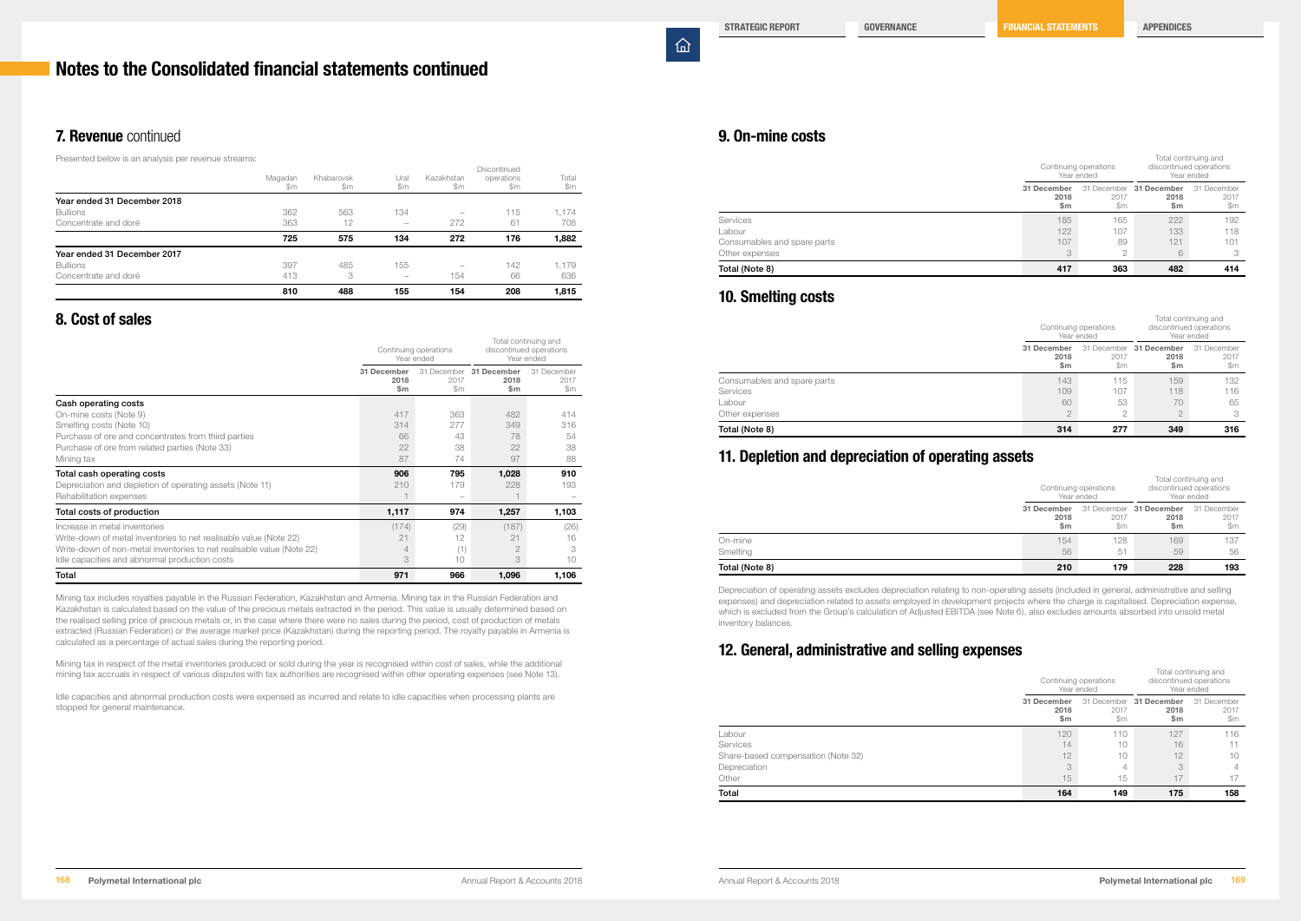仚

## <span id="page-18-0"></span>**Notes to the Consolidated financial statements continued**

### **7. Revenue** continued

Presented below is an analysis per revenue streams:

|                             |                           |                   |                          |                              | Discontinued                 |                                  |
|-----------------------------|---------------------------|-------------------|--------------------------|------------------------------|------------------------------|----------------------------------|
|                             | Magadan<br>$\mathbb{S}$ m | Khabarovsk<br>\$m | Ural<br>$\mathbb{S}$ m   | Kazakhstan<br>$\mathbb{S}$ m | operations<br>$\mathbb{S}$ m | Total<br>$\mathop{\$m}\nolimits$ |
| Year ended 31 December 2018 |                           |                   |                          |                              |                              |                                  |
| <b>Bullions</b>             | 362                       | 563               | 134                      | $\overline{\phantom{m}}$     | 115                          | 1.174                            |
| Concentrate and doré        | 363                       | 12                | $\overline{\phantom{a}}$ | 272                          | 61                           | 708                              |
|                             | 725                       | 575               | 134                      | 272                          | 176                          | 1,882                            |
| Year ended 31 December 2017 |                           |                   |                          |                              |                              |                                  |
| <b>Bullions</b>             | 397                       | 485               | 155                      |                              | 142                          | 1.179                            |
| Concentrate and doré        | 413                       | 3                 |                          | 154                          | 66                           | 636                              |
|                             | 810                       | 488               | 155                      | 154                          | 208                          | 1,815                            |

### **8. Cost of sales**

|                                                                       | Continuing operations<br>Year ended  |                        | Total continuing and<br>discontinued operations<br>Year ended |                                       |
|-----------------------------------------------------------------------|--------------------------------------|------------------------|---------------------------------------------------------------|---------------------------------------|
|                                                                       | 31 December<br>2018<br>$\mathsf{Sm}$ | 2017<br>$\mathbb{S}$ m | 31 December 31 December<br>2018<br>$\mathsf{sm}$              | 31 December<br>2017<br>$\mathbb{S}$ m |
| Cash operating costs                                                  |                                      |                        |                                                               |                                       |
| On-mine costs (Note 9)                                                | 417                                  | 363                    | 482                                                           | 414                                   |
| Smelting costs (Note 10)                                              | 314                                  | 277                    | 349                                                           | 316                                   |
| Purchase of ore and concentrates from third parties                   | 66                                   | 43                     | 78                                                            | 54                                    |
| Purchase of ore from related parties (Note 33)                        | 22                                   | 38                     | 22                                                            | 38                                    |
| Mining tax                                                            | 87                                   | 74                     | 97                                                            | 88                                    |
| Total cash operating costs                                            | 906                                  | 795                    | 1,028                                                         | 910                                   |
| Depreciation and depletion of operating assets (Note 11)              | 210                                  | 179                    | 228                                                           | 193                                   |
| Rehabilitation expenses                                               |                                      |                        |                                                               |                                       |
| Total costs of production                                             | 1,117                                | 974                    | 1,257                                                         | 1,103                                 |
| Increase in metal inventories                                         | (174)                                | (29)                   | (187)                                                         | (26)                                  |
| Write-down of metal inventories to net realisable value (Note 22)     | 21                                   | 12                     | 21                                                            | 16                                    |
| Write-down of non-metal inventories to net realisable value (Note 22) | 4                                    | (1)                    | $\overline{2}$                                                | 3                                     |
| Idle capacities and abnormal production costs                         | 3                                    | 10                     | 3                                                             | 10                                    |
| Total                                                                 | 971                                  | 966                    | 1,096                                                         | 1,106                                 |

Mining tax includes royalties payable in the Russian Federation, Kazakhstan and Armenia. Mining tax in the Russian Federation and Kazakhstan is calculated based on the value of the precious metals extracted in the period. This value is usually determined based on the realised selling price of precious metals or, in the case where there were no sales during the period, cost of production of metals extracted (Russian Federation) or the average market price (Kazakhstan) during the reporting period. The royalty payable in Armenia is calculated as a percentage of actual sales during the reporting period.

Mining tax in respect of the metal inventories produced or sold during the year is recognised within cost of sales, while the additional mining tax accruals in respect of various disputes with tax authorities are recognised within other operating expenses (see Note 13).

Idle capacities and abnormal production costs were expensed as incurred and relate to idle capacities when processing plants are stopped for general maintenance.

### **9. On-mine costs**

| Services                                                      |  |
|---------------------------------------------------------------|--|
| Labour                                                        |  |
| Consumables and spare parts                                   |  |
| Other expenses                                                |  |
| $T_{\text{shell}}$ (N <sub>14</sub> + <sub>4</sub> $\Omega$ ) |  |

|                             | Continuing operations<br>Year ended |             | Total continuing and<br>discontinued operations<br>Year ended |                                                |
|-----------------------------|-------------------------------------|-------------|---------------------------------------------------------------|------------------------------------------------|
|                             | 31 December<br>2018<br>\$m          | 2017<br>\$m | 31 December 31 December<br>2018<br>\$m                        | 31 December<br>2017<br>$\mathop{\$m}\nolimits$ |
| <b>Services</b>             | 185                                 | 165         | 222                                                           | 192                                            |
| Labour                      | 122                                 | 107         | 133                                                           | 118                                            |
| Consumables and spare parts | 107                                 | 89          | 121                                                           | 101                                            |
| Other expenses              | 3                                   | ◠           | 6                                                             | 3                                              |
| Total (Note 8)              | 417                                 | 363         | 482                                                           | 414                                            |

Total (Note 8) **417 363 482 414**

### **10. Smelting costs**

|                             | Continuing operations<br>Year ended |                        | Total continuing and<br>discontinued operations<br>Year ended |                                                |
|-----------------------------|-------------------------------------|------------------------|---------------------------------------------------------------|------------------------------------------------|
|                             | 31 December<br>2018<br>\$m          | 2017<br>$\mathbb{S}$ m | 31 December 31 December<br>2018<br>\$m                        | 31 December<br>2017<br>$\mathop{\$m}\nolimits$ |
| Consumables and spare parts | 143                                 | 115                    | 159                                                           | 132                                            |
| Services                    | 109                                 | 107                    | 118                                                           | 116                                            |
| Labour                      | 60                                  | 53                     | 70                                                            | 65                                             |
| Other expenses              | $\overline{2}$                      | 2                      | っ                                                             | 3                                              |
| Total (Note 8)              | 314                                 | 277                    | 349                                                           | 316                                            |

### **11. Depletion and depreciation of operating assets**

|                     |                            | Continuing operations<br>Year ended | Total continuing and<br>discontinued operations<br>Year ended |                                       |  |
|---------------------|----------------------------|-------------------------------------|---------------------------------------------------------------|---------------------------------------|--|
|                     | 31 December<br>2018<br>\$m | 2017<br>\$m                         | 31 December 31 December<br>2018<br>\$m                        | 31 December<br>2017<br>$\mathbb{S}$ m |  |
| On-mine<br>Smelting | 154<br>56                  | 128<br>51                           | 169<br>59                                                     | 137<br>56                             |  |
| Total (Note 8)      | 210                        | 179                                 | 228                                                           | 193                                   |  |

Depreciation of operating assets excludes depreciation relating to non-operating assets (included in general, administrative and selling expenses) and depreciation related to assets employed in development projects where the charge is capitalised. Depreciation expense, which is excluded from the Group's calculation of Adjusted EBITDA (see Note 6), also excludes amounts absorbed into unsold metal inventory balances.

### **12. General, administrative and selling expenses**

| Total                              |  |
|------------------------------------|--|
| Other                              |  |
| Depreciation                       |  |
| Share-based compensation (Note 32) |  |
| Services                           |  |
| Labour                             |  |
|                                    |  |

|                                    | Continuing operations<br>Year ended |                        | Total continuing and<br>discontinued operations<br>Year ended |                                       |
|------------------------------------|-------------------------------------|------------------------|---------------------------------------------------------------|---------------------------------------|
|                                    | 31 December<br>2018<br>\$m          | 2017<br>$\mathbb{S}$ m | 31 December 31 December<br>2018<br>\$m                        | 31 December<br>2017<br>$\mathbb{S}$ m |
| Labour                             | 120                                 | 110                    | 127                                                           | 116                                   |
| Services                           | 14                                  | 10                     | 16                                                            |                                       |
| Share-based compensation (Note 32) | 12                                  | 10                     | 12                                                            | 10                                    |
| Depreciation                       | 3                                   | 4                      | 3                                                             | 4                                     |
| Other                              | 15                                  | 15                     | 17                                                            | 17                                    |
| Total                              | 164                                 | 149                    | 175                                                           | 158                                   |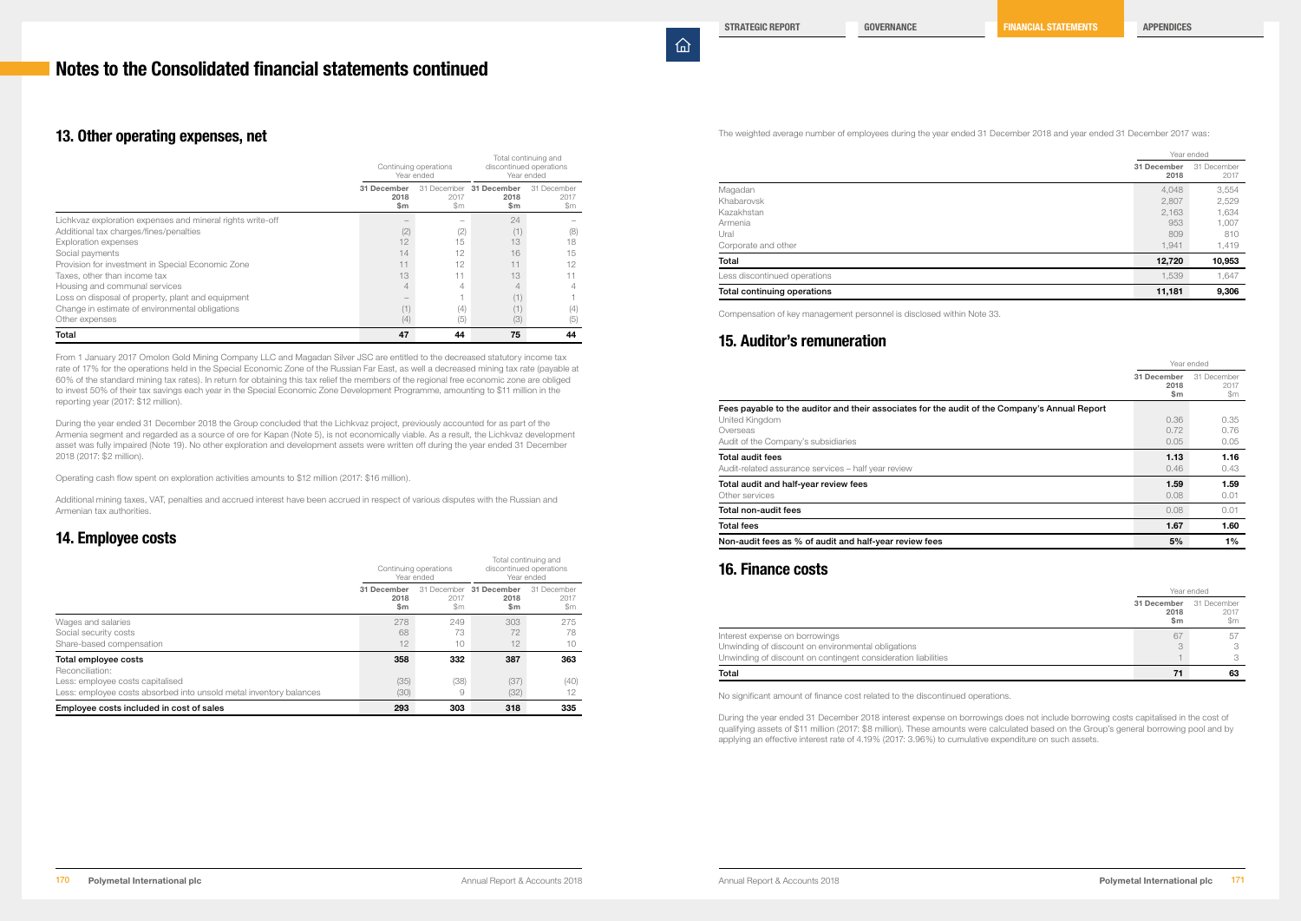冚

## <span id="page-19-0"></span>**Notes to the Consolidated financial statements continued**

### **13. Other operating expenses, net**

|                                                            |                            | Continuing operations<br>Year ended |                                        | Total continuing and<br>discontinued operations<br>Year ended |
|------------------------------------------------------------|----------------------------|-------------------------------------|----------------------------------------|---------------------------------------------------------------|
|                                                            | 31 December<br>2018<br>\$m | 2017<br>$\mathbb{S}$ m              | 31 December 31 December<br>2018<br>\$m | 31 December<br>2017<br>$\mathbb{S}$ m                         |
| Lichkvaz exploration expenses and mineral rights write-off |                            |                                     | 24                                     |                                                               |
| Additional tax charges/fines/penalties                     | (2)                        | (2)                                 |                                        | (8)                                                           |
| <b>Exploration expenses</b>                                | 12                         | 15                                  | 13                                     | 18                                                            |
| Social payments                                            | 14                         | 12                                  | 16                                     | 15                                                            |
| Provision for investment in Special Economic Zone          | 11                         | 12                                  | 11                                     | 12                                                            |
| Taxes, other than income tax                               | 13                         | 11                                  | 13                                     |                                                               |
| Housing and communal services                              | 4                          |                                     | 4                                      |                                                               |
| Loss on disposal of property, plant and equipment          |                            |                                     |                                        |                                                               |
| Change in estimate of environmental obligations            | (1)                        | (4)                                 |                                        | (4)                                                           |
| Other expenses                                             | (4)                        | (5)                                 | (3)                                    | (5)                                                           |
| Total                                                      | 47                         | 44                                  | 75                                     | 44                                                            |

From 1 January 2017 Omolon Gold Mining Company LLC and Magadan Silver JSC are entitled to the decreased statutory income tax rate of 17% for the operations held in the Special Economic Zone of the Russian Far East, as well a decreased mining tax rate (payable at 60% of the standard mining tax rates). In return for obtaining this tax relief the members of the regional free economic zone are obliged to invest 50% of their tax savings each year in the Special Economic Zone Development Programme, amounting to \$11 million in the reporting year (2017: \$12 million).

During the year ended 31 December 2018 the Group concluded that the Lichkvaz project, previously accounted for as part of the Armenia segment and regarded as a source of ore for Kapan (Note 5), is not economically viable. As a result, the Lichkvaz development asset was fully impaired (Note 19). No other exploration and development assets were written off during the year ended 31 December 2018 (2017: \$2 million).

Operating cash flow spent on exploration activities amounts to \$12 million (2017: \$16 million).

Additional mining taxes, VAT, penalties and accrued interest have been accrued in respect of various disputes with the Russian and Armenian tax authorities.

### **14. Employee costs**

|                                                                    | Continuing operations<br>Year ended |                                       |                            | Total continuing and<br>discontinued operations<br>Year ended |
|--------------------------------------------------------------------|-------------------------------------|---------------------------------------|----------------------------|---------------------------------------------------------------|
|                                                                    | 31 December<br>2018<br>\$m          | 31 December<br>2017<br>$\mathbb{S}$ m | 31 December<br>2018<br>\$m | 31 December<br>2017<br>$\mathbb{S}$ m                         |
| Wages and salaries                                                 | 278                                 | 249                                   | 303                        | 275                                                           |
| Social security costs                                              | 68                                  | 73                                    | 72                         | 78                                                            |
| Share-based compensation                                           | 12                                  | 10                                    | 12                         | 10                                                            |
| Total employee costs<br>Reconciliation:                            | 358                                 | 332                                   | 387                        | 363                                                           |
| Less: employee costs capitalised                                   | (35)                                | (38)                                  | (37)                       | (40)                                                          |
| Less: employee costs absorbed into unsold metal inventory balances | (30)                                | 9                                     | (32)                       | 12                                                            |
| Employee costs included in cost of sales                           | 293                                 | 303                                   | 318                        | 335                                                           |

The weighted average number of employees during the year ended 31 December 2018 and year ended 31 December 2017 was:

|                              |                     | Year ended          |
|------------------------------|---------------------|---------------------|
|                              | 31 December<br>2018 | 31 December<br>2017 |
| Magadan                      | 4,048               | 3,554               |
| Khabarovsk                   | 2,807               | 2,529               |
| Kazakhstan                   | 2,163               | 1,634               |
| Armenia                      | 953                 | 1,007               |
| Ural                         | 809                 | 810                 |
| Corporate and other          | 1,941               | 1,419               |
| Total                        | 12,720              | 10,953              |
| Less discontinued operations | 1,539               | 1,647               |
| Total continuing operations  | 11,181              | 9,306               |

Compensation of key management personnel is disclosed within Note 33.

### **15. Auditor's remuneration**

|                                                                                               | Year ended                 |                                       |
|-----------------------------------------------------------------------------------------------|----------------------------|---------------------------------------|
|                                                                                               | 31 December<br>2018<br>\$m | 31 December<br>2017<br>$\mathbb{S}$ m |
| Fees payable to the auditor and their associates for the audit of the Company's Annual Report |                            |                                       |
| United Kingdom                                                                                | 0.36                       | 0.35                                  |
| Overseas                                                                                      | 0.72                       | 0.76                                  |
| Audit of the Company's subsidiaries                                                           | 0.05                       | 0.05                                  |
| Total audit fees                                                                              | 1.13                       | 1.16                                  |
| Audit-related assurance services - half year review                                           | 0.46                       | 0.43                                  |
| Total audit and half-year review fees                                                         | 1.59                       | 1.59                                  |
| Other services                                                                                | 0.08                       | 0.01                                  |
| Total non-audit fees                                                                          | 0.08                       | 0.01                                  |
| Total fees                                                                                    | 1.67                       | 1.60                                  |
| Non-audit fees as % of audit and half-year review fees                                        | 5%                         | $1\%$                                 |

### **16. Finance costs**

| Interest expense on borrowings                                |
|---------------------------------------------------------------|
| Unwinding of discount on environmental obligations            |
| Unwinding of discount on contingent consideration liabilities |

|                                                               | Year ended                                   |             |
|---------------------------------------------------------------|----------------------------------------------|-------------|
|                                                               | 31 December 31 December<br>2018<br><b>Sm</b> | 2017<br>\$m |
| Interest expense on borrowings                                | 67                                           | 57          |
| Unwinding of discount on environmental obligations            |                                              |             |
| Unwinding of discount on contingent consideration liabilities |                                              |             |
| Total                                                         |                                              | 63          |

No significant amount of finance cost related to the discontinued operations.

During the year ended 31 December 2018 interest expense on borrowings does not include borrowing costs capitalised in the cost of qualifying assets of \$11 million (2017: \$8 million). These amounts were calculated based on the Group's general borrowing pool and by applying an effective interest rate of 4.19% (2017: 3.96%) to cumulative expenditure on such assets.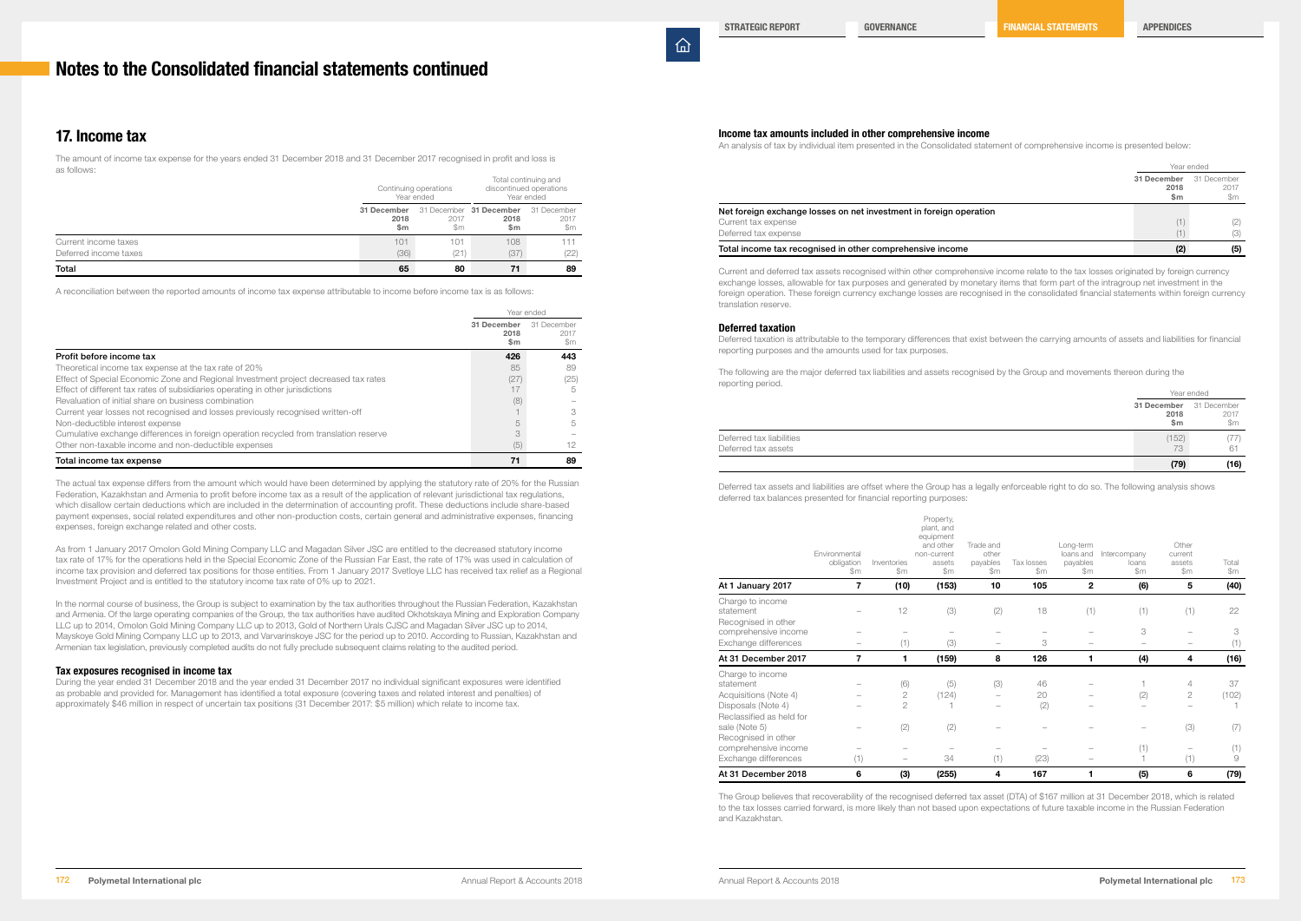## <span id="page-20-0"></span>**Notes to the Consolidated financial statements continued**

### **17. Income tax**

The amount of income tax expense for the years ended 31 December 2018 and 31 December 2017 recognised in profit and loss is as follows:

|                                               |                            | Continuing operations<br>Year ended | Total continuing and<br>discontinued operations<br>Year ended |                            |  |
|-----------------------------------------------|----------------------------|-------------------------------------|---------------------------------------------------------------|----------------------------|--|
|                                               | 31 December<br>2018<br>\$m | 2017<br>$\mathbb{S}$ m              | 31 December 31 December<br>2018<br>\$m                        | 31 December<br>2017<br>\$m |  |
| Current income taxes<br>Deferred income taxes | 101<br>(36)                | 101<br>(21)                         | 108<br>(37)                                                   | (22)                       |  |
| Total                                         | 65                         | 80                                  | 71                                                            | 89                         |  |

A reconciliation between the reported amounts of income tax expense attributable to income before income tax is as follows:

|                                                                                        |                            | Year ended                            |
|----------------------------------------------------------------------------------------|----------------------------|---------------------------------------|
|                                                                                        | 31 December<br>2018<br>\$m | 31 December<br>2017<br>$\mathbb{S}$ m |
| Profit before income tax                                                               | 426                        | 443                                   |
| Theoretical income tax expense at the tax rate of 20%                                  | 85                         | 89                                    |
| Effect of Special Economic Zone and Regional Investment project decreased tax rates    | (27)                       | (25)                                  |
| Effect of different tax rates of subsidiaries operating in other jurisdictions         | 17                         | 5                                     |
| Revaluation of initial share on business combination                                   | (8)                        |                                       |
| Current year losses not recognised and losses previously recognised written-off        |                            | 3                                     |
| Non-deductible interest expense                                                        | 5                          | 5                                     |
| Cumulative exchange differences in foreign operation recycled from translation reserve | 3                          |                                       |
| Other non-taxable income and non-deductible expenses                                   | (5)                        | 12                                    |
| Total income tax expense                                                               | 71                         | 89                                    |

The actual tax expense differs from the amount which would have been determined by applying the statutory rate of 20% for the Russian Federation, Kazakhstan and Armenia to profit before income tax as a result of the application of relevant jurisdictional tax regulations, which disallow certain deductions which are included in the determination of accounting profit. These deductions include share-based payment expenses, social related expenditures and other non-production costs, certain general and administrative expenses, financing expenses, foreign exchange related and other costs.

As from 1 January 2017 Omolon Gold Mining Company LLC and Magadan Silver JSC are entitled to the decreased statutory income tax rate of 17% for the operations held in the Special Economic Zone of the Russian Far East, the rate of 17% was used in calculation of income tax provision and deferred tax positions for those entities. From 1 January 2017 Svetloye LLC has received tax relief as a Regional Investment Project and is entitled to the statutory income tax rate of 0% up to 2021.

In the normal course of business, the Group is subject to examination by the tax authorities throughout the Russian Federation, Kazakhstan and Armenia. Of the large operating companies of the Group, the tax authorities have audited Okhotskaya Mining and Exploration Company LLC up to 2014, Omolon Gold Mining Company LLC up to 2013, Gold of Northern Urals CJSC and Magadan Silver JSC up to 2014, Mayskoye Gold Mining Company LLC up to 2013, and Varvarinskoye JSC for the period up to 2010. According to Russian, Kazakhstan and Armenian tax legislation, previously completed audits do not fully preclude subsequent claims relating to the audited period.

#### **Tax exposures recognised in income tax**

During the year ended 31 December 2018 and the year ended 31 December 2017 no individual significant exposures were identified as probable and provided for. Management has identified a total exposure (covering taxes and related interest and penalties) of approximately \$46 million in respect of uncertain tax positions (31 December 2017: \$5 million) which relate to income tax.

#### **Income tax amounts included in other comprehensive income**

An analysis of tax by individual item presented in the Consolidated statement of comprehensive income is presented below:

|                                                                    | Year ended                             |             |  |
|--------------------------------------------------------------------|----------------------------------------|-------------|--|
|                                                                    | 31 December 31 December<br>2018<br>\$m | 2017<br>\$m |  |
| Net foreign exchange losses on net investment in foreign operation |                                        |             |  |
| Current tax expense                                                |                                        | (2)         |  |
| Deferred tax expense                                               |                                        | (3)         |  |
| Total income tax recognised in other comprehensive income          | (2)                                    | (5)         |  |

Current and deferred tax assets recognised within other comprehensive income relate to the tax losses originated by foreign currency exchange losses, allowable for tax purposes and generated by monetary items that form part of the intragroup net investment in the foreign operation. These foreign currency exchange losses are recognised in the consolidated financial statements within foreign currency translation reserve.

#### **Deferred taxation**

Deferred taxation is attributable to the temporary differences that exist between the carrying amounts of assets and liabilities for financial reporting purposes and the amounts used for tax purposes.

The following are the major deferred tax liabilities and assets recognised by the Group and movements thereon during the reporting period.

Deferred tax liabilities Deferred tax assets

| Year ended                                       |                        |  |  |
|--------------------------------------------------|------------------------|--|--|
| 31 December 31 December<br>2018<br>$\mathsf{Sm}$ | 2017<br>$\mathbb{S}$ m |  |  |
| (152)                                            |                        |  |  |
| 73                                               |                        |  |  |
| 79                                               | '16)                   |  |  |

Deferred tax assets and liabilities are offset where the Group has a legally enforceable right to do so. The following analysis shows deferred tax balances presented for financial reporting purposes:

|                                                                                                          | Environmental<br>obligation<br>$\mathbb{S}$ m | Inventories<br>$\mathbb{S}$ m | Property,<br>plant, and<br>equipment<br>and other<br>non-current<br>assets<br>$\mathop{\$m}\nolimits$ | Trade and<br>other<br>payables<br>$\mathbb{S}$ m | Tax losses<br>$\mathbb{S}$ m | Long-term<br>loans and<br>payables<br>$\mathbb{S}$ m | Intercompany<br>loans<br>$\mathbb{S}$ m | Other<br>current<br>assets<br>$\mathop{\$m}\nolimits$ | Total<br>$\mathbb{S}$ m |
|----------------------------------------------------------------------------------------------------------|-----------------------------------------------|-------------------------------|-------------------------------------------------------------------------------------------------------|--------------------------------------------------|------------------------------|------------------------------------------------------|-----------------------------------------|-------------------------------------------------------|-------------------------|
| At 1 January 2017                                                                                        | 7                                             | (10)                          | (153)                                                                                                 | 10                                               | 105                          | 2                                                    | (6)                                     | 5                                                     | (40)                    |
| Charge to income<br>statement<br>Recognised in other                                                     |                                               | 12                            | (3)                                                                                                   | (2)                                              | 18                           | (1)                                                  | (1)                                     | (1)                                                   | 22                      |
| comprehensive income                                                                                     |                                               |                               |                                                                                                       |                                                  |                              |                                                      | 3                                       |                                                       | 3                       |
| Exchange differences                                                                                     |                                               | (1)                           | (3)                                                                                                   |                                                  | 3                            |                                                      | -                                       |                                                       | (1)                     |
| At 31 December 2017                                                                                      | 7                                             | 1                             | (159)                                                                                                 | 8                                                | 126                          | 1                                                    | (4)                                     | 4                                                     | (16)                    |
| Charge to income<br>statement<br>Acquisitions (Note 4)<br>Disposals (Note 4)<br>Reclassified as held for |                                               | (6)<br>$\mathbf{2}$<br>2      | (5)<br>(124)                                                                                          | (3)                                              | 46<br>20<br>(2)              |                                                      | (2)                                     | 4<br>$\overline{2}$                                   | 37<br>(102)             |
| sale (Note 5)<br>Recognised in other                                                                     |                                               | (2)                           | (2)                                                                                                   |                                                  |                              |                                                      |                                         | (3)                                                   | (7)                     |
| comprehensive income                                                                                     |                                               |                               |                                                                                                       |                                                  |                              |                                                      | (1)                                     |                                                       | (1)                     |
| Exchange differences                                                                                     | (1)                                           |                               | 34                                                                                                    | (1)                                              | (23)                         |                                                      |                                         | (1)                                                   | 9                       |
| At 31 December 2018                                                                                      | 6                                             | (3)                           | (255)                                                                                                 | 4                                                | 167                          |                                                      | (5)                                     | 6                                                     | (79)                    |

The Group believes that recoverability of the recognised deferred tax asset (DTA) of \$167 million at 31 December 2018, which is related to the tax losses carried forward, is more likely than not based upon expectations of future taxable income in the Russian Federation and Kazakhstan.

**172 Polymetal International plc 173** Annual Report & Accounts 2018 Annual Report & Accounts 2018 Annual Report & Accounts 2018 **Polymetal International plc** 173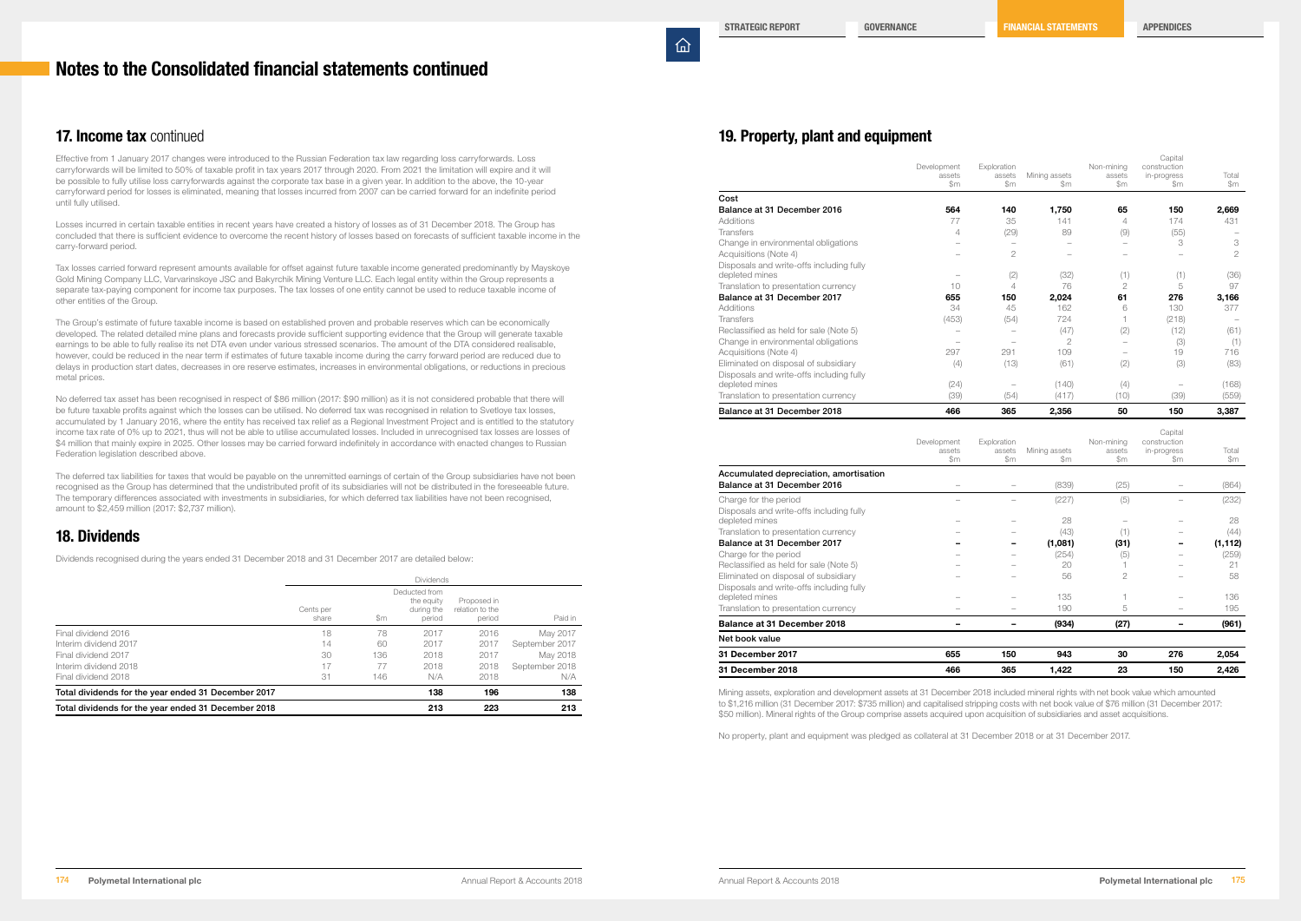### <span id="page-21-0"></span>**17. Income tax continued**

Effective from 1 January 2017 changes were introduced to the Russian Federation tax law regarding loss carryforwards. Loss carryforwards will be limited to 50% of taxable profit in tax years 2017 through 2020. From 2021 the limitation will expire and it will be possible to fully utilise loss carryforwards against the corporate tax base in a given year. In addition to the above, the 10-year carryforward period for losses is eliminated, meaning that losses incurred from 2007 can be carried forward for an indefinite period until fully utilised.

Losses incurred in certain taxable entities in recent years have created a history of losses as of 31 December 2018. The Group has concluded that there is sufficient evidence to overcome the recent history of losses based on forecasts of sufficient taxable income in the carry-forward period.

Tax losses carried forward represent amounts available for offset against future taxable income generated predominantly by Mayskoye Gold Mining Company LLC, Varvarinskoye JSC and Bakyrchik Mining Venture LLC. Each legal entity within the Group represents a separate tax-paying component for income tax purposes. The tax losses of one entity cannot be used to reduce taxable income of other entities of the Group.

The Group's estimate of future taxable income is based on established proven and probable reserves which can be economically developed. The related detailed mine plans and forecasts provide sufficient supporting evidence that the Group will generate taxable earnings to be able to fully realise its net DTA even under various stressed scenarios. The amount of the DTA considered realisable, however, could be reduced in the near term if estimates of future taxable income during the carry forward period are reduced due to delays in production start dates, decreases in ore reserve estimates, increases in environmental obligations, or reductions in precious metal prices.

No deferred tax asset has been recognised in respect of \$86 million (2017: \$90 million) as it is not considered probable that there will be future taxable profits against which the losses can be utilised. No deferred tax was recognised in relation to Svetloye tax losses, accumulated by 1 January 2016, where the entity has received tax relief as a Regional Investment Project and is entitled to the statutory income tax rate of 0% up to 2021, thus will not be able to utilise accumulated losses. Included in unrecognised tax losses are losses of \$4 million that mainly expire in 2025. Other losses may be carried forward indefinitely in accordance with enacted changes to Russian Federation legislation described above.

The deferred tax liabilities for taxes that would be payable on the unremitted earnings of certain of the Group subsidiaries have not been recognised as the Group has determined that the undistributed profit of its subsidiaries will not be distributed in the foreseeable future. The temporary differences associated with investments in subsidiaries, for which deferred tax liabilities have not been recognised, amount to \$2,459 million (2017: \$2,737 million).

### **18. Dividends**

Dividends recognised during the years ended 31 December 2018 and 31 December 2017 are detailed below:

|                                                     | <b>Dividends</b>   |                |                                                     |                                          |                |  |
|-----------------------------------------------------|--------------------|----------------|-----------------------------------------------------|------------------------------------------|----------------|--|
|                                                     | Cents per<br>share | $\mathbb{S}$ m | Deducted from<br>the equity<br>during the<br>period | Proposed in<br>relation to the<br>period | Paid in        |  |
| Final dividend 2016                                 | 18                 | 78             | 2017                                                | 2016                                     | May 2017       |  |
| Interim dividend 2017                               | 14                 | 60             | 2017                                                | 2017                                     | September 2017 |  |
| Final dividend 2017                                 | 30                 | 136            | 2018                                                | 2017                                     | May 2018       |  |
| Interim dividend 2018                               | 17                 | 77             | 2018                                                | 2018                                     | September 2018 |  |
| Final dividend 2018                                 | 31                 | 146            | N/A                                                 | 2018                                     | N/A            |  |
| Total dividends for the year ended 31 December 2017 |                    |                | 138                                                 | 196                                      | 138            |  |
| Total dividends for the year ended 31 December 2018 |                    |                | 213                                                 | 223                                      | 213            |  |

石

### **19. Property, plant and equipment**

| (4)<br>(24)<br>(39)<br>466<br>Development<br>assets<br>$\mathbb{S}$ m | (13)<br>(54)<br>365<br>Exploration<br>assets<br>$\mathbb{S}$ m | (61)<br>(140)<br>(417)<br>2,356<br>Mining assets<br>$\mathbb{S}$ m | (2)<br>(4)<br>(10)<br>50<br>Non-mining<br>assets<br>$\mathbb{S}$ m | (3)<br>(39)<br>150<br>Capital<br>construction<br>in-progress<br>$\mathbb{S}$ m | (83)<br>(168)<br>(559)<br>3,387<br>Total<br>$\mathbb{S}$ m |
|-----------------------------------------------------------------------|----------------------------------------------------------------|--------------------------------------------------------------------|--------------------------------------------------------------------|--------------------------------------------------------------------------------|------------------------------------------------------------|
|                                                                       |                                                                |                                                                    |                                                                    |                                                                                |                                                            |
|                                                                       |                                                                |                                                                    |                                                                    |                                                                                |                                                            |
|                                                                       |                                                                |                                                                    |                                                                    |                                                                                |                                                            |
|                                                                       |                                                                |                                                                    |                                                                    |                                                                                |                                                            |
|                                                                       |                                                                |                                                                    |                                                                    |                                                                                |                                                            |
|                                                                       |                                                                |                                                                    |                                                                    | 19                                                                             | 716                                                        |
|                                                                       |                                                                | $\overline{2}$                                                     |                                                                    | (3)                                                                            | (1)                                                        |
|                                                                       |                                                                | (47)                                                               | (2)                                                                | (12)                                                                           | (61)                                                       |
| (453)                                                                 | (54)                                                           | 724                                                                |                                                                    | (218)                                                                          |                                                            |
| 34                                                                    | 45                                                             | 162                                                                | 6                                                                  | 130                                                                            | 377                                                        |
| 655                                                                   | 150                                                            | 2,024                                                              | 61                                                                 | 276                                                                            | 3,166                                                      |
| 10                                                                    | 4                                                              | 76                                                                 | $\overline{2}$                                                     | 5                                                                              | 97                                                         |
|                                                                       |                                                                | (32)                                                               | (1)                                                                | (1)                                                                            | (36)                                                       |
|                                                                       | $\overline{c}$                                                 |                                                                    |                                                                    |                                                                                | $\overline{2}$                                             |
|                                                                       |                                                                |                                                                    |                                                                    | 3                                                                              | 3                                                          |
| 4                                                                     | (29)                                                           | 89                                                                 | (9)                                                                | (55)                                                                           |                                                            |
| 77                                                                    | 35                                                             | 141                                                                | $\overline{4}$                                                     | 174                                                                            | 431                                                        |
| 564                                                                   | 140                                                            | 1,750                                                              | 65                                                                 | 150                                                                            | 2,669                                                      |
| assets<br>$\mathbb{S}$ m                                              | Exploration<br>assets<br>$\mathbb{S}$ m                        | Mining assets<br>$\mathbb{S}$ m                                    | Non-mining<br>assets<br>$\mathbb{S}$ m                             | construction<br>in-progress<br>$\mathbb{S}$ m                                  | Total<br>$\mathbb{S}$ m                                    |
|                                                                       | Development                                                    | (2)                                                                |                                                                    | 297<br>291<br>109                                                              | Capital                                                    |

| 31 December 2018                                                               | 466                                              | 365                                     | 1,422                           | 23                                     | 150                                | 2,426        |
|--------------------------------------------------------------------------------|--------------------------------------------------|-----------------------------------------|---------------------------------|----------------------------------------|------------------------------------|--------------|
| 31 December 2017                                                               | 655                                              | 150                                     | 943                             | 30                                     | 276                                | 2,054        |
| Net book value                                                                 |                                                  |                                         |                                 |                                        |                                    |              |
| <b>Balance at 31 December 2018</b>                                             |                                                  |                                         | (934)                           | (27)                                   |                                    | (961)        |
| Translation to presentation currency                                           |                                                  |                                         | 190                             | 5                                      |                                    | 195          |
| depleted mines                                                                 |                                                  |                                         | 135                             |                                        |                                    | 136          |
| Disposals and write-offs including fully                                       |                                                  |                                         |                                 |                                        |                                    |              |
| Reclassified as held for sale (Note 5)<br>Eliminated on disposal of subsidiary |                                                  |                                         | 56                              | 2                                      |                                    | 21<br>58     |
| Charge for the period                                                          |                                                  |                                         | (254)<br>20                     | (5)                                    |                                    | (259)        |
| Balance at 31 December 2017                                                    |                                                  | -                                       | (1,081)                         | (31)                                   |                                    | (1, 112)     |
| Translation to presentation currency                                           |                                                  |                                         | (43)                            | (1)                                    |                                    | (44)         |
| Disposals and write-offs including fully<br>depleted mines                     |                                                  |                                         | 28                              |                                        |                                    | 28           |
| Charge for the period                                                          |                                                  |                                         | (227)                           | (5)                                    |                                    | (232)        |
| Accumulated depreciation, amortisation<br>Balance at 31 December 2016          |                                                  |                                         | (839)                           | (25)                                   |                                    | (864)        |
|                                                                                | Development<br>assets<br>$\mathop{\$m}\nolimits$ | Exploration<br>assets<br>$\mathbb{S}$ m | Mining assets<br>$\mathbb{S}$ m | Non-mining<br>assets<br>$\mathbb{S}$ m | construction<br>in-progress<br>\$m | Total<br>\$m |

Mining assets, exploration and development assets at 31 December 2018 included mineral rights with net book value which amounted to \$1,216 million (31 December 2017: \$735 million) and capitalised stripping costs with net book value of \$76 million (31 December 2017: \$50 million). Mineral rights of the Group comprise assets acquired upon acquisition of subsidiaries and asset acquisitions.

No property, plant and equipment was pledged as collateral at 31 December 2018 or at 31 December 2017.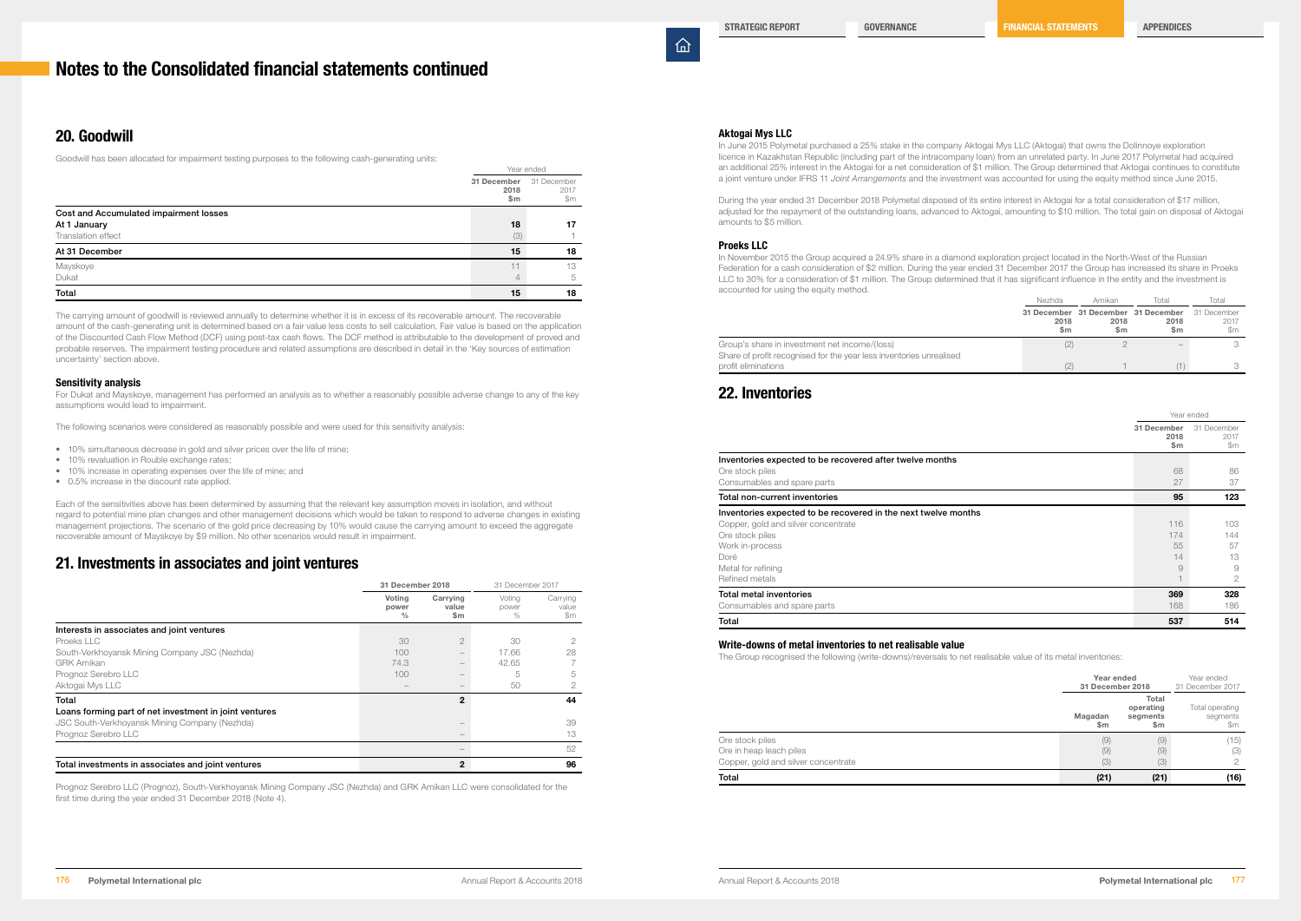台

## <span id="page-22-0"></span>**Notes to the Consolidated financial statements continued**

### **20. Goodwill**

Goodwill has been allocated for impairment testing purposes to the following cash-generating units:

|                                        | Year ended                 |                            |  |
|----------------------------------------|----------------------------|----------------------------|--|
|                                        | 31 December<br>2018<br>\$m | 31 December<br>2017<br>\$m |  |
| Cost and Accumulated impairment losses |                            |                            |  |
| At 1 January                           | 18                         | 17                         |  |
| Translation effect                     | (3)                        |                            |  |
| At 31 December                         | 15                         | 18                         |  |
| Mayskoye                               |                            | 13                         |  |
| Dukat                                  | 4                          | h                          |  |
| Total                                  | 15                         | 18                         |  |

The carrying amount of goodwill is reviewed annually to determine whether it is in excess of its recoverable amount. The recoverable amount of the cash-generating unit is determined based on a fair value less costs to sell calculation. Fair value is based on the application of the Discounted Cash Flow Method (DCF) using post-tax cash flows. The DCF method is attributable to the development of proved and probable reserves. The impairment testing procedure and related assumptions are described in detail in the 'Key sources of estimation uncertainty' section above.

#### **Sensitivity analysis**

For Dukat and Mayskoye, management has performed an analysis as to whether a reasonably possible adverse change to any of the key assumptions would lead to impairment.

The following scenarios were considered as reasonably possible and were used for this sensitivity analysis:

- 10% simultaneous decrease in gold and silver prices over the life of mine;
- 10% revaluation in Rouble exchange rates;
- 10% increase in operating expenses over the life of mine; and
- 0.5% increase in the discount rate applied.

Each of the sensitivities above has been determined by assuming that the relevant key assumption moves in isolation, and without regard to potential mine plan changes and other management decisions which would be taken to respond to adverse changes in existing management projections. The scenario of the gold price decreasing by 10% would cause the carrying amount to exceed the aggregate recoverable amount of Mayskoye by \$9 million. No other scenarios would result in impairment.

### **21. Investments in associates and joint ventures**

|                                                        | 31 December 2018                 |                                 | 31 December 2017        |                                     |
|--------------------------------------------------------|----------------------------------|---------------------------------|-------------------------|-------------------------------------|
|                                                        | Voting<br>power<br>$\frac{0}{0}$ | Carrying<br>value<br>\$m        | Voting<br>power<br>$\%$ | Carrying<br>value<br>$\mathbb{S}$ m |
| Interests in associates and joint ventures             |                                  |                                 |                         |                                     |
| Proeks LLC                                             | 30                               | $\overline{2}$                  | 30                      |                                     |
| South-Verkhoyansk Mining Company JSC (Nezhda)          | 100                              |                                 | 17.66                   | 28                                  |
| <b>GRK Amikan</b>                                      | 74.3                             | $\hspace{0.1mm}-\hspace{0.1mm}$ | 42.65                   |                                     |
| Prognoz Serebro LLC                                    | 100                              |                                 | 5                       | 5                                   |
| Aktogai Mys LLC                                        |                                  | $\overline{\phantom{a}}$        | 50                      |                                     |
| Total                                                  |                                  | 2                               |                         | 44                                  |
| Loans forming part of net investment in joint ventures |                                  |                                 |                         |                                     |
| <b>JSC South-Verkhoyansk Mining Company (Nezhda)</b>   |                                  |                                 |                         | 39                                  |
| Prognoz Serebro LLC                                    |                                  |                                 |                         | 13                                  |
|                                                        |                                  |                                 |                         | 52                                  |
| Total investments in associates and joint ventures     |                                  | $\overline{2}$                  |                         | 96                                  |

Prognoz Serebro LLC (Prognoz), South-Verkhoyansk Mining Company JSC (Nezhda) and GRK Amikan LLC were consolidated for the first time during the year ended 31 December 2018 (Note 4).

#### **Aktogai Mys LLC**

In June 2015 Polymetal purchased a 25% stake in the company Aktogai Mys LLC (Aktogai) that owns the Dolinnoye exploration licence in Kazakhstan Republic (including part of the intracompany loan) from an unrelated party. In June 2017 Polymetal had acquired an additional 25% interest in the Aktogai for a net consideration of \$1 million. The Group determined that Aktogai continues to constitute a joint venture under IFRS 11 *Joint Arrangements* and the investment was accounted for using the equity method since June 2015.

During the year ended 31 December 2018 Polymetal disposed of its entire interest in Aktogai for a total consideration of \$17 million, adjusted for the repayment of the outstanding loans, advanced to Aktogai, amounting to \$10 million. The total gain on disposal of Aktogai amounts to \$5 million.

#### **Proeks LLC**

In November 2015 the Group acquired a 24.9% share in a diamond exploration project located in the North-West of the Russian Federation for a cash consideration of \$2 million. During the year ended 31 December 2017 the Group has increased its share in Proeks LLC to 30% for a consideration of \$1 million. The Group determined that it has significant influence in the entity and the investment is accounted for using the equity method.

Group's share in investment net income/(loss) Share of profit recognised for the year less inventories unrealised profit eliminations

| Nezhda      | Amikan      | Total                                                          | Total                  |
|-------------|-------------|----------------------------------------------------------------|------------------------|
| 2018<br>\$m | 2018<br>\$m | 31 December 31 December 31 December 31 December<br>2018<br>\$m | 2017<br>$\mathbb{S}$ m |
| (2)         |             | $\sim$                                                         |                        |
|             |             |                                                                |                        |

### **22. Inventories**

|                                                                |                              | Year ended                 |  |  |
|----------------------------------------------------------------|------------------------------|----------------------------|--|--|
|                                                                | 31 December<br>2018<br>\$m\$ | 31 December<br>2017<br>\$m |  |  |
| Inventories expected to be recovered after twelve months       |                              |                            |  |  |
| Ore stock piles                                                | 68                           | 86                         |  |  |
| Consumables and spare parts                                    | 27                           | 37                         |  |  |
| Total non-current inventories                                  | 95                           | 123                        |  |  |
| Inventories expected to be recovered in the next twelve months |                              |                            |  |  |
| Copper, gold and silver concentrate                            | 116                          | 103                        |  |  |
| Ore stock piles                                                | 174                          | 144                        |  |  |
| Work in-process                                                | 55                           | 57                         |  |  |
| Doré                                                           | 14                           | 13                         |  |  |
| Metal for refining                                             | 9                            | 9                          |  |  |
| Refined metals                                                 |                              | $\overline{2}$             |  |  |
| Total metal inventories                                        | 369                          | 328                        |  |  |
| Consumables and spare parts                                    | 168                          | 186                        |  |  |
|                                                                | 537                          | 514                        |  |  |

The Group recognised the following (write-downs)/reversals to net realisable value of its metal inventories:

|                                     | Year ended<br>31 December 2018 |                                       | Year ended<br>31 December 2017     |
|-------------------------------------|--------------------------------|---------------------------------------|------------------------------------|
|                                     | Magadan<br>\$m                 | Total<br>operating<br>segments<br>\$m | Total operating<br>segments<br>\$m |
| Ore stock piles                     | (9)                            | (9)                                   | (15)                               |
| Ore in heap leach piles             | (9)                            | (9)                                   | (3)                                |
| Copper, gold and silver concentrate | (3)                            | (3)                                   | ◠                                  |
| Total                               | (21)                           | (21)                                  | (16)                               |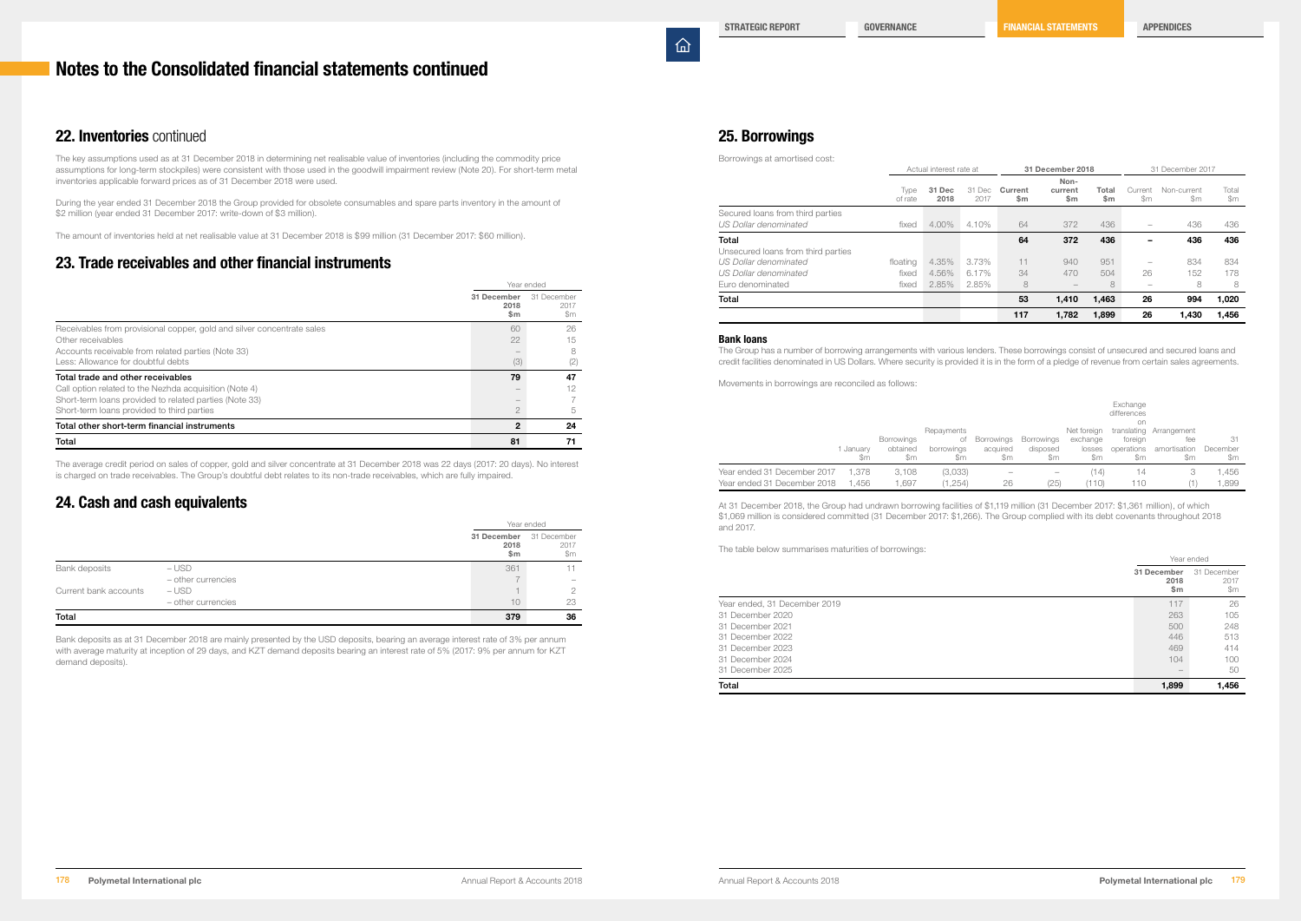仚

## <span id="page-23-0"></span>**Notes to the Consolidated financial statements continued**

### **22. Inventories** continued

The key assumptions used as at 31 December 2018 in determining net realisable value of inventories (including the commodity price assumptions for long-term stockpiles) were consistent with those used in the goodwill impairment review (Note 20). For short-term metal inventories applicable forward prices as of 31 December 2018 were used.

During the year ended 31 December 2018 the Group provided for obsolete consumables and spare parts inventory in the amount of \$2 million (year ended 31 December 2017: write-down of \$3 million).

The amount of inventories held at net realisable value at 31 December 2018 is \$99 million (31 December 2017: \$60 million).

### **23. Trade receivables and other financial instruments**

|                                                                                                                  |                                      | Year ended                            |
|------------------------------------------------------------------------------------------------------------------|--------------------------------------|---------------------------------------|
|                                                                                                                  | 31 December<br>2018<br>$\mathsf{sm}$ | 31 December<br>2017<br>$\mathbb{S}$ m |
| Receivables from provisional copper, gold and silver concentrate sales<br>Other receivables                      | 60<br>22                             | 26<br>15                              |
| Accounts receivable from related parties (Note 33)<br>Less: Allowance for doubtful debts                         | (3)                                  | 8<br>(2)                              |
| Total trade and other receivables                                                                                | 79                                   | 47                                    |
| Call option related to the Nezhda acquisition (Note 4)<br>Short-term loans provided to related parties (Note 33) |                                      | 12                                    |
| Short-term loans provided to third parties                                                                       | $\mathcal{P}$                        |                                       |
| Total other short-term financial instruments                                                                     | 2                                    | 24                                    |
| Total                                                                                                            | 81                                   |                                       |

The average credit period on sales of copper, gold and silver concentrate at 31 December 2018 was 22 days (2017: 20 days). No interest is charged on trade receivables. The Group's doubtful debt relates to its non-trade receivables, which are fully impaired.

### **24. Cash and cash equivalents**

|                       |                    |                            | Year ended                 |  |  |
|-----------------------|--------------------|----------------------------|----------------------------|--|--|
|                       |                    | 31 December<br>2018<br>\$m | 31 December<br>2017<br>\$m |  |  |
| <b>Bank deposits</b>  | – USD              | 361                        |                            |  |  |
|                       | - other currencies |                            |                            |  |  |
| Current bank accounts | – USD              |                            |                            |  |  |
|                       | - other currencies | 10                         | 23                         |  |  |
| Total                 |                    | 379                        | 36                         |  |  |

Bank deposits as at 31 December 2018 are mainly presented by the USD deposits, bearing an average interest rate of 3% per annum with average maturity at inception of 29 days, and KZT demand deposits bearing an interest rate of 5% (2017: 9% per annum for KZT demand deposits).

### **25. Borrowings**

Borrowings at amortised cost:

|                                                           |                   | Actual interest rate at |                | 31 December 2018 |                        |              |                           | 31 December 2017              |                         |  |
|-----------------------------------------------------------|-------------------|-------------------------|----------------|------------------|------------------------|--------------|---------------------------|-------------------------------|-------------------------|--|
|                                                           | Type<br>of rate   | 31 Dec<br>2018          | 31 Dec<br>2017 | Current<br>\$m   | Non-<br>current<br>\$m | Total<br>\$m | Current<br>$\mathbb{S}$ m | Non-current<br>$\mathbb{S}$ m | Total<br>$\mathbb{S}$ m |  |
| Secured loans from third parties<br>US Dollar denominated | fixed             | 4.00%                   | 4.10%          | 64               | 372                    | 436          |                           | 436                           | 436                     |  |
| Total<br>Unsecured loans from third parties               |                   |                         |                | 64               | 372                    | 436          |                           | 436                           | 436                     |  |
| US Dollar denominated<br>US Dollar denominated            | floating<br>fixed | 4.35%<br>4.56%          | 3.73%<br>6.17% | 11<br>34         | 940<br>470             | 951<br>504   | 26                        | 834<br>152                    | 834<br>178              |  |
| Euro denominated                                          | fixed             | 2.85%                   | 2.85%          | 8                |                        | 8            |                           | 8                             | 8                       |  |
| Total                                                     |                   |                         |                | 53               | 1,410                  | 1,463        | 26                        | 994                           | 1,020                   |  |
|                                                           |                   |                         |                | 117              | 1,782                  | 1,899        | 26                        | 1,430                         | 1,456                   |  |

### **Bank loans**

The Group has a number of borrowing arrangements with various lenders. These borrowings consist of unsecured and secured loans and credit facilities denominated in US Dollars. Where security is provided it is in the form of a pledge of revenue from certain sales agreements.

Movements in borrowings are reconciled as follows:

|                             |                |                   |            |                   |                   |             | Exchange<br>differences<br>on |                         |                |
|-----------------------------|----------------|-------------------|------------|-------------------|-------------------|-------------|-------------------------------|-------------------------|----------------|
|                             |                |                   | Repayments |                   |                   | Net foreign |                               | translating Arrangement |                |
|                             |                | <b>Borrowings</b> | 0t         | <b>Borrowings</b> | <b>Borrowings</b> | exchange    | foreign                       | tee                     | 31             |
|                             | 1 January      | obtained          | borrowings | acquired          | disposed          | losses      | operations                    | amortisation            | December       |
|                             | $\mathbb{S}$ m | \$m               | \$m        | \$m               | \$m               | \$m         | \$m                           | \$m                     | $\mathbb{S}$ m |
| Year ended 31 December 2017 | 1.378          | 3,108             | (3,033)    |                   |                   | (14)        | $\overline{4}$                |                         | 1,456          |
| Year ended 31 December 2018 | 1.456          | 1.697             | (1,254)    | 26                | (25)              | (110)       | 110                           |                         | .899           |

At 31 December 2018, the Group had undrawn borrowing facilities of \$1,119 million (31 December 2017: \$1,361 million), of which \$1,069 million is considered committed (31 December 2017: \$1,266). The Group complied with its debt covenants throughout 2018 and 2017.

The table below summarises maturities of borrowings:

| Year ended, 31 December 2019 |
|------------------------------|
| 31 December 2020             |
| 31 December 2021             |
| 31 December 2022             |
| 31 December 2023             |
| 31 December 2024             |
| 31 December 2025             |
|                              |

|                              | Year ended                 |                            |  |
|------------------------------|----------------------------|----------------------------|--|
|                              | 31 December<br>2018<br>\$m | 31 December<br>2017<br>\$m |  |
| Year ended, 31 December 2019 | 117                        | 26                         |  |
| 31 December 2020             | 263                        | 105                        |  |
| 31 December 2021             | 500                        | 248                        |  |
| 31 December 2022             | 446                        | 513                        |  |
| 31 December 2023             | 469                        | 414                        |  |
| 31 December 2024             | 104                        | 100                        |  |
| 31 December 2025             |                            | 50                         |  |
| Total                        | 1,899                      | 1.456                      |  |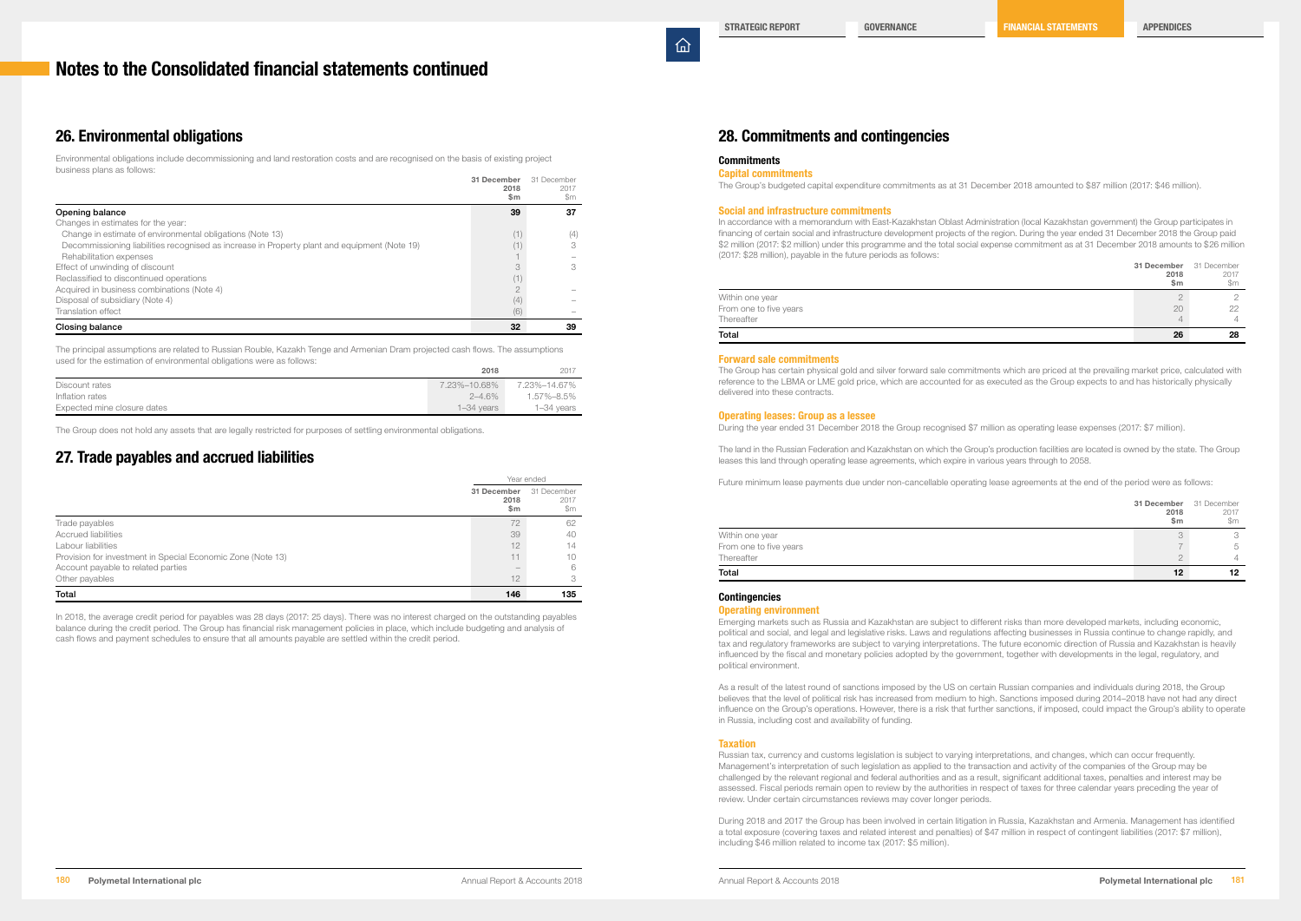## <span id="page-24-0"></span>**Notes to the Consolidated financial statements continued**

Environmental obligations include decommissioning and land restoration costs and are recognised on the basis of existing project business plans as follows: **31 December 21 December 21 December 21 December 21 December 21 December 21 December 21 December 21 December 21 December 21 December 21 December 21 December 21 December 21 December 21 December 21 December 21 December 21 De** 

### **26. Environmental obligations**

|                                                                                              | 31 December<br>2018<br>\$m | 31 December<br>2017<br>\$m |
|----------------------------------------------------------------------------------------------|----------------------------|----------------------------|
| Opening balance                                                                              | 39                         | 37                         |
| Changes in estimates for the year:                                                           |                            |                            |
| Change in estimate of environmental obligations (Note 13)                                    | (1)                        | (4                         |
| Decommissioning liabilities recognised as increase in Property plant and equipment (Note 19) |                            |                            |
| Rehabilitation expenses                                                                      |                            |                            |
| Effect of unwinding of discount                                                              | 3                          |                            |
| Reclassified to discontinued operations                                                      |                            |                            |
| Acquired in business combinations (Note 4)                                                   | $\cap$                     |                            |
| Disposal of subsidiary (Note 4)                                                              | (4)                        |                            |
| Translation effect                                                                           | (6)                        |                            |
| <b>Closing balance</b>                                                                       | 32                         | 39                         |

The principal assumptions are related to Russian Rouble, Kazakh Tenge and Armenian Dram projected cash flows. The assumptions used for the estimation of environmental obligations were as follows:

|                             | 2018           | 2017         |
|-----------------------------|----------------|--------------|
| Discount rates              | 7.23%-10.68%   | 7.23%-14.67% |
| Inflation rates             | $2 - 4.6\%$    | 1.57%-8.5%   |
| Expected mine closure dates | $1 - 34$ years | 1-34 years   |

The Group does not hold any assets that are legally restricted for purposes of settling environmental obligations.

### **27. Trade payables and accrued liabilities**

|                                                             |                            | Year ended                                     |
|-------------------------------------------------------------|----------------------------|------------------------------------------------|
|                                                             | 31 December<br>2018<br>\$m | 31 December<br>2017<br>$\mathop{\$m}\nolimits$ |
| Trade payables                                              | 72                         | 62                                             |
| Accrued liabilities                                         | 39                         | 40                                             |
| Labour liabilities                                          | 12                         | 14                                             |
| Provision for investment in Special Economic Zone (Note 13) | 11                         | 10                                             |
| Account payable to related parties                          |                            | 6                                              |
| Other payables                                              | 12                         | 3                                              |
| Total                                                       | 146                        | 135                                            |

In 2018, the average credit period for payables was 28 days (2017: 25 days). There was no interest charged on the outstanding payables balance during the credit period. The Group has financial risk management policies in place, which include budgeting and analysis of cash flows and payment schedules to ensure that all amounts payable are settled within the credit period.

### **28. Commitments and contingencies**

#### **Commitments**

#### **Capital commitments**

The Group's budgeted capital expenditure commitments as at 31 December 2018 amounted to \$87 million (2017: \$46 million).

#### **Social and infrastructure commitments**

In accordance with a memorandum with East-Kazakhstan Oblast Administration (local Kazakhstan government) the Group participates in financing of certain social and infrastructure development projects of the region. During the year ended 31 December 2018 the Group paid \$2 million (2017: \$2 million) under this programme and the total social expense commitment as at 31 December 2018 amounts to \$26 million (2017: \$28 million), payable in the future periods as follows:

| <b>Intal</b>           |  |
|------------------------|--|
| <sup>-</sup> hereafter |  |
| from one to five years |  |
| Vithin one year        |  |

|                        | 31 December 31 December<br>2018<br>\$m | 2017<br>$\mathbb{S}$ m |
|------------------------|----------------------------------------|------------------------|
| Within one year        |                                        |                        |
| From one to five years | 20                                     | 22                     |
| Thereafter             |                                        | $\Delta$               |
| Total                  | 26                                     | 28                     |

#### **Forward sale commitments**

The Group has certain physical gold and silver forward sale commitments which are priced at the prevailing market price, calculated with reference to the LBMA or LME gold price, which are accounted for as executed as the Group expects to and has historically physically delivered into these contracts.

#### **Operating leases: Group as a lessee**

During the year ended 31 December 2018 the Group recognised \$7 million as operating lease expenses (2017: \$7 million).

The land in the Russian Federation and Kazakhstan on which the Group's production facilities are located is owned by the state. The Group leases this land through operating lease agreements, which expire in various years through to 2058.

Future minimum lease payments due under non-cancellable operating lease agreements at the end of the period were as follows:

| Within one year        |
|------------------------|
| From one to five years |
| Thereafter             |

| Total                  | 12                                     | 12                     |
|------------------------|----------------------------------------|------------------------|
| Thereafter             |                                        |                        |
| From one to five years |                                        | b                      |
| Within one year        | τJ                                     |                        |
|                        | 31 December 31 December<br>2018<br>\$m | 2017<br>$\mathbb{S}$ m |

### **Contingencies**

#### **Operating environment**

Emerging markets such as Russia and Kazakhstan are subject to different risks than more developed markets, including economic, political and social, and legal and legislative risks. Laws and regulations affecting businesses in Russia continue to change rapidly, and tax and regulatory frameworks are subject to varying interpretations. The future economic direction of Russia and Kazakhstan is heavily influenced by the fiscal and monetary policies adopted by the government, together with developments in the legal, regulatory, and political environment.

As a result of the latest round of sanctions imposed by the US on certain Russian companies and individuals during 2018, the Group believes that the level of political risk has increased from medium to high. Sanctions imposed during 2014–2018 have not had any direct influence on the Group's operations. However, there is a risk that further sanctions, if imposed, could impact the Group's ability to operate in Russia, including cost and availability of funding.

#### **Taxation**

Russian tax, currency and customs legislation is subject to varying interpretations, and changes, which can occur frequently. Management's interpretation of such legislation as applied to the transaction and activity of the companies of the Group may be challenged by the relevant regional and federal authorities and as a result, significant additional taxes, penalties and interest may be assessed. Fiscal periods remain open to review by the authorities in respect of taxes for three calendar years preceding the year of review. Under certain circumstances reviews may cover longer periods.

During 2018 and 2017 the Group has been involved in certain litigation in Russia, Kazakhstan and Armenia. Management has identified a total exposure (covering taxes and related interest and penalties) of \$47 million in respect of contingent liabilities (2017: \$7 million), including \$46 million related to income tax (2017: \$5 million).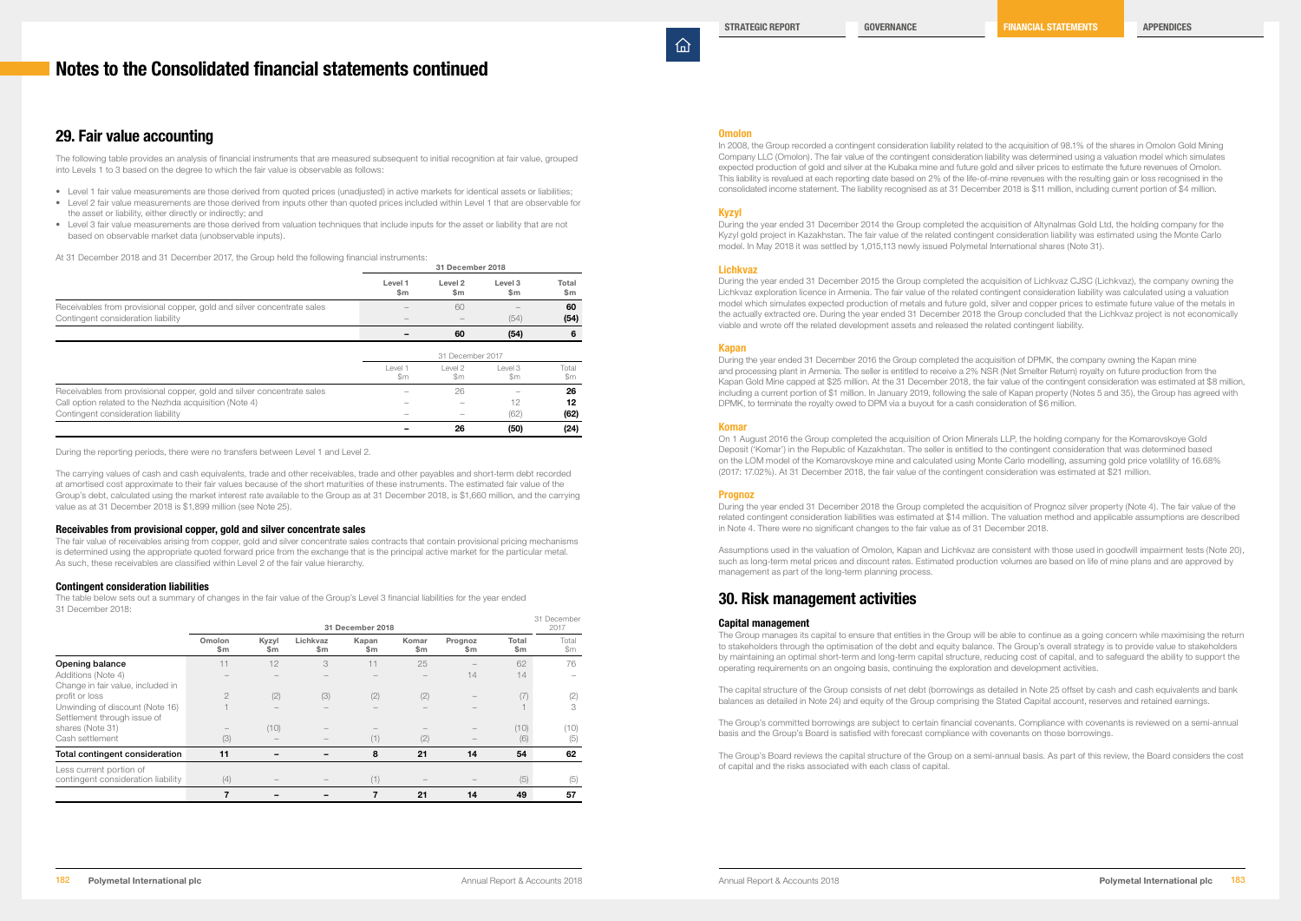### <span id="page-25-0"></span>**29. Fair value accounting**

The following table provides an analysis of financial instruments that are measured subsequent to initial recognition at fair value, grouped into Levels 1 to 3 based on the degree to which the fair value is observable as follows:

- Level 1 fair value measurements are those derived from quoted prices (unadjusted) in active markets for identical assets or liabilities;
- Level 2 fair value measurements are those derived from inputs other than quoted prices included within Level 1 that are observable for the asset or liability, either directly or indirectly; and
- Level 3 fair value measurements are those derived from valuation techniques that include inputs for the asset or liability that are not based on observable market data (unobservable inputs).

At 31 December 2018 and 31 December 2017, the Group held the following financial instruments:

|                                                                        | 31 December 2018 |                           |                |              |
|------------------------------------------------------------------------|------------------|---------------------------|----------------|--------------|
|                                                                        | Level 1<br>\$m   | Level <sub>2</sub><br>\$m | Level 3<br>\$m | Total<br>\$m |
| Receivables from provisional copper, gold and silver concentrate sales |                  | 60                        |                | 60           |
| Contingent consideration liability                                     |                  |                           | (54)           | (54)         |
|                                                                        |                  | 60                        | (54)           | -6           |
|                                                                        | 31 December 2017 |                           |                |              |
|                                                                        | Level :          | Level 2                   | Level 3        | Total        |

|                                                                        | Level :<br>\$m           | Level 2<br>Sm.           | Level 3<br>\$m                  | Total<br>\$m |
|------------------------------------------------------------------------|--------------------------|--------------------------|---------------------------------|--------------|
| Receivables from provisional copper, gold and silver concentrate sales | $\overline{\phantom{a}}$ | 26                       | $\hspace{0.1mm}-\hspace{0.1mm}$ | 26           |
| Call option related to the Nezhda acquisition (Note 4)                 |                          | $\hspace{0.05cm}$        |                                 | 12           |
| Contingent consideration liability                                     |                          | $\overline{\phantom{a}}$ | (62)                            | (62)         |
|                                                                        |                          | 26                       | (50)                            | (24)         |

During the reporting periods, there were no transfers between Level 1 and Level 2.

The carrying values of cash and cash equivalents, trade and other receivables, trade and other payables and short-term debt recorded at amortised cost approximate to their fair values because of the short maturities of these instruments. The estimated fair value of the Group's debt, calculated using the market interest rate available to the Group as at 31 December 2018, is \$1,660 million, and the carrying value as at 31 December 2018 is \$1,899 million (see Note 25).

### **Receivables from provisional copper, gold and silver concentrate sales**

The fair value of receivables arising from copper, gold and silver concentrate sales contracts that contain provisional pricing mechanisms is determined using the appropriate quoted forward price from the exchange that is the principal active market for the particular metal. As such, these receivables are classified within Level 2 of the fair value hierarchy.

#### **Contingent consideration liabilities**

The table below sets out a summary of changes in the fair value of the Group's Level 3 financial liabilities for the year ended 31 December 2018:

|                                    | 31 December 2018     |              |                 |              | 31 December<br>2017 |                |              |                                  |
|------------------------------------|----------------------|--------------|-----------------|--------------|---------------------|----------------|--------------|----------------------------------|
|                                    | <b>Omolon</b><br>\$m | Kyzyl<br>\$m | Lichkvaz<br>\$m | Kapan<br>\$m | Komar<br>\$m        | Prognoz<br>\$m | Total<br>\$m | Total<br>$\mathop{\$m}\nolimits$ |
| Opening balance                    |                      | 12           | 3               | 11           | 25                  |                | 62           | 76                               |
| Additions (Note 4)                 |                      |              |                 |              |                     | 14             | 14           |                                  |
| Change in fair value, included in  |                      |              |                 |              |                     |                |              |                                  |
| profit or loss                     | $\overline{2}$       | (2)          | (3)             | (2)          | (2)                 |                | (7)          | (2)                              |
| Unwinding of discount (Note 16)    |                      |              |                 |              |                     |                |              | 3                                |
| Settlement through issue of        |                      |              |                 |              |                     |                |              |                                  |
| shares (Note 31)                   |                      | (10)         |                 |              |                     |                | (10)         | (10)                             |
| Cash settlement                    | (3)                  |              |                 | (1)          | (2)                 |                | (6)          | (5)                              |
| Total contingent consideration     | 11                   |              |                 | 8            | 21                  | 14             | 54           | 62                               |
| Less current portion of            |                      |              |                 |              |                     |                |              |                                  |
| contingent consideration liability | (4)                  |              |                 | (1)          |                     |                | (5)          | (5)                              |
|                                    |                      |              |                 |              | 21                  | 14             | 49           | 57                               |

#### **Omolon**

石

In 2008, the Group recorded a contingent consideration liability related to the acquisition of 98.1% of the shares in Omolon Gold Mining Company LLC (Omolon). The fair value of the contingent consideration liability was determined using a valuation model which simulates expected production of gold and silver at the Kubaka mine and future gold and silver prices to estimate the future revenues of Omolon. This liability is revalued at each reporting date based on 2% of the life-of-mine revenues with the resulting gain or loss recognised in the consolidated income statement. The liability recognised as at 31 December 2018 is \$11 million, including current portion of \$4 million.

#### **Kyzyl**

During the year ended 31 December 2014 the Group completed the acquisition of Altynalmas Gold Ltd, the holding company for the Kyzyl gold project in Kazakhstan. The fair value of the related contingent consideration liability was estimated using the Monte Carlo model. In May 2018 it was settled by 1,015,113 newly issued Polymetal International shares (Note 31).

#### **Lichkvaz**

During the year ended 31 December 2015 the Group completed the acquisition of Lichkvaz CJSC (Lichkvaz), the company owning the Lichkvaz exploration licence in Armenia. The fair value of the related contingent consideration liability was calculated using a valuation model which simulates expected production of metals and future gold, silver and copper prices to estimate future value of the metals in the actually extracted ore. During the year ended 31 December 2018 the Group concluded that the Lichkvaz project is not economically viable and wrote off the related development assets and released the related contingent liability.

#### **Kapan**

During the year ended 31 December 2016 the Group completed the acquisition of DPMK, the company owning the Kapan mine and processing plant in Armenia. The seller is entitled to receive a 2% NSR (Net Smelter Return) royalty on future production from the Kapan Gold Mine capped at \$25 million. At the 31 December 2018, the fair value of the contingent consideration was estimated at \$8 million, including a current portion of \$1 million. In January 2019, following the sale of Kapan property (Notes 5 and 35), the Group has agreed with DPMK, to terminate the royalty owed to DPM via a buyout for a cash consideration of \$6 million.

#### **Komar**

On 1 August 2016 the Group completed the acquisition of Orion Minerals LLP, the holding company for the Komarovskoye Gold Deposit ('Komar') in the Republic of Kazakhstan. The seller is entitled to the contingent consideration that was determined based on the LOM model of the Komarovskoye mine and calculated using Monte Carlo modelling, assuming gold price volatility of 16.68% (2017: 17.02%). At 31 December 2018, the fair value of the contingent consideration was estimated at \$21 million.

#### **Prognoz**

During the year ended 31 December 2018 the Group completed the acquisition of Prognoz silver property (Note 4). The fair value of the related contingent consideration liabilities was estimated at \$14 million. The valuation method and applicable assumptions are described in Note 4. There were no significant changes to the fair value as of 31 December 2018.

Assumptions used in the valuation of Omolon, Kapan and Lichkvaz are consistent with those used in goodwill impairment tests (Note 20), such as long-term metal prices and discount rates. Estimated production volumes are based on life of mine plans and are approved by management as part of the long-term planning process.

### **30. Risk management activities**

#### **Capital management**

The Group manages its capital to ensure that entities in the Group will be able to continue as a going concern while maximising the return to stakeholders through the optimisation of the debt and equity balance. The Group's overall strategy is to provide value to stakeholders by maintaining an optimal short-term and long-term capital structure, reducing cost of capital, and to safeguard the ability to support the operating requirements on an ongoing basis, continuing the exploration and development activities.

The capital structure of the Group consists of net debt (borrowings as detailed in Note 25 offset by cash and cash equivalents and bank balances as detailed in Note 24) and equity of the Group comprising the Stated Capital account, reserves and retained earnings.

The Group's committed borrowings are subject to certain financial covenants. Compliance with covenants is reviewed on a semi-annual basis and the Group's Board is satisfied with forecast compliance with covenants on those borrowings.

The Group's Board reviews the capital structure of the Group on a semi-annual basis. As part of this review, the Board considers the cost of capital and the risks associated with each class of capital.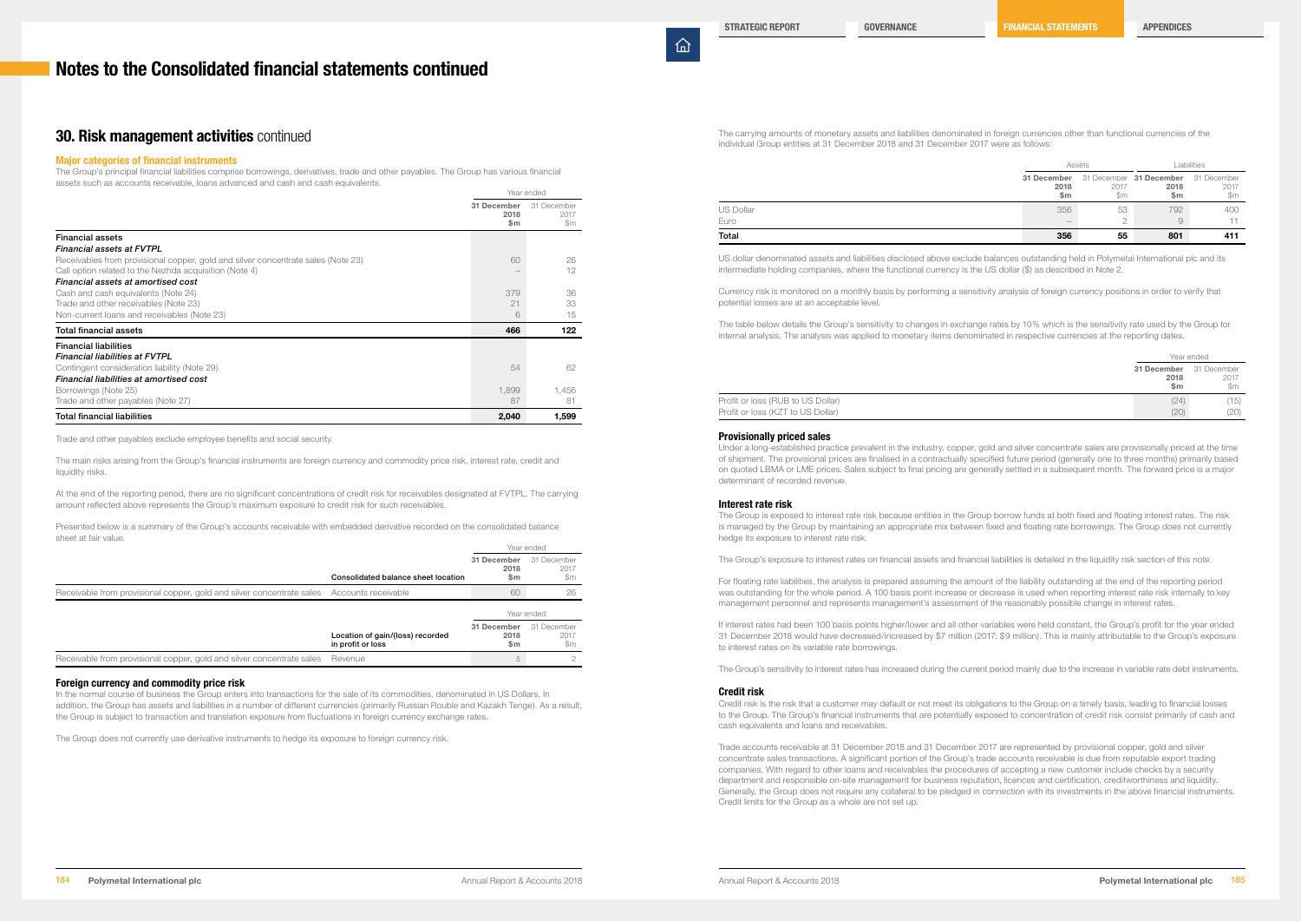### **Notes to the Consolidated financial statements continued**

### **30. Risk management activities** continued

#### **Major categories of financial instruments**

The Group's principal financial liabilities comprise borrowings, derivatives, trade and other payables. The Group has various financial assets such as accounts receivable, loans advanced and cash and cash equivalents.

|                                                                                  |                                      | Year ended                            |  |  |
|----------------------------------------------------------------------------------|--------------------------------------|---------------------------------------|--|--|
|                                                                                  | 31 December<br>2018<br>$\mathsf{sm}$ | 31 December<br>2017<br>$\mathbb{S}$ m |  |  |
| <b>Financial assets</b>                                                          |                                      |                                       |  |  |
| <b>Financial assets at FVTPL</b>                                                 |                                      |                                       |  |  |
| Receivables from provisional copper, gold and silver concentrate sales (Note 23) | 60                                   | 26                                    |  |  |
| Call option related to the Nezhda acquisition (Note 4)                           |                                      | 12                                    |  |  |
| Financial assets at amortised cost                                               |                                      |                                       |  |  |
| Cash and cash equivalents (Note 24)                                              | 379                                  | 36                                    |  |  |
| Trade and other receivables (Note 23)                                            | 21                                   | 33                                    |  |  |
| Non-current loans and receivables (Note 23)                                      | 6                                    | 15                                    |  |  |
| <b>Total financial assets</b>                                                    | 466                                  | 122                                   |  |  |
| <b>Financial liabilities</b>                                                     |                                      |                                       |  |  |
| <b>Financial liabilities at FVTPL</b>                                            |                                      |                                       |  |  |
| Contingent consideration liability (Note 29)                                     | 54                                   | 62                                    |  |  |
| Financial liabilities at amortised cost                                          |                                      |                                       |  |  |
| Borrowings (Note 25)                                                             | 1.899                                | 1,456                                 |  |  |
| Trade and other payables (Note 27)                                               | 87                                   | 81                                    |  |  |
| <b>Total financial liabilities</b>                                               | 2,040                                | 1,599                                 |  |  |

Trade and other payables exclude employee benefits and social security.

The main risks arising from the Group's financial instruments are foreign currency and commodity price risk, interest rate, credit and liquidity risks.

In the normal course of business the Group enters into transactions for the sale of its commodities, denominated in US Dollars. In addition, the Group has assets and liabilities in a number of different currencies (primarily Russian Rouble and Kazakh Tenge). As a result, the Group is subject to transaction and translation exposure from fluctuations in foreign currency exchange rates.

At the end of the reporting period, there are no significant concentrations of credit risk for receivables designated at FVTPL. The carrying amount reflected above represents the Group's maximum exposure to credit risk for such receivables.

Presented below is a summary of the Group's accounts receivable with embedded derivative recorded on the consolidated balance sheet at fair value.

|                                                                                           |                                     |                                  | Year ended                |
|-------------------------------------------------------------------------------------------|-------------------------------------|----------------------------------|---------------------------|
|                                                                                           | Consolidated balance sheet location | 31 December<br>2018<br><b>Sm</b> | 31 December<br>2017<br>Sm |
| Receivable from provisional copper, gold and silver concentrate sales Accounts receivable |                                     | 60                               |                           |

|                                                                               |                                                       |                                  | Year ended                 |
|-------------------------------------------------------------------------------|-------------------------------------------------------|----------------------------------|----------------------------|
|                                                                               | Location of gain/(loss) recorded<br>in profit or loss | 31 December<br>2018<br><b>Sm</b> | 31 December<br>2017<br>\$m |
| Receivable from provisional copper, gold and silver concentrate sales Revenue |                                                       |                                  |                            |

#### **Foreign currency and commodity price risk**

The Group does not currently use derivative instruments to hedge its exposure to foreign currency risk.

The carrying amounts of monetary assets and liabilities denominated in foreign currencies other than functional currencies of the individual Group entities at 31 December 2018 and 31 December 2017 were as follows:

|                  |                                   | Assets      | Liabilities                                        |                        |
|------------------|-----------------------------------|-------------|----------------------------------------------------|------------------------|
|                  | <b>31 December</b><br>2018<br>\$m | 2017<br>\$m | 31 December 31 December 31 December<br>2018<br>\$m | 2017<br>$\mathbb{S}$ m |
| <b>US Dollar</b> | 356                               | 53          | 792                                                | 400                    |
| Euro             | $\sim$                            |             | У                                                  |                        |
| Total            | 356                               | 55          | 801                                                | 411                    |

US dollar denominated assets and liabilities disclosed above exclude balances outstanding held in Polymetal International plc and its intermediate holding companies, where the functional currency is the US dollar (\$) as described in Note 2.

Currency risk is monitored on a monthly basis by performing a sensitivity analysis of foreign currency positions in order to verify that potential losses are at an acceptable level.

The table below details the Group's sensitivity to changes in exchange rates by 10% which is the sensitivity rate used by the Group for internal analysis. The analysis was applied to monetary items denominated in respective currencies at the reporting dates.

Profit or loss (RUB to US Dollar) Profit or loss (KZT to US Dollar)

| Year ended                             |                        |  |
|----------------------------------------|------------------------|--|
| 31 December 31 December<br>2018<br>\$m | 2017<br>$\mathbb{S}$ m |  |
| (24)                                   | 15                     |  |

#### **Provisionally priced sales**

Under a long-established practice prevalent in the industry, copper, gold and silver concentrate sales are provisionally priced at the time of shipment. The provisional prices are finalised in a contractually specified future period (generally one to three months) primarily based on quoted LBMA or LME prices. Sales subject to final pricing are generally settled in a subsequent month. The forward price is a major determinant of recorded revenue.

#### **Interest rate risk**

The Group is exposed to interest rate risk because entities in the Group borrow funds at both fixed and floating interest rates. The risk is managed by the Group by maintaining an appropriate mix between fixed and floating rate borrowings. The Group does not currently hedge its exposure to interest rate risk.

The Group's exposure to interest rates on financial assets and financial liabilities is detailed in the liquidity risk section of this note.

For floating rate liabilities, the analysis is prepared assuming the amount of the liability outstanding at the end of the reporting period was outstanding for the whole period. A 100 basis point increase or decrease is used when reporting interest rate risk internally to key management personnel and represents management's assessment of the reasonably possible change in interest rates.

If interest rates had been 100 basis points higher/lower and all other variables were held constant, the Group's profit for the year ended 31 December 2018 would have decreased/increased by \$7 million (2017: \$9 million). This is mainly attributable to the Group's exposure to interest rates on its variable rate borrowings.

The Group's sensitivity to interest rates has increased during the current period mainly due to the increase in variable rate debt instruments.

#### **Credit risk**

Credit risk is the risk that a customer may default or not meet its obligations to the Group on a timely basis, leading to financial losses to the Group. The Group's financial instruments that are potentially exposed to concentration of credit risk consist primarily of cash and cash equivalents and loans and receivables.

Trade accounts receivable at 31 December 2018 and 31 December 2017 are represented by provisional copper, gold and silver concentrate sales transactions. A significant portion of the Group's trade accounts receivable is due from reputable export trading companies. With regard to other loans and receivables the procedures of accepting a new customer include checks by a security department and responsible on-site management for business reputation, licences and certification, creditworthiness and liquidity. Generally, the Group does not require any collateral to be pledged in connection with its investments in the above financial instruments. Credit limits for the Group as a whole are not set up.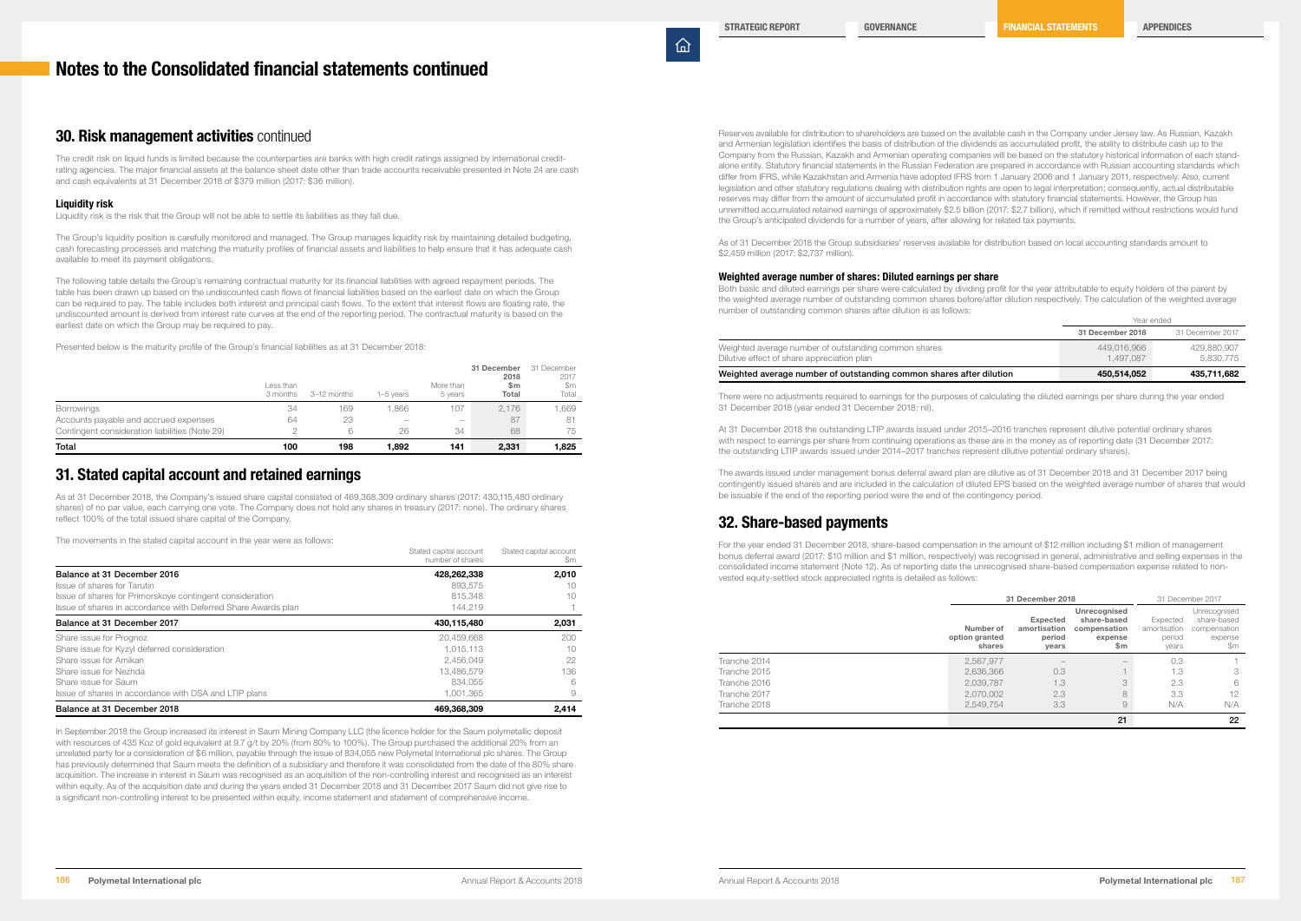### <span id="page-27-0"></span>**Notes to the Consolidated financial statements continued**

### **30. Risk management activities** continued

The credit risk on liquid funds is limited because the counterparties are banks with high credit ratings assigned by international creditrating agencies. The major financial assets at the balance sheet date other than trade accounts receivable presented in Note 24 are cash and cash equivalents at 31 December 2018 of \$379 million (2017: \$36 million).

### **Liquidity risk**

Liquidity risk is the risk that the Group will not be able to settle its liabilities as they fall due.

The Group's liquidity position is carefully monitored and managed. The Group manages liquidity risk by maintaining detailed budgeting, cash forecasting processes and matching the maturity profiles of financial assets and liabilities to help ensure that it has adequate cash available to meet its payment obligations.

The following table details the Group's remaining contractual maturity for its financial liabilities with agreed repayment periods. The table has been drawn up based on the undiscounted cash flows of financial liabilities based on the earliest date on which the Group can be required to pay. The table includes both interest and principal cash flows. To the extent that interest flows are floating rate, the undiscounted amount is derived from interest rate curves at the end of the reporting period. The contractual maturity is based on the earliest date on which the Group may be required to pay.

Presented below is the maturity profile of the Group's financial liabilities as at 31 December 2018:

|                                                | Less than<br>3 months | 3–12 months | 1-5 vears                | More than<br>5 years     | 31 December<br>2018<br>\$m<br>Total | 31 December<br>2017<br>\$m<br>Total |
|------------------------------------------------|-----------------------|-------------|--------------------------|--------------------------|-------------------------------------|-------------------------------------|
| <b>Borrowings</b>                              | 34                    | 169         | .866                     | 107                      | 2.176                               | 1,669                               |
| Accounts payable and accrued expenses          | 64                    | 23          | $\overline{\phantom{a}}$ | $\overline{\phantom{a}}$ | 87                                  | 81                                  |
| Contingent consideration liabilities (Note 29) |                       | 6           | 26                       | 34                       | 68                                  | 75                                  |
| Total                                          | 100                   | 198         | 1.892                    | 141                      | 2,331                               | 1.825                               |

### **31. Stated capital account and retained earnings**

As at 31 December 2018, the Company's issued share capital consisted of 469,368,309 ordinary shares (2017: 430,115,480 ordinary shares) of no par value, each carrying one vote. The Company does not hold any shares in treasury (2017: none). The ordinary shares reflect 100% of the total issued share capital of the Company.

The movements in the stated capital account in the year were as follows:

|                                                               | Stated capital account<br>number of shares | Stated capital account<br>\$m |
|---------------------------------------------------------------|--------------------------------------------|-------------------------------|
| Balance at 31 December 2016                                   | 428,262,338                                | 2,010                         |
| Issue of shares for Tarutin                                   | 893,575                                    | 10                            |
| Issue of shares for Primorskoye contingent consideration      | 815.348                                    | 10                            |
| Issue of shares in accordance with Deferred Share Awards plan | 144,219                                    |                               |
| Balance at 31 December 2017                                   | 430,115,480                                | 2,031                         |
| Share issue for Prognoz                                       | 20.459.668                                 | 200                           |
| Share issue for Kyzyl deferred consideration                  | 1,015,113                                  | 10                            |
| Share issue for Amikan                                        | 2.456.049                                  | 22                            |
| Share issue for Nezhda                                        | 13,486,579                                 | 136                           |
| Share issue for Saum                                          | 834.055                                    | 6                             |
| Issue of shares in accordance with DSA and LTIP plans         | 1,001,365                                  | 9                             |
| Balance at 31 December 2018                                   | 469.368.309                                | 2.414                         |

In September 2018 the Group increased its interest in Saum Mining Company LLC (the licence holder for the Saum polymetallic deposit with resources of 435 Koz of gold equivalent at 9.7 g/t by 20% (from 80% to 100%). The Group purchased the additional 20% from an unrelated party for a consideration of \$6 million, payable through the issue of 834,055 new Polymetal International plc shares. The Group has previously determined that Saum meets the definition of a subsidiary and therefore it was consolidated from the date of the 80% share acquisition. The increase in interest in Saum was recognised as an acquisition of the non-controlling interest and recognised as an interest within equity. As of the acquisition date and during the years ended 31 December 2018 and 31 December 2017 Saum did not give rise to a significant non-controlling interest to be presented within equity, income statement and statement of comprehensive income.

Reserves available for distribution to shareholders are based on the available cash in the Company under Jersey law. As Russian, Kazakh and Armenian legislation identifies the basis of distribution of the dividends as accumulated profit, the ability to distribute cash up to the Company from the Russian, Kazakh and Armenian operating companies will be based on the statutory historical information of each standalone entity. Statutory financial statements in the Russian Federation are prepared in accordance with Russian accounting standards which differ from IFRS, while Kazakhstan and Armenia have adopted IFRS from 1 January 2006 and 1 January 2011, respectively. Also, current legislation and other statutory regulations dealing with distribution rights are open to legal interpretation; consequently, actual distributable reserves may differ from the amount of accumulated profit in accordance with statutory financial statements. However, the Group has unremitted accumulated retained earnings of approximately \$2.5 billion (2017: \$2.7 billion), which if remitted without restrictions would fund the Group's anticipated dividends for a number of years, after allowing for related tax payments.

As of 31 December 2018 the Group subsidiaries' reserves available for distribution based on local accounting standards amount to \$2,459 million (2017: \$2,737 million).

#### **Weighted average number of shares: Diluted earnings per share**

Both basic and diluted earnings per share were calculated by dividing profit for the year attributable to equity holders of the parent by the weighted average number of outstanding common shares before/after dilution respectively. The calculation of the weighted average number of outstanding common shares after dilution is as follows:

Weighted average number of outstanding common shares Dilutive effect of share appreciation plan

Weighted average number of outstanding common shares after

|          | Year ended               |                          |  |  |
|----------|--------------------------|--------------------------|--|--|
|          | 31 December 2018         | 31 December 2017         |  |  |
|          | 449,016,966<br>1.497.087 | 429,880,907<br>5,830,775 |  |  |
| dilution | 450,514,052              | 435,711,682              |  |  |

There were no adjustments required to earnings for the purposes of calculating the diluted earnings per share during the year ended 31 December 2018 (year ended 31 December 2018: nil).

At 31 December 2018 the outstanding LTIP awards issued under 2015–2016 tranches represent dilutive potential ordinary shares with respect to earnings per share from continuing operations as these are in the money as of reporting date (31 December 2017: the outstanding LTIP awards issued under 2014–2017 tranches represent dilutive potential ordinary shares).

The awards issued under management bonus deferral award plan are dilutive as of 31 December 2018 and 31 December 2017 being contingently issued shares and are included in the calculation of diluted EPS based on the weighted average number of shares that would be issuable if the end of the reporting period were the end of the contingency period.

### **32. Share-based payments**

For the year ended 31 December 2018, share-based compensation in the amount of \$12 million including \$1 million of management bonus deferral award (2017: \$10 million and \$1 million, respectively) was recognised in general, administrative and selling expenses in the consolidated income statement (Note 12). As of reporting date the unrecognised share-based compensation expense related to nonvested equity-settled stock appreciated rights is detailed as follows:

|              |                                       | 31 December 2018                                   |                                                               |                                             | 31 December 2017                                                         |
|--------------|---------------------------------------|----------------------------------------------------|---------------------------------------------------------------|---------------------------------------------|--------------------------------------------------------------------------|
|              | Number of<br>option granted<br>shares | <b>Expected</b><br>amortisation<br>period<br>years | Unrecognised<br>share-based<br>compensation<br>expense<br>\$m | Expected<br>amortisation<br>period<br>years | Unrecognised<br>share-based<br>compensation<br>expense<br>$\mathbb{S}$ m |
| Tranche 2014 | 2,567,977                             |                                                    | $\overline{\phantom{a}}$                                      | 0.3                                         |                                                                          |
| Tranche 2015 | 2,636,366                             | 0.3                                                |                                                               | 1.3                                         | 3                                                                        |
| Tranche 2016 | 2,039,787                             | 1.3                                                | 3                                                             | 2.3                                         | 6                                                                        |
| Tranche 2017 | 2,070,002                             | 2.3                                                | 8                                                             | 3.3                                         | 12                                                                       |
| Tranche 2018 | 2,549,754                             | 3.3                                                | 9                                                             | N/A                                         | N/A                                                                      |
|              |                                       |                                                    | 21                                                            |                                             | 22                                                                       |